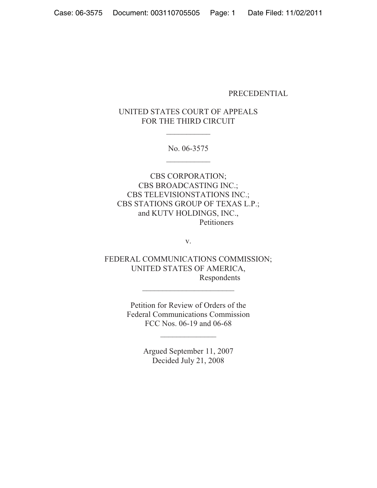### PRECEDENTIAL

# UNITED STATES COURT OF APPEALS FOR THE THIRD CIRCUIT

 $\frac{1}{2}$ 

No. 06-3575  $\frac{1}{2}$ 

CBS CORPORATION; CBS BROADCASTING INC.; CBS TELEVISIONSTATIONS INC.; CBS STATIONS GROUP OF TEXAS L.P.; and KUTV HOLDINGS, INC., **Petitioners** 

v.

FEDERAL COMMUNICATIONS COMMISSION; UNITED STATES OF AMERICA, Respondents

 $\frac{1}{2}$  , where  $\frac{1}{2}$  , where  $\frac{1}{2}$  , where  $\frac{1}{2}$ 

Petition for Review of Orders of the Federal Communications Commission FCC Nos. 06-19 and 06-68

 $\frac{1}{2}$  ,  $\frac{1}{2}$  ,  $\frac{1}{2}$  ,  $\frac{1}{2}$  ,  $\frac{1}{2}$  ,  $\frac{1}{2}$  ,  $\frac{1}{2}$  ,  $\frac{1}{2}$  ,  $\frac{1}{2}$ 

Argued September 11, 2007 Decided July 21, 2008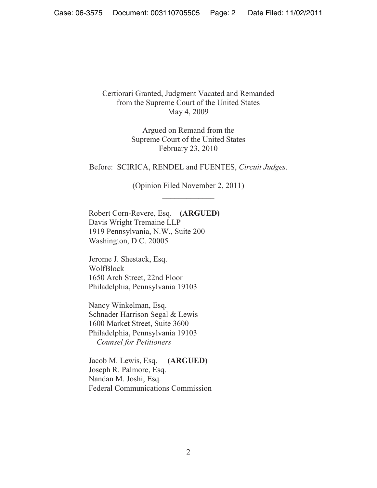# Certiorari Granted, Judgment Vacated and Remanded from the Supreme Court of the United States May 4, 2009

Argued on Remand from the Supreme Court of the United States February 23, 2010

Before: SCIRICA, RENDEL and FUENTES, *Circuit Judges*.

(Opinion Filed November 2, 2011)  $\overline{\phantom{a}}$  , where  $\overline{\phantom{a}}$ 

Robert Corn-Revere, Esq. **(ARGUED)**  Davis Wright Tremaine LLP 1919 Pennsylvania, N.W., Suite 200 Washington, D.C. 20005

Jerome J. Shestack, Esq. WolfBlock 1650 Arch Street, 22nd Floor Philadelphia, Pennsylvania 19103

Nancy Winkelman, Esq. Schnader Harrison Segal & Lewis 1600 Market Street, Suite 3600 Philadelphia, Pennsylvania 19103 *Counsel for Petitioners* 

Jacob M. Lewis, Esq. **(ARGUED)** Joseph R. Palmore, Esq. Nandan M. Joshi, Esq. Federal Communications Commission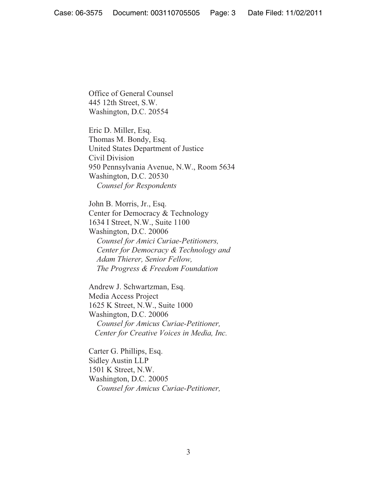Office of General Counsel 445 12th Street, S.W. Washington, D.C. 20554

Eric D. Miller, Esq. Thomas M. Bondy, Esq. United States Department of Justice Civil Division 950 Pennsylvania Avenue, N.W., Room 5634 Washington, D.C. 20530 *Counsel for Respondents* 

John B. Morris, Jr., Esq. Center for Democracy & Technology 1634 I Street, N.W., Suite 1100 Washington, D.C. 20006  *Counsel for Amici Curiae-Petitioners, Center for Democracy & Technology and Adam Thierer, Senior Fellow, The Progress & Freedom Foundation* 

Andrew J. Schwartzman, Esq. Media Access Project 1625 K Street, N.W., Suite 1000 Washington, D.C. 20006  *Counsel for Amicus Curiae-Petitioner, Center for Creative Voices in Media, Inc.* 

Carter G. Phillips, Esq. Sidley Austin LLP 1501 K Street, N.W. Washington, D.C. 20005  *Counsel for Amicus Curiae-Petitioner,*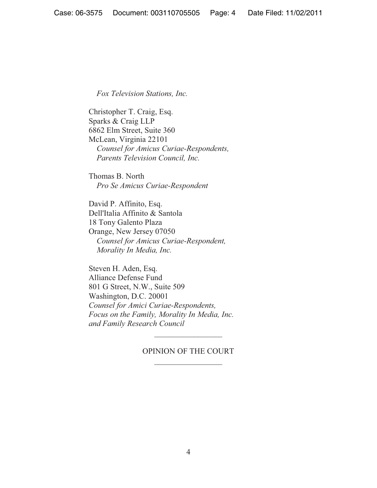*Fox Television Stations, Inc.* 

Christopher T. Craig, Esq. Sparks & Craig LLP 6862 Elm Street, Suite 360 McLean, Virginia 22101  *Counsel for Amicus Curiae-Respondents, Parents Television Council, Inc.* 

Thomas B. North  *Pro Se Amicus Curiae-Respondent* 

David P. Affinito, Esq. Dell'Italia Affinito & Santola 18 Tony Galento Plaza Orange, New Jersey 07050  *Counsel for Amicus Curiae-Respondent, Morality In Media, Inc.* 

Steven H. Aden, Esq. Alliance Defense Fund 801 G Street, N.W., Suite 509 Washington, D.C. 20001 *Counsel for Amici Curiae-Respondents, Focus on the Family, Morality In Media, Inc. and Family Research Council* 

## OPINION OF THE COURT  $\frac{1}{2}$

 $\overline{\phantom{a}}$  , where  $\overline{\phantom{a}}$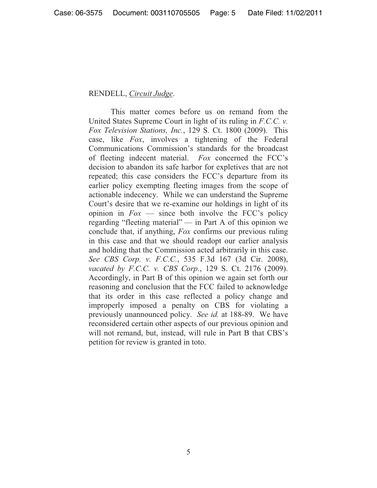# RENDELL, *Circuit Judge*.

This matter comes before us on remand from the United States Supreme Court in light of its ruling in *F.C.C. v. Fox Television Stations, Inc.*, 129 S. Ct. 1800 (2009). This case, like *Fox*, involves a tightening of the Federal Communications Commission's standards for the broadcast of fleeting indecent material. *Fox* concerned the FCC's decision to abandon its safe harbor for expletives that are not repeated; this case considers the FCC's departure from its earlier policy exempting fleeting images from the scope of actionable indecency. While we can understand the Supreme Court's desire that we re-examine our holdings in light of its opinion in  $Fox$  — since both involve the FCC's policy regarding "fleeting material" — in Part A of this opinion we conclude that, if anything, *Fox* confirms our previous ruling in this case and that we should readopt our earlier analysis and holding that the Commission acted arbitrarily in this case. *See CBS Corp. v. F.C.C.*, 535 F.3d 167 (3d Cir. 2008), *vacated by F.C.C. v. CBS Corp.*, 129 S. Ct. 2176 (2009). Accordingly, in Part B of this opinion we again set forth our reasoning and conclusion that the FCC failed to acknowledge that its order in this case reflected a policy change and improperly imposed a penalty on CBS for violating a previously unannounced policy. *See id.* at 188-89. We have reconsidered certain other aspects of our previous opinion and will not remand, but, instead, will rule in Part B that CBS's petition for review is granted in toto.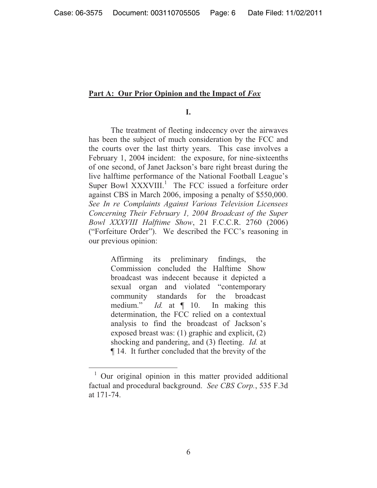# **Part A: Our Prior Opinion and the Impact of Fox**

**I.** 

 The treatment of fleeting indecency over the airwaves has been the subject of much consideration by the FCC and the courts over the last thirty years. This case involves a February 1, 2004 incident: the exposure, for nine-sixteenths of one second, of Janet Jackson's bare right breast during the live halftime performance of the National Football League's Super Bowl  $\overline{XXXVIII}$ .<sup>1</sup> The FCC issued a forfeiture order against CBS in March 2006, imposing a penalty of \$550,000. *See In re Complaints Against Various Television Licensees Concerning Their February 1, 2004 Broadcast of the Super Bowl XXXVIII Halftime Show*, 21 F.C.C.R. 2760 (2006) ("Forfeiture Order"). We described the FCC's reasoning in our previous opinion:

> Affirming its preliminary findings, the Commission concluded the Halftime Show broadcast was indecent because it depicted a sexual organ and violated "contemporary community standards for the broadcast medium." *Id.* at ¶ 10. In making this determination, the FCC relied on a contextual analysis to find the broadcast of Jackson's exposed breast was: (1) graphic and explicit, (2) shocking and pandering, and (3) fleeting. *Id.* at ¶ 14. It further concluded that the brevity of the

 <sup>1</sup> Our original opinion in this matter provided additional factual and procedural background. *See CBS Corp.*, 535 F.3d at 171-74.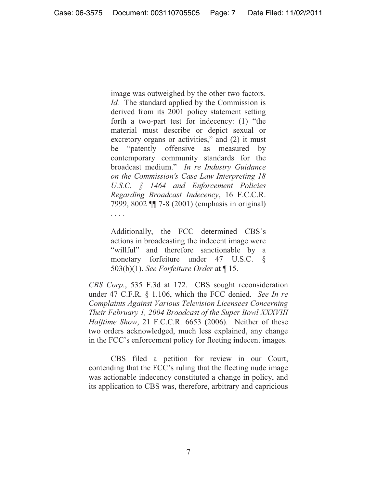image was outweighed by the other two factors. *Id.* The standard applied by the Commission is derived from its 2001 policy statement setting forth a two-part test for indecency: (1) "the material must describe or depict sexual or excretory organs or activities," and (2) it must be "patently offensive as measured by contemporary community standards for the broadcast medium." *In re Industry Guidance on the Commission's Case Law Interpreting 18 U.S.C. § 1464 and Enforcement Policies Regarding Broadcast Indecency*, 16 F.C.C.R. 7999, 8002 ¶¶ 7-8 (2001) (emphasis in original) . . . .

Additionally, the FCC determined CBS's actions in broadcasting the indecent image were "willful" and therefore sanctionable by a monetary forfeiture under 47 U.S.C. § 503(b)(1). *See Forfeiture Order* at ¶ 15.

*CBS Corp.*, 535 F.3d at 172. CBS sought reconsideration under 47 C.F.R. § 1.106, which the FCC denied. *See In re Complaints Against Various Television Licensees Concerning Their February 1, 2004 Broadcast of the Super Bowl XXXVIII Halftime Show*, 21 F.C.C.R. 6653 (2006). Neither of these two orders acknowledged, much less explained, any change in the FCC's enforcement policy for fleeting indecent images.

CBS filed a petition for review in our Court, contending that the FCC's ruling that the fleeting nude image was actionable indecency constituted a change in policy, and its application to CBS was, therefore, arbitrary and capricious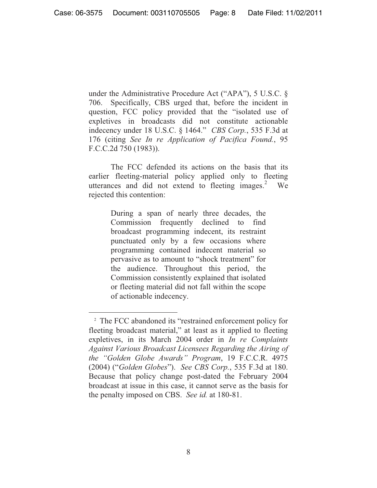under the Administrative Procedure Act ("APA"), 5 U.S.C. § 706. Specifically, CBS urged that, before the incident in question, FCC policy provided that the "isolated use of expletives in broadcasts did not constitute actionable indecency under 18 U.S.C. § 1464." *CBS Corp.*, 535 F.3d at 176 (citing *See In re Application of Pacifica Found.*, 95 F.C.C.2d 750 (1983)).

 The FCC defended its actions on the basis that its earlier fleeting-material policy applied only to fleeting utterances and did not extend to fleeting images. $2$  We rejected this contention:

> During a span of nearly three decades, the Commission frequently declined to find broadcast programming indecent, its restraint punctuated only by a few occasions where programming contained indecent material so pervasive as to amount to "shock treatment" for the audience. Throughout this period, the Commission consistently explained that isolated or fleeting material did not fall within the scope of actionable indecency.

 $\overline{a}$ 

<sup>2</sup> The FCC abandoned its "restrained enforcement policy for fleeting broadcast material," at least as it applied to fleeting expletives, in its March 2004 order in *In re Complaints Against Various Broadcast Licensees Regarding the Airing of the "Golden Globe Awards" Program*, 19 F.C.C.R. 4975 (2004) ("*Golden Globes*"). *See CBS Corp.*, 535 F.3d at 180. Because that policy change post-dated the February 2004 broadcast at issue in this case, it cannot serve as the basis for the penalty imposed on CBS. *See id.* at 180-81.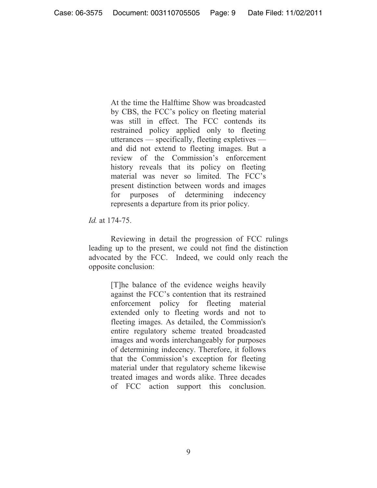At the time the Halftime Show was broadcasted by CBS, the FCC's policy on fleeting material was still in effect. The FCC contends its restrained policy applied only to fleeting utterances — specifically, fleeting expletives and did not extend to fleeting images. But a review of the Commission's enforcement history reveals that its policy on fleeting material was never so limited. The FCC's present distinction between words and images for purposes of determining indecency represents a departure from its prior policy.

*Id.* at 174-75.

 Reviewing in detail the progression of FCC rulings leading up to the present, we could not find the distinction advocated by the FCC. Indeed, we could only reach the opposite conclusion:

> [T]he balance of the evidence weighs heavily against the FCC's contention that its restrained enforcement policy for fleeting material extended only to fleeting words and not to fleeting images. As detailed, the Commission's entire regulatory scheme treated broadcasted images and words interchangeably for purposes of determining indecency. Therefore, it follows that the Commission's exception for fleeting material under that regulatory scheme likewise treated images and words alike. Three decades of FCC action support this conclusion.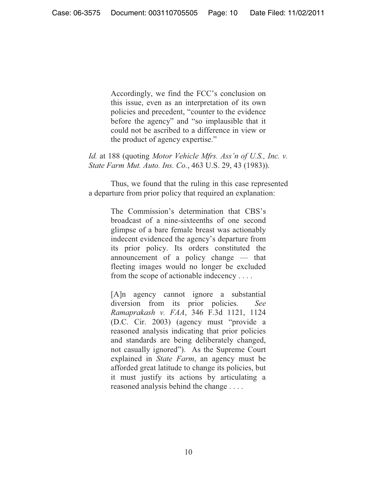Accordingly, we find the FCC's conclusion on this issue, even as an interpretation of its own policies and precedent, "counter to the evidence before the agency" and "so implausible that it could not be ascribed to a difference in view or the product of agency expertise."

*Id.* at 188 (quoting *Motor Vehicle Mfrs. Ass'n of U.S., Inc. v. State Farm Mut. Auto. Ins. Co.*, 463 U.S. 29, 43 (1983)).

 Thus, we found that the ruling in this case represented a departure from prior policy that required an explanation:

> The Commission's determination that CBS's broadcast of a nine-sixteenths of one second glimpse of a bare female breast was actionably indecent evidenced the agency's departure from its prior policy. Its orders constituted the announcement of a policy change — that fleeting images would no longer be excluded from the scope of actionable indecency . . . .

> [A]n agency cannot ignore a substantial diversion from its prior policies. *See Ramaprakash v. FAA*, 346 F.3d 1121, 1124 (D.C. Cir. 2003) (agency must "provide a reasoned analysis indicating that prior policies and standards are being deliberately changed, not casually ignored"). As the Supreme Court explained in *State Farm*, an agency must be afforded great latitude to change its policies, but it must justify its actions by articulating a reasoned analysis behind the change . . . .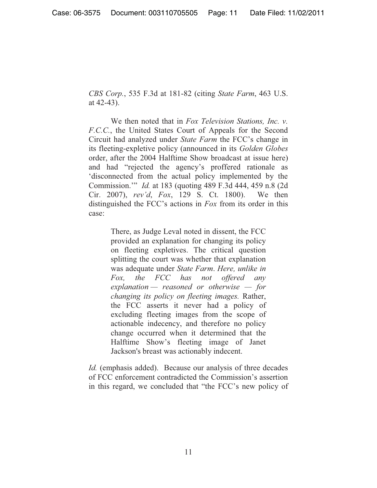*CBS Corp.*, 535 F.3d at 181-82 (citing *State Farm*, 463 U.S. at 42-43).

 We then noted that in *Fox Television Stations, Inc. v. F.C.C.*, the United States Court of Appeals for the Second Circuit had analyzed under *State Farm* the FCC's change in its fleeting-expletive policy (announced in its *Golden Globes* order, after the 2004 Halftime Show broadcast at issue here) and had "rejected the agency's proffered rationale as 'disconnected from the actual policy implemented by the Commission.'" *Id.* at 183 (quoting 489 F.3d 444, 459 n.8 (2d Cir. 2007), *rev'd*, *Fox*, 129 S. Ct. 1800). We then distinguished the FCC's actions in *Fox* from its order in this case:

> There, as Judge Leval noted in dissent, the FCC provided an explanation for changing its policy on fleeting expletives. The critical question splitting the court was whether that explanation was adequate under *State Farm*. *Here, unlike in Fox, the FCC has not offered any explanation — reasoned or otherwise — for changing its policy on fleeting images.* Rather, the FCC asserts it never had a policy of excluding fleeting images from the scope of actionable indecency, and therefore no policy change occurred when it determined that the Halftime Show's fleeting image of Janet Jackson's breast was actionably indecent.

*Id.* (emphasis added). Because our analysis of three decades of FCC enforcement contradicted the Commission's assertion in this regard, we concluded that "the FCC's new policy of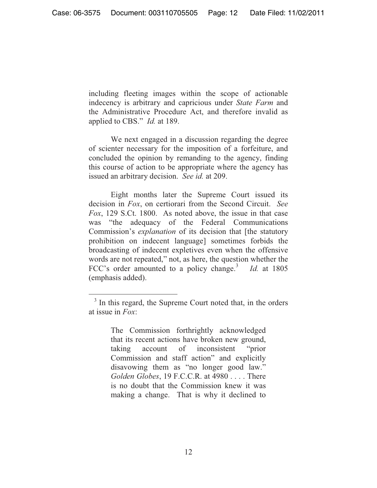including fleeting images within the scope of actionable indecency is arbitrary and capricious under *State Farm* and the Administrative Procedure Act, and therefore invalid as applied to CBS." *Id.* at 189.

 We next engaged in a discussion regarding the degree of scienter necessary for the imposition of a forfeiture, and concluded the opinion by remanding to the agency, finding this course of action to be appropriate where the agency has issued an arbitrary decision. *See id.* at 209.

 Eight months later the Supreme Court issued its decision in *Fox*, on certiorari from the Second Circuit. *See Fox*, 129 S.Ct. 1800. As noted above, the issue in that case was "the adequacy of the Federal Communications Commission's *explanation* of its decision that [the statutory prohibition on indecent language] sometimes forbids the broadcasting of indecent expletives even when the offensive words are not repeated," not, as here, the question whether the FCC's order amounted to a policy change.<sup>3</sup> Id. at 1805 (emphasis added).

 $\overline{a}$ 

The Commission forthrightly acknowledged that its recent actions have broken new ground, taking account of inconsistent "prior Commission and staff action" and explicitly disavowing them as "no longer good law." *Golden Globes*, 19 F.C.C.R. at 4980 . . . . There is no doubt that the Commission knew it was making a change. That is why it declined to

<sup>&</sup>lt;sup>3</sup> In this regard, the Supreme Court noted that, in the orders at issue in *Fox*: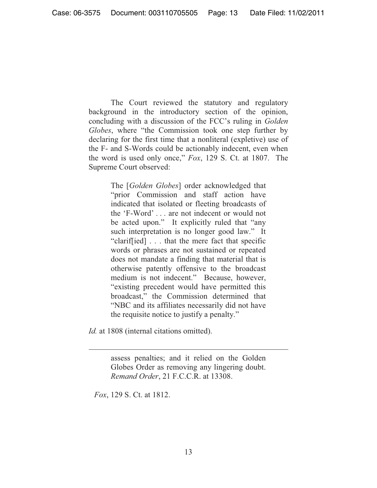The Court reviewed the statutory and regulatory background in the introductory section of the opinion, concluding with a discussion of the FCC's ruling in *Golden Globes*, where "the Commission took one step further by declaring for the first time that a nonliteral (expletive) use of the F- and S-Words could be actionably indecent, even when the word is used only once," *Fox*, 129 S. Ct. at 1807. The Supreme Court observed:

> The [*Golden Globes*] order acknowledged that "prior Commission and staff action have indicated that isolated or fleeting broadcasts of the 'F-Word' . . . are not indecent or would not be acted upon." It explicitly ruled that "any such interpretation is no longer good law." It "clarif[ied] . . . that the mere fact that specific words or phrases are not sustained or repeated does not mandate a finding that material that is otherwise patently offensive to the broadcast medium is not indecent." Because, however, "existing precedent would have permitted this broadcast," the Commission determined that "NBC and its affiliates necessarily did not have the requisite notice to justify a penalty."

*Id.* at 1808 (internal citations omitted).

assess penalties; and it relied on the Golden Globes Order as removing any lingering doubt. *Remand Order*, 21 F.C.C.R. at 13308.

*Fox*, 129 S. Ct. at 1812.

 $\overline{a}$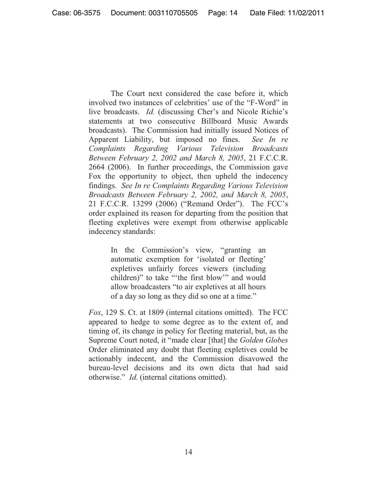The Court next considered the case before it, which involved two instances of celebrities' use of the "F-Word" in live broadcasts. *Id.* (discussing Cher's and Nicole Richie's statements at two consecutive Billboard Music Awards broadcasts). The Commission had initially issued Notices of Apparent Liability, but imposed no fines. *See In re Complaints Regarding Various Television Broadcasts Between February 2, 2002 and March 8, 2005*, 21 F.C.C.R. 2664 (2006). In further proceedings, the Commission gave Fox the opportunity to object, then upheld the indecency findings. *See In re Complaints Regarding Various Television Broadcasts Between February 2, 2002, and March 8, 2005*, 21 F.C.C.R. 13299 (2006) ("Remand Order"). The FCC's order explained its reason for departing from the position that fleeting expletives were exempt from otherwise applicable indecency standards:

> In the Commission's view, "granting an automatic exemption for 'isolated or fleeting' expletives unfairly forces viewers (including children)" to take "'the first blow'" and would allow broadcasters "to air expletives at all hours of a day so long as they did so one at a time."

*Fox*, 129 S. Ct. at 1809 (internal citations omitted). The FCC appeared to hedge to some degree as to the extent of, and timing of, its change in policy for fleeting material, but, as the Supreme Court noted, it "made clear [that] the *Golden Globes* Order eliminated any doubt that fleeting expletives could be actionably indecent, and the Commission disavowed the bureau-level decisions and its own dicta that had said otherwise." *Id.* (internal citations omitted).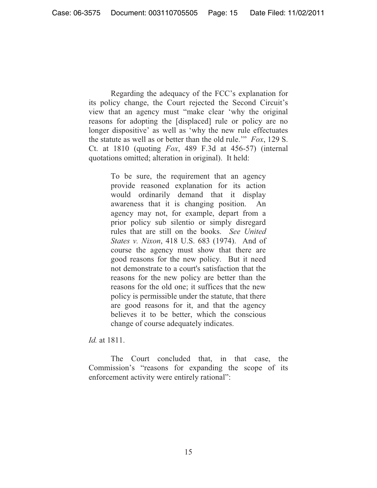Regarding the adequacy of the FCC's explanation for its policy change, the Court rejected the Second Circuit's view that an agency must "make clear 'why the original reasons for adopting the [displaced] rule or policy are no longer dispositive' as well as 'why the new rule effectuates the statute as well as or better than the old rule.'" *Fox*, 129 S. Ct. at 1810 (quoting *Fox*, 489 F.3d at 456-57) (internal quotations omitted; alteration in original). It held:

> To be sure, the requirement that an agency provide reasoned explanation for its action would ordinarily demand that it display awareness that it is changing position. An agency may not, for example, depart from a prior policy sub silentio or simply disregard rules that are still on the books. *See United States v. Nixon*, 418 U.S. 683 (1974). And of course the agency must show that there are good reasons for the new policy. But it need not demonstrate to a court's satisfaction that the reasons for the new policy are better than the reasons for the old one; it suffices that the new policy is permissible under the statute, that there are good reasons for it, and that the agency believes it to be better, which the conscious change of course adequately indicates.

*Id.* at 1811.

 The Court concluded that, in that case, the Commission's "reasons for expanding the scope of its enforcement activity were entirely rational":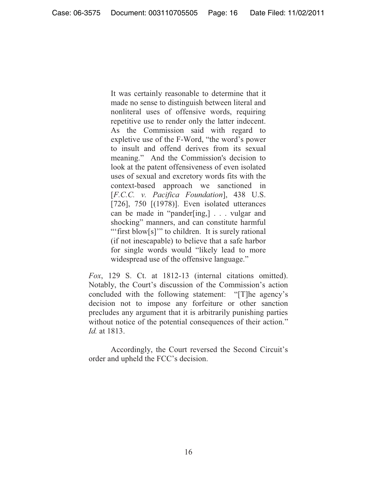It was certainly reasonable to determine that it made no sense to distinguish between literal and nonliteral uses of offensive words, requiring repetitive use to render only the latter indecent. As the Commission said with regard to expletive use of the F-Word, "the word's power to insult and offend derives from its sexual meaning." And the Commission's decision to look at the patent offensiveness of even isolated uses of sexual and excretory words fits with the context-based approach we sanctioned in [*F.C.C. v. Pacifica Foundation*], 438 U.S. [726], 750 [(1978)]. Even isolated utterances can be made in "pander[ing,] . . . vulgar and shocking" manners, and can constitute harmful "'first blow[s]" to children. It is surely rational (if not inescapable) to believe that a safe harbor for single words would "likely lead to more widespread use of the offensive language."

*Fox*, 129 S. Ct. at 1812-13 (internal citations omitted). Notably, the Court's discussion of the Commission's action concluded with the following statement: "[T]he agency's decision not to impose any forfeiture or other sanction precludes any argument that it is arbitrarily punishing parties without notice of the potential consequences of their action." *Id.* at 1813.

Accordingly, the Court reversed the Second Circuit's order and upheld the FCC's decision.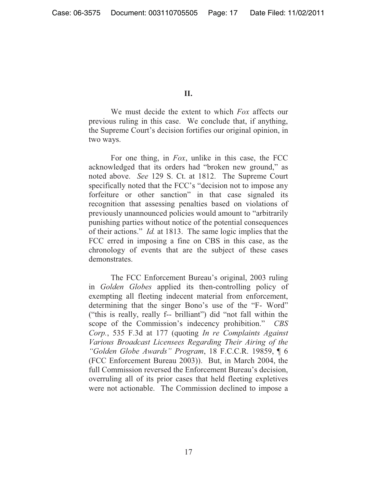# **II.**

 We must decide the extent to which *Fox* affects our previous ruling in this case. We conclude that, if anything, the Supreme Court's decision fortifies our original opinion, in two ways.

 For one thing, in *Fox*, unlike in this case, the FCC acknowledged that its orders had "broken new ground," as noted above. *See* 129 S. Ct. at 1812. The Supreme Court specifically noted that the FCC's "decision not to impose any forfeiture or other sanction" in that case signaled its recognition that assessing penalties based on violations of previously unannounced policies would amount to "arbitrarily punishing parties without notice of the potential consequences of their actions." *Id.* at 1813. The same logic implies that the FCC erred in imposing a fine on CBS in this case, as the chronology of events that are the subject of these cases demonstrates.

 The FCC Enforcement Bureau's original, 2003 ruling in *Golden Globes* applied its then-controlling policy of exempting all fleeting indecent material from enforcement, determining that the singer Bono's use of the "F- Word" ("this is really, really f-- brilliant") did "not fall within the scope of the Commission's indecency prohibition." *CBS Corp.*, 535 F.3d at 177 (quoting *In re Complaints Against Various Broadcast Licensees Regarding Their Airing of the "Golden Globe Awards" Program*, 18 F.C.C.R. 19859, ¶ 6 (FCC Enforcement Bureau 2003)). But, in March 2004, the full Commission reversed the Enforcement Bureau's decision, overruling all of its prior cases that held fleeting expletives were not actionable. The Commission declined to impose a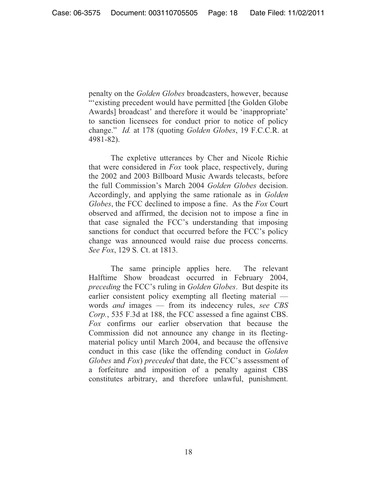penalty on the *Golden Globes* broadcasters, however, because "'existing precedent would have permitted [the Golden Globe Awards] broadcast' and therefore it would be 'inappropriate' to sanction licensees for conduct prior to notice of policy change." *Id.* at 178 (quoting *Golden Globes*, 19 F.C.C.R. at 4981-82).

The expletive utterances by Cher and Nicole Richie that were considered in *Fox* took place, respectively, during the 2002 and 2003 Billboard Music Awards telecasts, before the full Commission's March 2004 *Golden Globes* decision. Accordingly, and applying the same rationale as in *Golden Globes*, the FCC declined to impose a fine. As the *Fox* Court observed and affirmed, the decision not to impose a fine in that case signaled the FCC's understanding that imposing sanctions for conduct that occurred before the FCC's policy change was announced would raise due process concerns. *See Fox*, 129 S. Ct. at 1813.

The same principle applies here. The relevant Halftime Show broadcast occurred in February 2004, *preceding* the FCC's ruling in *Golden Globes*. But despite its earlier consistent policy exempting all fleeting material words *and* images — from its indecency rules, *see CBS Corp.*, 535 F.3d at 188, the FCC assessed a fine against CBS. *Fox* confirms our earlier observation that because the Commission did not announce any change in its fleetingmaterial policy until March 2004, and because the offensive conduct in this case (like the offending conduct in *Golden Globes* and *Fox*) *preceded* that date, the FCC's assessment of a forfeiture and imposition of a penalty against CBS constitutes arbitrary, and therefore unlawful, punishment.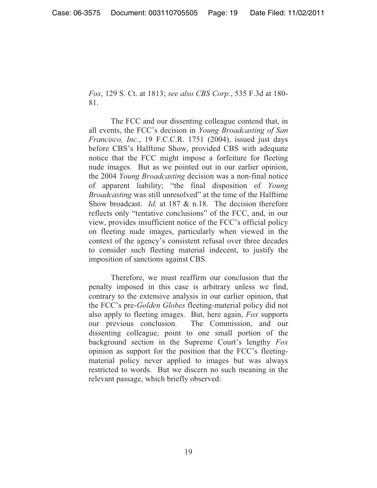*Fox*, 129 S. Ct. at 1813; *see also CBS Corp.*, 535 F.3d at 180- 81.

The FCC and our dissenting colleague contend that, in all events, the FCC's decision in *Young Broadcasting of San Francisco, Inc.*, 19 F.C.C.R. 1751 (2004), issued just days before CBS's Halftime Show, provided CBS with adequate notice that the FCC might impose a forfeiture for fleeting nude images. But as we pointed out in our earlier opinion, the 2004 *Young Broadcasting* decision was a non-final notice of apparent liability; "the final disposition of *Young Broadcasting* was still unresolved" at the time of the Halftime Show broadcast. *Id.* at 187 & n.18. The decision therefore reflects only "tentative conclusions" of the FCC, and, in our view, provides insufficient notice of the FCC's official policy on fleeting nude images, particularly when viewed in the context of the agency's consistent refusal over three decades to consider such fleeting material indecent, to justify the imposition of sanctions against CBS.

Therefore, we must reaffirm our conclusion that the penalty imposed in this case is arbitrary unless we find, contrary to the extensive analysis in our earlier opinion, that the FCC's pre-*Golden Globes* fleeting-material policy did not also apply to fleeting images. But, here again, *Fox* supports our previous conclusion. The Commission, and our dissenting colleague, point to one small portion of the background section in the Supreme Court's lengthy *Fox* opinion as support for the position that the FCC's fleetingmaterial policy never applied to images but was always restricted to words. But we discern no such meaning in the relevant passage, which briefly observed: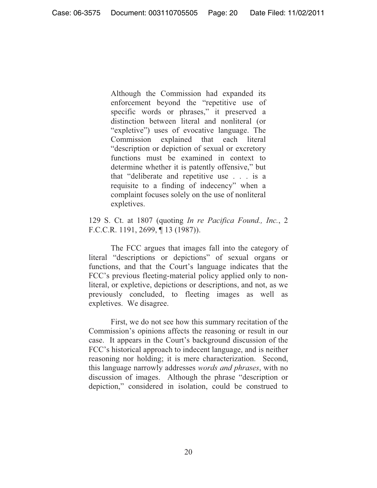Although the Commission had expanded its enforcement beyond the "repetitive use of specific words or phrases," it preserved a distinction between literal and nonliteral (or "expletive") uses of evocative language. The Commission explained that each literal "description or depiction of sexual or excretory functions must be examined in context to determine whether it is patently offensive," but that "deliberate and repetitive use . . . is a requisite to a finding of indecency" when a complaint focuses solely on the use of nonliteral expletives.

129 S. Ct. at 1807 (quoting *In re Pacifica Found., Inc.*, 2 F.C.C.R. 1191, 2699, ¶ 13 (1987)).

The FCC argues that images fall into the category of literal "descriptions or depictions" of sexual organs or functions, and that the Court's language indicates that the FCC's previous fleeting-material policy applied only to nonliteral, or expletive, depictions or descriptions, and not, as we previously concluded, to fleeting images as well as expletives. We disagree.

 First, we do not see how this summary recitation of the Commission's opinions affects the reasoning or result in our case. It appears in the Court's background discussion of the FCC's historical approach to indecent language, and is neither reasoning nor holding; it is mere characterization. Second, this language narrowly addresses *words and phrases*, with no discussion of images. Although the phrase "description or depiction," considered in isolation, could be construed to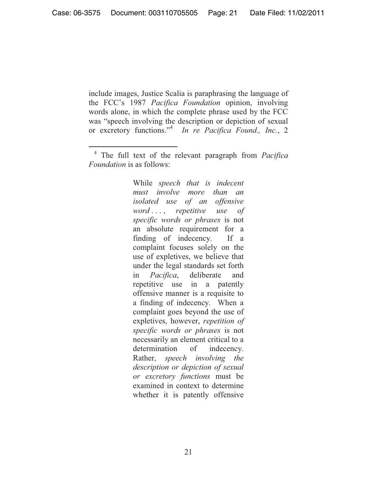include images, Justice Scalia is paraphrasing the language of the FCC's 1987 *Pacifica Foundation* opinion, involving words alone, in which the complete phrase used by the FCC was "speech involving the description or depiction of sexual or excretory functions."<sup>4</sup> *In re Pacifica Found., Inc.*, 2

 $\overline{a}$ 

While *speech that is indecent must involve more than an isolated use of an offensive word* . . . , *repetitive use of specific words or phrases* is not an absolute requirement for a finding of indecency. If a complaint focuses solely on the use of expletives, we believe that under the legal standards set forth in *Pacifica*, deliberate and repetitive use in a patently offensive manner is a requisite to a finding of indecency. When a complaint goes beyond the use of expletives, however, *repetition of specific words or phrases* is not necessarily an element critical to a determination of indecency. Rather, *speech involving the description or depiction of sexual or excretory functions* must be examined in context to determine whether it is patently offensive

<sup>4</sup> The full text of the relevant paragraph from *Pacifica Foundation* is as follows: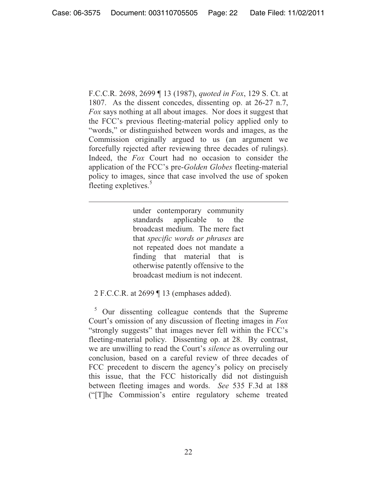F.C.C.R. 2698, 2699 ¶ 13 (1987), *quoted in Fox*, 129 S. Ct. at 1807. As the dissent concedes, dissenting op. at 26-27 n.7, *Fox* says nothing at all about images. Nor does it suggest that the FCC's previous fleeting-material policy applied only to "words," or distinguished between words and images, as the Commission originally argued to us (an argument we forcefully rejected after reviewing three decades of rulings). Indeed, the *Fox* Court had no occasion to consider the application of the FCC's pre-*Golden Globes* fleeting-material policy to images, since that case involved the use of spoken fleeting expletives.<sup>5</sup>

> under contemporary community standards applicable to the broadcast medium. The mere fact that *specific words or phrases* are not repeated does not mandate a finding that material that is otherwise patently offensive to the broadcast medium is not indecent.

2 F.C.C.R. at 2699 ¶ 13 (emphases added).

 $\overline{a}$ 

<sup>5</sup> Our dissenting colleague contends that the Supreme Court's omission of any discussion of fleeting images in *Fox* "strongly suggests" that images never fell within the FCC's fleeting-material policy. Dissenting op. at 28. By contrast, we are unwilling to read the Court's *silence* as overruling our conclusion, based on a careful review of three decades of FCC precedent to discern the agency's policy on precisely this issue, that the FCC historically did not distinguish between fleeting images and words. *See* 535 F.3d at 188 ("[T]he Commission's entire regulatory scheme treated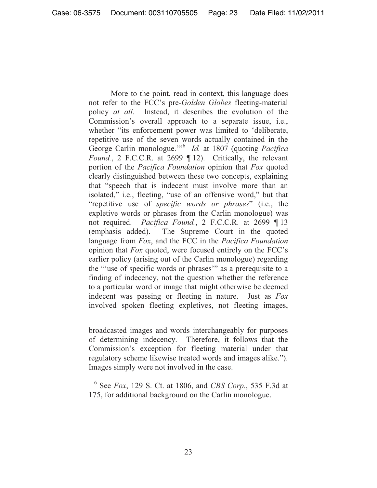More to the point, read in context, this language does not refer to the FCC's pre-*Golden Globes* fleeting-material policy *at all*. Instead, it describes the evolution of the Commission's overall approach to a separate issue, i.e., whether "its enforcement power was limited to 'deliberate, repetitive use of the seven words actually contained in the George Carlin monologue.'"<sup>6</sup> *Id.* at 1807 (quoting *Pacifica Found.*, 2 F.C.C.R. at 2699 ¶ 12). Critically, the relevant portion of the *Pacifica Foundation* opinion that *Fox* quoted clearly distinguished between these two concepts, explaining that "speech that is indecent must involve more than an isolated," i.e., fleeting, "use of an offensive word," but that "repetitive use of *specific words or phrases*" (i.e., the expletive words or phrases from the Carlin monologue) was not required. *Pacifica Found.*, 2 F.C.C.R. at 2699 ¶ 13 (emphasis added). The Supreme Court in the quoted language from *Fox*, and the FCC in the *Pacifica Foundation* opinion that *Fox* quoted, were focused entirely on the FCC's earlier policy (arising out of the Carlin monologue) regarding the "'use of specific words or phrases'" as a prerequisite to a finding of indecency, not the question whether the reference to a particular word or image that might otherwise be deemed indecent was passing or fleeting in nature. Just as *Fox* involved spoken fleeting expletives, not fleeting images,

broadcasted images and words interchangeably for purposes of determining indecency. Therefore, it follows that the Commission's exception for fleeting material under that regulatory scheme likewise treated words and images alike."). Images simply were not involved in the case.

 $\overline{a}$ 

6 See *Fox*, 129 S. Ct. at 1806, and *CBS Corp.*, 535 F.3d at 175, for additional background on the Carlin monologue.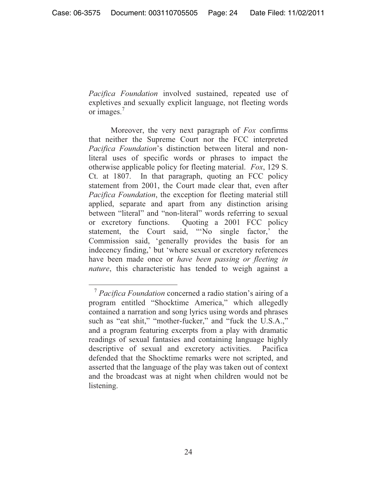*Pacifica Foundation* involved sustained, repeated use of expletives and sexually explicit language, not fleeting words or images.<sup>7</sup>

Moreover, the very next paragraph of *Fox* confirms that neither the Supreme Court nor the FCC interpreted *Pacifica Foundation*'s distinction between literal and nonliteral uses of specific words or phrases to impact the otherwise applicable policy for fleeting material. *Fox*, 129 S. Ct. at 1807. In that paragraph, quoting an FCC policy statement from 2001, the Court made clear that, even after *Pacifica Foundation*, the exception for fleeting material still applied, separate and apart from any distinction arising between "literal" and "non-literal" words referring to sexual or excretory functions. Quoting a 2001 FCC policy statement, the Court said, "'No single factor,' the Commission said, 'generally provides the basis for an indecency finding,' but 'where sexual or excretory references have been made once or *have been passing or fleeting in nature*, this characteristic has tended to weigh against a

 <sup>7</sup> *Pacifica Foundation* concerned a radio station's airing of a program entitled "Shocktime America," which allegedly contained a narration and song lyrics using words and phrases such as "eat shit," "mother-fucker," and "fuck the U.S.A.," and a program featuring excerpts from a play with dramatic readings of sexual fantasies and containing language highly descriptive of sexual and excretory activities. Pacifica defended that the Shocktime remarks were not scripted, and asserted that the language of the play was taken out of context and the broadcast was at night when children would not be listening.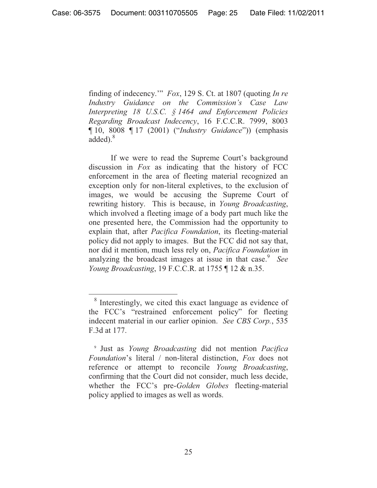finding of indecency.'" *Fox*, 129 S. Ct. at 1807 (quoting *In re Industry Guidance on the Commission's Case Law Interpreting 18 U.S.C. § 1464 and Enforcement Policies Regarding Broadcast Indecency*, 16 F.C.C.R. 7999, 8003 ¶ 10, 8008 ¶ 17 (2001) ("*Industry Guidance*")) (emphasis  $\ddot{\text{added}}$ ).<sup>8</sup>

If we were to read the Supreme Court's background discussion in *Fox* as indicating that the history of FCC enforcement in the area of fleeting material recognized an exception only for non-literal expletives, to the exclusion of images, we would be accusing the Supreme Court of rewriting history. This is because, in *Young Broadcasting*, which involved a fleeting image of a body part much like the one presented here, the Commission had the opportunity to explain that, after *Pacifica Foundation*, its fleeting-material policy did not apply to images. But the FCC did not say that, nor did it mention, much less rely on, *Pacifica Foundation* in analyzing the broadcast images at issue in that case.<sup>9</sup> See *Young Broadcasting*, 19 F.C.C.R. at 1755 ¶ 12 & n.35.

 $\overline{a}$ 

<sup>&</sup>lt;sup>8</sup> Interestingly, we cited this exact language as evidence of the FCC's "restrained enforcement policy" for fleeting indecent material in our earlier opinion. *See CBS Corp.*, 535 F.3d at 177.

<sup>9</sup> Just as *Young Broadcasting* did not mention *Pacifica Foundation*'s literal / non-literal distinction, *Fox* does not reference or attempt to reconcile *Young Broadcasting*, confirming that the Court did not consider, much less decide, whether the FCC's pre-*Golden Globes* fleeting-material policy applied to images as well as words.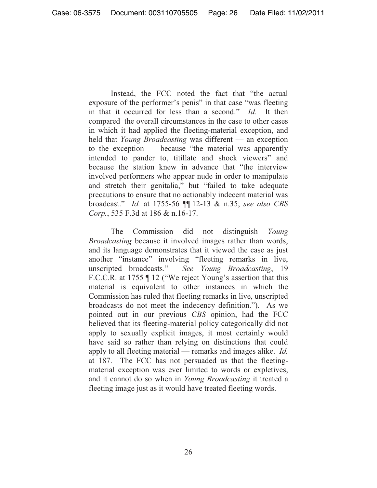Instead, the FCC noted the fact that "the actual exposure of the performer's penis" in that case "was fleeting in that it occurred for less than a second." *Id.* It then compared the overall circumstances in the case to other cases in which it had applied the fleeting-material exception, and held that *Young Broadcasting* was different — an exception to the exception — because "the material was apparently intended to pander to, titillate and shock viewers" and because the station knew in advance that "the interview involved performers who appear nude in order to manipulate and stretch their genitalia," but "failed to take adequate precautions to ensure that no actionably indecent material was broadcast." *Id.* at 1755-56 ¶¶ 12-13 & n.35; *see also CBS Corp.*, 535 F.3d at 186 & n.16-17.

The Commission did not distinguish *Young Broadcasting* because it involved images rather than words, and its language demonstrates that it viewed the case as just another "instance" involving "fleeting remarks in live, unscripted broadcasts." *See Young Broadcasting*, 19 F.C.C.R. at 1755 ¶ 12 ("We reject Young's assertion that this material is equivalent to other instances in which the Commission has ruled that fleeting remarks in live, unscripted broadcasts do not meet the indecency definition."). As we pointed out in our previous *CBS* opinion, had the FCC believed that its fleeting-material policy categorically did not apply to sexually explicit images, it most certainly would have said so rather than relying on distinctions that could apply to all fleeting material — remarks and images alike. *Id.* at 187. The FCC has not persuaded us that the fleetingmaterial exception was ever limited to words or expletives, and it cannot do so when in *Young Broadcasting* it treated a fleeting image just as it would have treated fleeting words.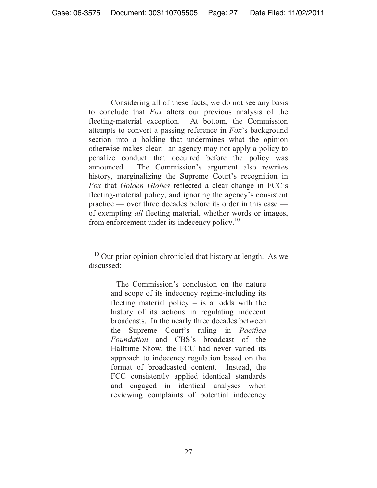Considering all of these facts, we do not see any basis to conclude that *Fox* alters our previous analysis of the fleeting-material exception. At bottom, the Commission attempts to convert a passing reference in *Fox*'s background section into a holding that undermines what the opinion otherwise makes clear: an agency may not apply a policy to penalize conduct that occurred before the policy was announced. The Commission's argument also rewrites history, marginalizing the Supreme Court's recognition in *Fox* that *Golden Globes* reflected a clear change in FCC's fleeting-material policy, and ignoring the agency's consistent practice — over three decades before its order in this case of exempting *all* fleeting material, whether words or images, from enforcement under its indecency policy.<sup>10</sup>

 $\overline{a}$ 

 $10$  Our prior opinion chronicled that history at length. As we discussed:

The Commission's conclusion on the nature and scope of its indecency regime-including its fleeting material policy  $-$  is at odds with the history of its actions in regulating indecent broadcasts. In the nearly three decades between the Supreme Court's ruling in *Pacifica Foundation* and CBS's broadcast of the Halftime Show, the FCC had never varied its approach to indecency regulation based on the format of broadcasted content. Instead, the FCC consistently applied identical standards and engaged in identical analyses when reviewing complaints of potential indecency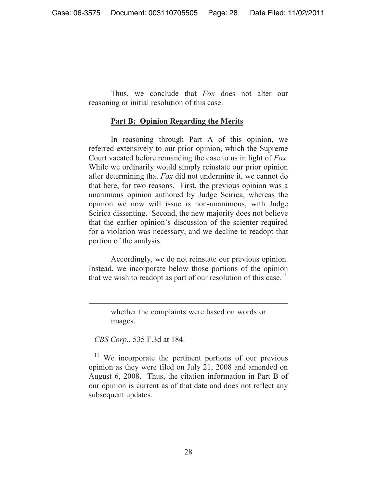Thus, we conclude that *Fox* does not alter our reasoning or initial resolution of this case.

## **Part B: Opinion Regarding the Merits**

In reasoning through Part A of this opinion, we referred extensively to our prior opinion, which the Supreme Court vacated before remanding the case to us in light of *Fox*. While we ordinarily would simply reinstate our prior opinion after determining that *Fox* did not undermine it, we cannot do that here, for two reasons. First, the previous opinion was a unanimous opinion authored by Judge Scirica, whereas the opinion we now will issue is non-unanimous, with Judge Scirica dissenting. Second, the new majority does not believe that the earlier opinion's discussion of the scienter required for a violation was necessary, and we decline to readopt that portion of the analysis.

Accordingly, we do not reinstate our previous opinion. Instead, we incorporate below those portions of the opinion that we wish to readopt as part of our resolution of this case.<sup>11</sup>

> whether the complaints were based on words or images.

*CBS Corp.*, 535 F.3d at 184.

 $\overline{a}$ 

 $11$  We incorporate the pertinent portions of our previous opinion as they were filed on July 21, 2008 and amended on August 6, 2008. Thus, the citation information in Part B of our opinion is current as of that date and does not reflect any subsequent updates.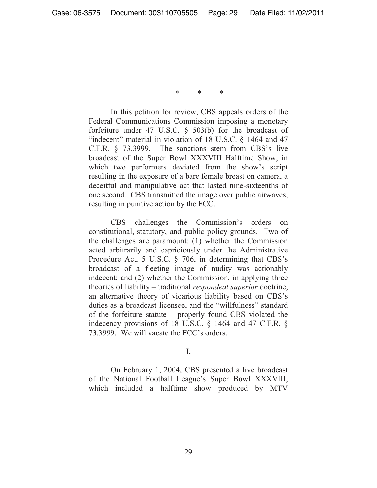\* \* \*

In this petition for review, CBS appeals orders of the Federal Communications Commission imposing a monetary forfeiture under 47 U.S.C. § 503(b) for the broadcast of "indecent" material in violation of 18 U.S.C. § 1464 and 47 C.F.R. § 73.3999. The sanctions stem from CBS's live broadcast of the Super Bowl XXXVIII Halftime Show, in which two performers deviated from the show's script resulting in the exposure of a bare female breast on camera, a deceitful and manipulative act that lasted nine-sixteenths of one second. CBS transmitted the image over public airwaves, resulting in punitive action by the FCC.

CBS challenges the Commission's orders on constitutional, statutory, and public policy grounds. Two of the challenges are paramount: (1) whether the Commission acted arbitrarily and capriciously under the Administrative Procedure Act, 5 U.S.C. § 706, in determining that CBS's broadcast of a fleeting image of nudity was actionably indecent; and (2) whether the Commission, in applying three theories of liability – traditional *respondeat superior* doctrine, an alternative theory of vicarious liability based on CBS's duties as a broadcast licensee, and the "willfulness" standard of the forfeiture statute – properly found CBS violated the indecency provisions of 18 U.S.C. § 1464 and 47 C.F.R. § 73.3999. We will vacate the FCC's orders.

## **I.**

 On February 1, 2004, CBS presented a live broadcast of the National Football League's Super Bowl XXXVIII, which included a halftime show produced by MTV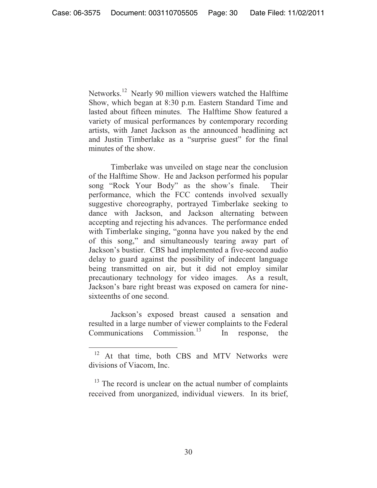Networks.<sup>12</sup> Nearly 90 million viewers watched the Halftime Show, which began at 8:30 p.m. Eastern Standard Time and lasted about fifteen minutes. The Halftime Show featured a variety of musical performances by contemporary recording artists, with Janet Jackson as the announced headlining act and Justin Timberlake as a "surprise guest" for the final minutes of the show.

 Timberlake was unveiled on stage near the conclusion of the Halftime Show. He and Jackson performed his popular song "Rock Your Body" as the show's finale. Their performance, which the FCC contends involved sexually suggestive choreography, portrayed Timberlake seeking to dance with Jackson, and Jackson alternating between accepting and rejecting his advances. The performance ended with Timberlake singing, "gonna have you naked by the end of this song," and simultaneously tearing away part of Jackson's bustier. CBS had implemented a five-second audio delay to guard against the possibility of indecent language being transmitted on air, but it did not employ similar precautionary technology for video images. As a result, Jackson's bare right breast was exposed on camera for ninesixteenths of one second.

Jackson's exposed breast caused a sensation and resulted in a large number of viewer complaints to the Federal<br>Communications Commission.<sup>13</sup> In response, the Communications Commission.<sup>13</sup> In response, the

<sup>&</sup>lt;sup>12</sup> At that time, both CBS and MTV Networks were divisions of Viacom, Inc.

 $13$  The record is unclear on the actual number of complaints received from unorganized, individual viewers. In its brief,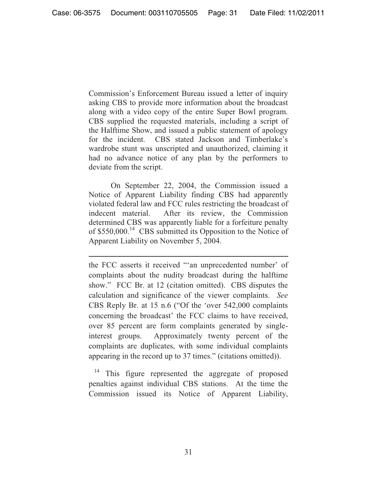Commission's Enforcement Bureau issued a letter of inquiry asking CBS to provide more information about the broadcast along with a video copy of the entire Super Bowl program. CBS supplied the requested materials, including a script of the Halftime Show, and issued a public statement of apology for the incident. CBS stated Jackson and Timberlake's wardrobe stunt was unscripted and unauthorized, claiming it had no advance notice of any plan by the performers to deviate from the script.

 On September 22, 2004, the Commission issued a Notice of Apparent Liability finding CBS had apparently violated federal law and FCC rules restricting the broadcast of indecent material. After its review, the Commission determined CBS was apparently liable for a forfeiture penalty of \$550,000.<sup>14</sup> CBS submitted its Opposition to the Notice of Apparent Liability on November 5, 2004.

 $\overline{a}$ 

the FCC asserts it received "'an unprecedented number' of complaints about the nudity broadcast during the halftime show." FCC Br. at 12 (citation omitted). CBS disputes the calculation and significance of the viewer complaints. *See* CBS Reply Br. at 15 n.6 ("Of the 'over 542,000 complaints concerning the broadcast' the FCC claims to have received, over 85 percent are form complaints generated by singleinterest groups. Approximately twenty percent of the complaints are duplicates, with some individual complaints appearing in the record up to 37 times." (citations omitted)).

This figure represented the aggregate of proposed penalties against individual CBS stations. At the time the Commission issued its Notice of Apparent Liability,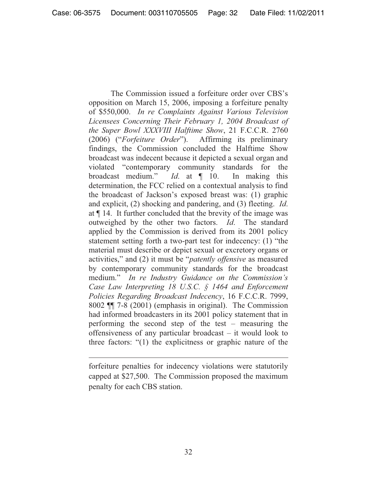The Commission issued a forfeiture order over CBS's opposition on March 15, 2006, imposing a forfeiture penalty of \$550,000. *In re Complaints Against Various Television Licensees Concerning Their February 1, 2004 Broadcast of the Super Bowl XXXVIII Halftime Show*, 21 F.C.C.R. 2760 (2006) ("*Forfeiture Order*"). Affirming its preliminary findings, the Commission concluded the Halftime Show broadcast was indecent because it depicted a sexual organ and violated "contemporary community standards for the broadcast medium." *Id*. at ¶ 10. In making this determination, the FCC relied on a contextual analysis to find the broadcast of Jackson's exposed breast was: (1) graphic and explicit, (2) shocking and pandering, and (3) fleeting. *Id*. at ¶ 14. It further concluded that the brevity of the image was outweighed by the other two factors. *Id*. The standard applied by the Commission is derived from its 2001 policy statement setting forth a two-part test for indecency: (1) "the material must describe or depict sexual or excretory organs or activities," and (2) it must be "*patently offensive* as measured by contemporary community standards for the broadcast medium." *In re Industry Guidance on the Commission's Case Law Interpreting 18 U.S.C. § 1464 and Enforcement Policies Regarding Broadcast Indecency*, 16 F.C.C.R. 7999, 8002 ¶¶ 7-8 (2001) (emphasis in original). The Commission had informed broadcasters in its 2001 policy statement that in performing the second step of the test – measuring the offensiveness of any particular broadcast – it would look to three factors: "(1) the explicitness or graphic nature of the

 $\overline{a}$ 

forfeiture penalties for indecency violations were statutorily capped at \$27,500. The Commission proposed the maximum penalty for each CBS station.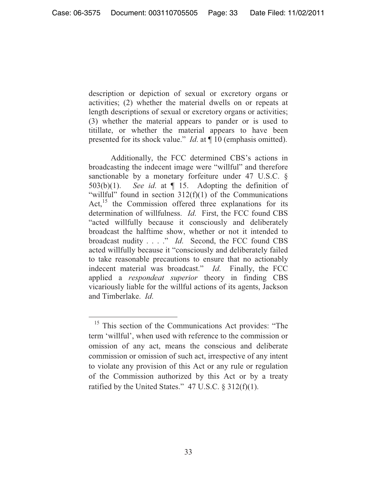description or depiction of sexual or excretory organs or activities; (2) whether the material dwells on or repeats at length descriptions of sexual or excretory organs or activities; (3) whether the material appears to pander or is used to titillate, or whether the material appears to have been presented for its shock value." *Id*. at ¶ 10 (emphasis omitted).

Additionally, the FCC determined CBS's actions in broadcasting the indecent image were "willful" and therefore sanctionable by a monetary forfeiture under 47 U.S.C. § 503(b)(1). *See id*. at ¶ 15. Adopting the definition of "willful" found in section  $312(f)(1)$  of the Communications Act, $15$  the Commission offered three explanations for its determination of willfulness. *Id*. First, the FCC found CBS "acted willfully because it consciously and deliberately broadcast the halftime show, whether or not it intended to broadcast nudity . . . ." *Id*. Second, the FCC found CBS acted willfully because it "consciously and deliberately failed to take reasonable precautions to ensure that no actionably indecent material was broadcast." *Id*. Finally, the FCC applied a *respondeat superior* theory in finding CBS vicariously liable for the willful actions of its agents, Jackson and Timberlake. *Id*.

 $\overline{a}$ <sup>15</sup> This section of the Communications Act provides: "The term 'willful', when used with reference to the commission or omission of any act, means the conscious and deliberate commission or omission of such act, irrespective of any intent to violate any provision of this Act or any rule or regulation of the Commission authorized by this Act or by a treaty ratified by the United States."  $47$  U.S.C.  $\S 312(f)(1)$ .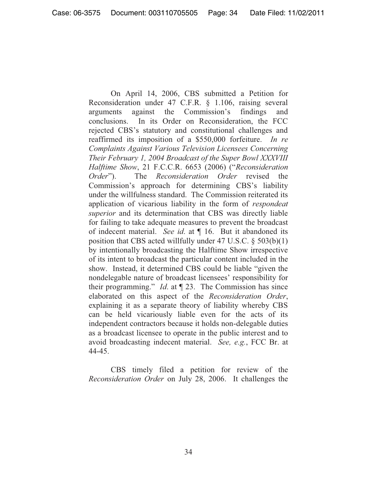On April 14, 2006, CBS submitted a Petition for Reconsideration under 47 C.F.R. § 1.106, raising several arguments against the Commission's findings and conclusions. In its Order on Reconsideration, the FCC rejected CBS's statutory and constitutional challenges and reaffirmed its imposition of a \$550,000 forfeiture. *In re Complaints Against Various Television Licensees Concerning Their February 1, 2004 Broadcast of the Super Bowl XXXVIII Halftime Show*, 21 F.C.C.R. 6653 (2006) ("*Reconsideration Order*"). The *Reconsideration Order* revised the Commission's approach for determining CBS's liability under the willfulness standard. The Commission reiterated its application of vicarious liability in the form of *respondeat superior* and its determination that CBS was directly liable for failing to take adequate measures to prevent the broadcast of indecent material. *See id*. at ¶ 16. But it abandoned its position that CBS acted willfully under 47 U.S.C. § 503(b)(1) by intentionally broadcasting the Halftime Show irrespective of its intent to broadcast the particular content included in the show. Instead, it determined CBS could be liable "given the nondelegable nature of broadcast licensees' responsibility for their programming." *Id*. at ¶ 23. The Commission has since elaborated on this aspect of the *Reconsideration Order*, explaining it as a separate theory of liability whereby CBS can be held vicariously liable even for the acts of its independent contractors because it holds non-delegable duties as a broadcast licensee to operate in the public interest and to avoid broadcasting indecent material. *See, e.g.*, FCC Br. at 44-45.

 CBS timely filed a petition for review of the *Reconsideration Order* on July 28, 2006. It challenges the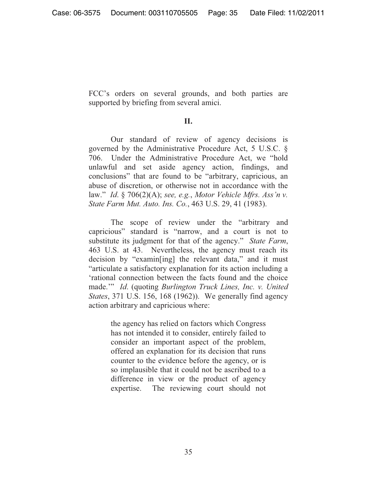FCC's orders on several grounds, and both parties are supported by briefing from several amici.

### **II.**

 Our standard of review of agency decisions is governed by the Administrative Procedure Act, 5 U.S.C. § 706. Under the Administrative Procedure Act, we "hold unlawful and set aside agency action, findings, and conclusions" that are found to be "arbitrary, capricious, an abuse of discretion, or otherwise not in accordance with the law." *Id*. § 706(2)(A); *see, e.g.*, *Motor Vehicle Mfrs. Ass'n v. State Farm Mut. Auto. Ins. Co.*, 463 U.S. 29, 41 (1983).

 The scope of review under the "arbitrary and capricious" standard is "narrow, and a court is not to substitute its judgment for that of the agency." *State Farm*, 463 U.S. at 43. Nevertheless, the agency must reach its decision by "examin[ing] the relevant data," and it must "articulate a satisfactory explanation for its action including a 'rational connection between the facts found and the choice made.'" *Id*. (quoting *Burlington Truck Lines, Inc. v. United States*, 371 U.S. 156, 168 (1962)). We generally find agency action arbitrary and capricious where:

> the agency has relied on factors which Congress has not intended it to consider, entirely failed to consider an important aspect of the problem, offered an explanation for its decision that runs counter to the evidence before the agency, or is so implausible that it could not be ascribed to a difference in view or the product of agency expertise. The reviewing court should not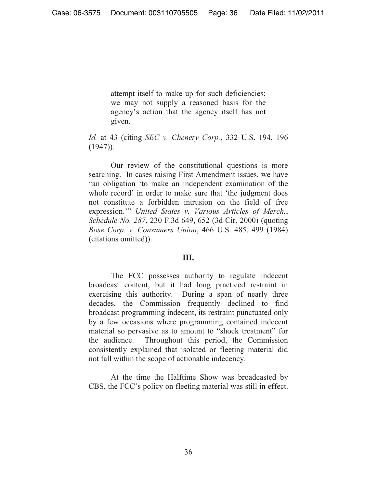attempt itself to make up for such deficiencies; we may not supply a reasoned basis for the agency's action that the agency itself has not given.

*Id.* at 43 (citing *SEC v. Chenery Corp.*, 332 U.S. 194, 196 (1947)).

 Our review of the constitutional questions is more searching. In cases raising First Amendment issues, we have "an obligation 'to make an independent examination of the whole record' in order to make sure that 'the judgment does not constitute a forbidden intrusion on the field of free expression.'" *United States v. Various Articles of Merch.*, *Schedule No. 287*, 230 F.3d 649, 652 (3d Cir. 2000) (quoting *Bose Corp. v. Consumers Union*, 466 U.S. 485, 499 (1984) (citations omitted)).

### **III.**

 The FCC possesses authority to regulate indecent broadcast content, but it had long practiced restraint in exercising this authority. During a span of nearly three decades, the Commission frequently declined to find broadcast programming indecent, its restraint punctuated only by a few occasions where programming contained indecent material so pervasive as to amount to "shock treatment" for the audience. Throughout this period, the Commission consistently explained that isolated or fleeting material did not fall within the scope of actionable indecency.

 At the time the Halftime Show was broadcasted by CBS, the FCC's policy on fleeting material was still in effect.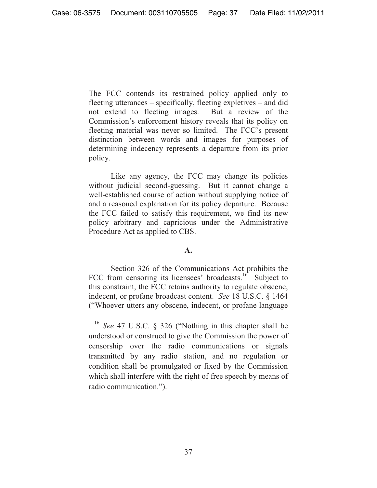The FCC contends its restrained policy applied only to fleeting utterances – specifically, fleeting expletives – and did not extend to fleeting images. But a review of the Commission's enforcement history reveals that its policy on fleeting material was never so limited. The FCC's present distinction between words and images for purposes of determining indecency represents a departure from its prior policy.

 Like any agency, the FCC may change its policies without judicial second-guessing. But it cannot change a well-established course of action without supplying notice of and a reasoned explanation for its policy departure. Because the FCC failed to satisfy this requirement, we find its new policy arbitrary and capricious under the Administrative Procedure Act as applied to CBS.

### **A.**

 Section 326 of the Communications Act prohibits the FCC from censoring its licensees' broadcasts.<sup>16</sup> Subject to this constraint, the FCC retains authority to regulate obscene, indecent, or profane broadcast content. *See* 18 U.S.C. § 1464 ("Whoever utters any obscene, indecent, or profane language

<sup>16</sup> *See* 47 U.S.C. § 326 ("Nothing in this chapter shall be understood or construed to give the Commission the power of censorship over the radio communications or signals transmitted by any radio station, and no regulation or condition shall be promulgated or fixed by the Commission which shall interfere with the right of free speech by means of radio communication.").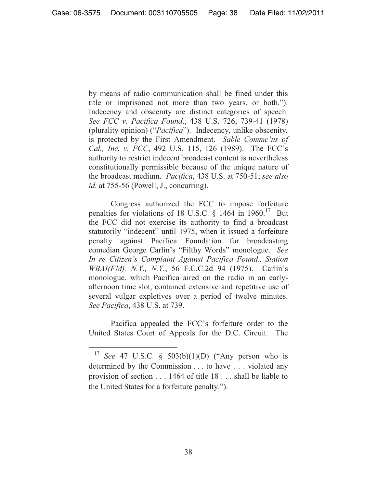by means of radio communication shall be fined under this title or imprisoned not more than two years, or both."). Indecency and obscenity are distinct categories of speech. *See FCC v. Pacifica Found*., 438 U.S. 726, 739-41 (1978) (plurality opinion) ("*Pacifica*"). Indecency, unlike obscenity, is protected by the First Amendment. *Sable Commc'ns of Cal., Inc. v. FCC*, 492 U.S. 115, 126 (1989). The FCC's authority to restrict indecent broadcast content is nevertheless constitutionally permissible because of the unique nature of the broadcast medium. *Pacifica*, 438 U.S. at 750-51; *see also id*. at 755-56 (Powell, J., concurring).

 Congress authorized the FCC to impose forfeiture penalties for violations of 18 U.S.C.  $\S$  1464 in 1960.<sup>17</sup> But the FCC did not exercise its authority to find a broadcast statutorily "indecent" until 1975, when it issued a forfeiture penalty against Pacifica Foundation for broadcasting comedian George Carlin's "Filthy Words" monologue. *See In re Citizen's Complaint Against Pacifica Found., Station WBAI(FM), N.Y., N.Y.*, 56 F.C.C.2d 94 (1975). Carlin's monologue, which Pacifica aired on the radio in an earlyafternoon time slot, contained extensive and repetitive use of several vulgar expletives over a period of twelve minutes. *See Pacifica*, 438 U.S. at 739.

Pacifica appealed the FCC's forfeiture order to the United States Court of Appeals for the D.C. Circuit. The

<sup>17</sup> *See* 47 U.S.C. § 503(b)(1)(D) ("Any person who is determined by the Commission . . . to have . . . violated any provision of section . . . 1464 of title 18 . . . shall be liable to the United States for a forfeiture penalty.").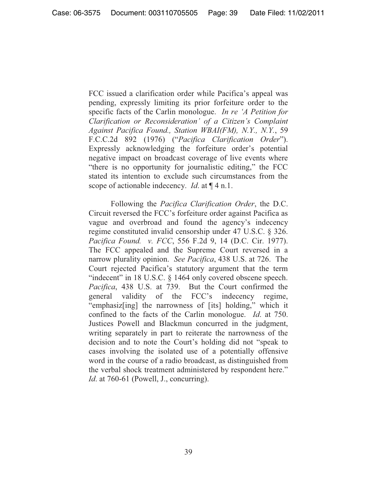FCC issued a clarification order while Pacifica's appeal was pending, expressly limiting its prior forfeiture order to the specific facts of the Carlin monologue. *In re 'A Petition for Clarification or Reconsideration' of a Citizen's Complaint Against Pacifica Found., Station WBAI(FM), N.Y., N.Y.*, 59 F.C.C.2d 892 (1976) ("*Pacifica Clarification Order*"). Expressly acknowledging the forfeiture order's potential negative impact on broadcast coverage of live events where "there is no opportunity for journalistic editing," the FCC stated its intention to exclude such circumstances from the scope of actionable indecency. *Id*. at ¶ 4 n.1.

 Following the *Pacifica Clarification Order*, the D.C. Circuit reversed the FCC's forfeiture order against Pacifica as vague and overbroad and found the agency's indecency regime constituted invalid censorship under 47 U.S.C. § 326. *Pacifica Found. v. FCC*, 556 F.2d 9, 14 (D.C. Cir. 1977). The FCC appealed and the Supreme Court reversed in a narrow plurality opinion. *See Pacifica*, 438 U.S. at 726. The Court rejected Pacifica's statutory argument that the term "indecent" in 18 U.S.C. § 1464 only covered obscene speech. *Pacifica*, 438 U.S. at 739. But the Court confirmed the general validity of the FCC's indecency regime, "emphasiz[ing] the narrowness of [its] holding," which it confined to the facts of the Carlin monologue. *Id*. at 750. Justices Powell and Blackmun concurred in the judgment, writing separately in part to reiterate the narrowness of the decision and to note the Court's holding did not "speak to cases involving the isolated use of a potentially offensive word in the course of a radio broadcast, as distinguished from the verbal shock treatment administered by respondent here." *Id*. at 760-61 (Powell, J., concurring).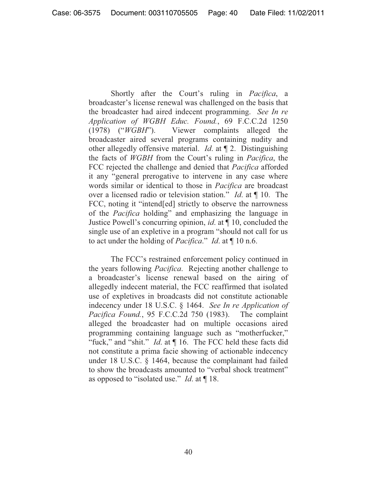Shortly after the Court's ruling in *Pacifica*, a broadcaster's license renewal was challenged on the basis that the broadcaster had aired indecent programming. *See In re Application of WGBH Educ. Found.*, 69 F.C.C.2d 1250 (1978) ("*WGBH*"). Viewer complaints alleged the broadcaster aired several programs containing nudity and other allegedly offensive material. *Id*. at ¶ 2. Distinguishing the facts of *WGBH* from the Court's ruling in *Pacifica*, the FCC rejected the challenge and denied that *Pacifica* afforded it any "general prerogative to intervene in any case where words similar or identical to those in *Pacifica* are broadcast over a licensed radio or television station." *Id*. at ¶ 10. The FCC, noting it "intend[ed] strictly to observe the narrowness of the *Pacifica* holding" and emphasizing the language in Justice Powell's concurring opinion, *id*. at ¶ 10, concluded the single use of an expletive in a program "should not call for us to act under the holding of *Pacifica*." *Id*. at ¶ 10 n.6.

The FCC's restrained enforcement policy continued in the years following *Pacifica*. Rejecting another challenge to a broadcaster's license renewal based on the airing of allegedly indecent material, the FCC reaffirmed that isolated use of expletives in broadcasts did not constitute actionable indecency under 18 U.S.C. § 1464. *See In re Application of Pacifica Found.*, 95 F.C.C.2d 750 (1983). The complaint alleged the broadcaster had on multiple occasions aired programming containing language such as "motherfucker," "fuck," and "shit." *Id*. at ¶ 16. The FCC held these facts did not constitute a prima facie showing of actionable indecency under 18 U.S.C. § 1464, because the complainant had failed to show the broadcasts amounted to "verbal shock treatment" as opposed to "isolated use." *Id*. at ¶ 18.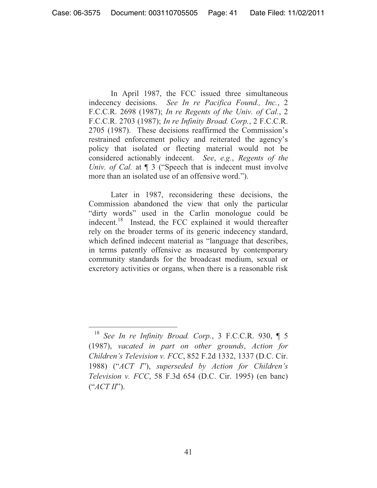In April 1987, the FCC issued three simultaneous indecency decisions. *See In re Pacifica Found., Inc.*, 2 F.C.C.R. 2698 (1987); *In re Regents of the Univ. of Cal.*, 2 F.C.C.R. 2703 (1987); *In re Infinity Broad. Corp.*, 2 F.C.C.R. 2705 (1987). These decisions reaffirmed the Commission's restrained enforcement policy and reiterated the agency's policy that isolated or fleeting material would not be considered actionably indecent. *See*, *e.g.*, *Regents of the Univ. of Cal.* at  $\P$  3 ("Speech that is indecent must involve more than an isolated use of an offensive word.").

 Later in 1987, reconsidering these decisions, the Commission abandoned the view that only the particular "dirty words" used in the Carlin monologue could be indecent.<sup>18</sup> Instead, the FCC explained it would thereafter rely on the broader terms of its generic indecency standard, which defined indecent material as "language that describes, in terms patently offensive as measured by contemporary community standards for the broadcast medium, sexual or excretory activities or organs, when there is a reasonable risk

 $\overline{a}$ <sup>18</sup> *See In re Infinity Broad. Corp.*, 3 F.C.C.R. 930, ¶ 5 (1987), *vacated in part on other grounds*, *Action for Children's Television v. FCC*, 852 F.2d 1332, 1337 (D.C. Cir. 1988) ("*ACT I*"), *superseded by Action for Children's Television v. FCC*, 58 F.3d 654 (D.C. Cir. 1995) (en banc) ("*ACT II*").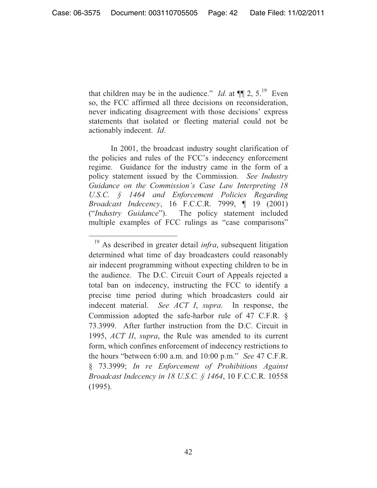that children may be in the audience." *Id.* at  $\P$  2, 5.<sup>19</sup> Even so, the FCC affirmed all three decisions on reconsideration, never indicating disagreement with those decisions' express statements that isolated or fleeting material could not be actionably indecent. *Id*.

 In 2001, the broadcast industry sought clarification of the policies and rules of the FCC's indecency enforcement regime. Guidance for the industry came in the form of a policy statement issued by the Commission. *See Industry Guidance on the Commission's Case Law Interpreting 18 U.S.C. § 1464 and Enforcement Policies Regarding Broadcast Indecency*, 16 F.C.C.R. 7999, ¶ 19 (2001) ("*Industry Guidance*"). The policy statement included multiple examples of FCC rulings as "case comparisons"

 $\overline{a}$ <sup>19</sup> As described in greater detail *infra*, subsequent litigation determined what time of day broadcasters could reasonably air indecent programming without expecting children to be in the audience. The D.C. Circuit Court of Appeals rejected a total ban on indecency, instructing the FCC to identify a precise time period during which broadcasters could air indecent material. *See ACT I*, *supra*. In response, the Commission adopted the safe-harbor rule of 47 C.F.R. § 73.3999. After further instruction from the D.C. Circuit in 1995, *ACT II*, *supra*, the Rule was amended to its current form, which confines enforcement of indecency restrictions to the hours "between 6:00 a.m. and 10:00 p.m." *See* 47 C.F.R. § 73.3999; *In re Enforcement of Prohibitions Against Broadcast Indecency in 18 U.S.C. § 1464*, 10 F.C.C.R. 10558 (1995).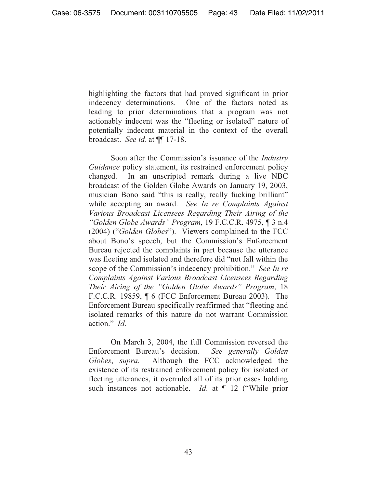highlighting the factors that had proved significant in prior indecency determinations. One of the factors noted as leading to prior determinations that a program was not actionably indecent was the "fleeting or isolated" nature of potentially indecent material in the context of the overall broadcast. *See id.* at ¶¶ 17-18.

Soon after the Commission's issuance of the *Industry Guidance* policy statement, its restrained enforcement policy changed. In an unscripted remark during a live NBC broadcast of the Golden Globe Awards on January 19, 2003, musician Bono said "this is really, really fucking brilliant" while accepting an award. *See In re Complaints Against Various Broadcast Licensees Regarding Their Airing of the "Golden Globe Awards" Program*, 19 F.C.C.R. 4975, ¶ 3 n.4 (2004) ("*Golden Globes*"). Viewers complained to the FCC about Bono's speech, but the Commission's Enforcement Bureau rejected the complaints in part because the utterance was fleeting and isolated and therefore did "not fall within the scope of the Commission's indecency prohibition." *See In re Complaints Against Various Broadcast Licensees Regarding Their Airing of the "Golden Globe Awards" Program*, 18 F.C.C.R. 19859, ¶ 6 (FCC Enforcement Bureau 2003). The Enforcement Bureau specifically reaffirmed that "fleeting and isolated remarks of this nature do not warrant Commission action." *Id*.

 On March 3, 2004, the full Commission reversed the Enforcement Bureau's decision. *See generally Golden Globes*, *supra*. Although the FCC acknowledged the existence of its restrained enforcement policy for isolated or fleeting utterances, it overruled all of its prior cases holding such instances not actionable. *Id*. at ¶ 12 ("While prior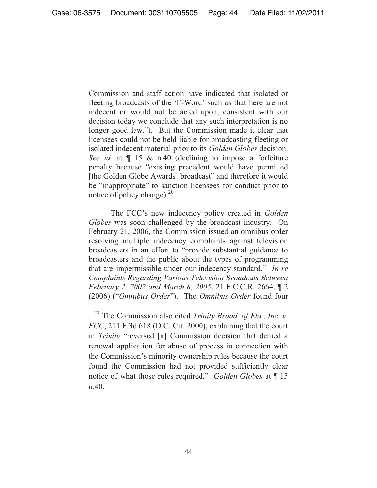Commission and staff action have indicated that isolated or fleeting broadcasts of the 'F-Word' such as that here are not indecent or would not be acted upon, consistent with our decision today we conclude that any such interpretation is no longer good law."). But the Commission made it clear that licensees could not be held liable for broadcasting fleeting or isolated indecent material prior to its *Golden Globes* decision. *See id.* at ¶ 15 & n.40 (declining to impose a forfeiture penalty because "existing precedent would have permitted [the Golden Globe Awards] broadcast" and therefore it would be "inappropriate" to sanction licensees for conduct prior to notice of policy change). $^{20}$ 

The FCC's new indecency policy created in *Golden Globes* was soon challenged by the broadcast industry. On February 21, 2006, the Commission issued an omnibus order resolving multiple indecency complaints against television broadcasters in an effort to "provide substantial guidance to broadcasters and the public about the types of programming that are impermissible under our indecency standard." *In re Complaints Regarding Various Television Broadcats Between February 2, 2002 and March 8, 2005*, 21 F.C.C.R. 2664, ¶ 2 (2006) ("*Omnibus Order*"). The *Omnibus Order* found four

<sup>20</sup> The Commission also cited *Trinity Broad. of Fla., Inc. v. FCC*, 211 F.3d 618 (D.C. Cir. 2000), explaining that the court in *Trinity* "reversed [a] Commission decision that denied a renewal application for abuse of process in connection with the Commission's minority ownership rules because the court found the Commission had not provided sufficiently clear notice of what those rules required." *Golden Globes* at ¶ 15 n.40.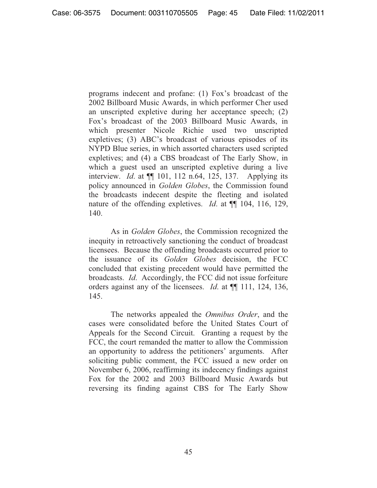programs indecent and profane: (1) Fox's broadcast of the 2002 Billboard Music Awards, in which performer Cher used an unscripted expletive during her acceptance speech; (2) Fox's broadcast of the 2003 Billboard Music Awards, in which presenter Nicole Richie used two unscripted expletives; (3) ABC's broadcast of various episodes of its NYPD Blue series, in which assorted characters used scripted expletives; and (4) a CBS broadcast of The Early Show, in which a guest used an unscripted expletive during a live interview. *Id*. at ¶¶ 101, 112 n.64, 125, 137. Applying its policy announced in *Golden Globes*, the Commission found the broadcasts indecent despite the fleeting and isolated nature of the offending expletives. *Id*. at ¶¶ 104, 116, 129, 140.

 As in *Golden Globes*, the Commission recognized the inequity in retroactively sanctioning the conduct of broadcast licensees. Because the offending broadcasts occurred prior to the issuance of its *Golden Globes* decision, the FCC concluded that existing precedent would have permitted the broadcasts. *Id*. Accordingly, the FCC did not issue forfeiture orders against any of the licensees. *Id*. at ¶¶ 111, 124, 136, 145.

 The networks appealed the *Omnibus Order*, and the cases were consolidated before the United States Court of Appeals for the Second Circuit. Granting a request by the FCC, the court remanded the matter to allow the Commission an opportunity to address the petitioners' arguments. After soliciting public comment, the FCC issued a new order on November 6, 2006, reaffirming its indecency findings against Fox for the 2002 and 2003 Billboard Music Awards but reversing its finding against CBS for The Early Show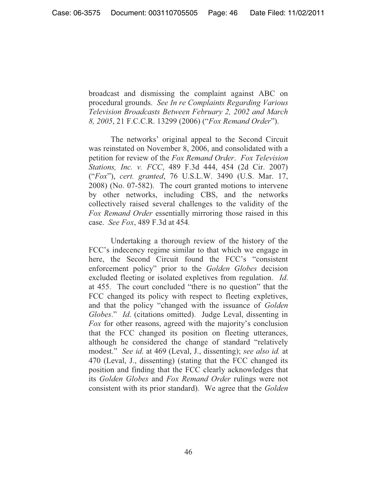broadcast and dismissing the complaint against ABC on procedural grounds. *See In re Complaints Regarding Various Television Broadcasts Between February 2, 2002 and March 8, 2005*, 21 F.C.C.R. 13299 (2006) ("*Fox Remand Order*").

The networks' original appeal to the Second Circuit was reinstated on November 8, 2006, and consolidated with a petition for review of the *Fox Remand Order*. *Fox Television Stations, Inc. v. FCC*, 489 F.3d 444, 454 (2d Cir. 2007) ("*Fox*"), *cert. granted*, 76 U.S.L.W. 3490 (U.S. Mar. 17, 2008) (No. 07-582). The court granted motions to intervene by other networks, including CBS, and the networks collectively raised several challenges to the validity of the *Fox Remand Order* essentially mirroring those raised in this case. *See Fox*, 489 F.3d at 454*.* 

 Undertaking a thorough review of the history of the FCC's indecency regime similar to that which we engage in here, the Second Circuit found the FCC's "consistent enforcement policy" prior to the *Golden Globes* decision excluded fleeting or isolated expletives from regulation. *Id*. at 455. The court concluded "there is no question" that the FCC changed its policy with respect to fleeting expletives, and that the policy "changed with the issuance of *Golden Globes*." *Id*. (citations omitted). Judge Leval, dissenting in *Fox* for other reasons, agreed with the majority's conclusion that the FCC changed its position on fleeting utterances, although he considered the change of standard "relatively modest." *See id*. at 469 (Leval, J., dissenting); *see also id.* at 470 (Leval, J., dissenting) (stating that the FCC changed its position and finding that the FCC clearly acknowledges that its *Golden Globes* and *Fox Remand Order* rulings were not consistent with its prior standard). We agree that the *Golden*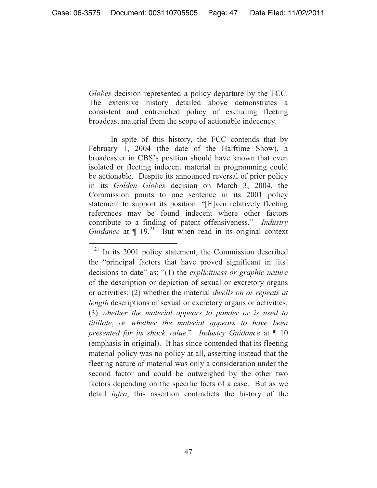*Globes* decision represented a policy departure by the FCC. The extensive history detailed above demonstrates a consistent and entrenched policy of excluding fleeting broadcast material from the scope of actionable indecency.

 In spite of this history, the FCC contends that by February 1, 2004 (the date of the Halftime Show), a broadcaster in CBS's position should have known that even isolated or fleeting indecent material in programming could be actionable. Despite its announced reversal of prior policy in its *Golden Globes* decision on March 3, 2004, the Commission points to one sentence in its 2001 policy statement to support its position: "[E]ven relatively fleeting references may be found indecent where other factors contribute to a finding of patent offensiveness." *Industry Guidance* at  $\int$  19.<sup>21</sup> But when read in its original context

 $\overline{a}$  $21$  In its 2001 policy statement, the Commission described the "principal factors that have proved significant in [its] decisions to date" as: "(1) the *explicitness or graphic nature*  of the description or depiction of sexual or excretory organs or activities; (2) whether the material *dwells on or repeats at length* descriptions of sexual or excretory organs or activities; (3) *whether the material appears to pander or is used to titillate*, or *whether the material appears to have been presented for its shock value*." *Industry Guidance* at ¶ 10 (emphasis in original). It has since contended that its fleeting material policy was no policy at all, asserting instead that the fleeting nature of material was only a consideration under the second factor and could be outweighed by the other two factors depending on the specific facts of a case. But as we detail *infra*, this assertion contradicts the history of the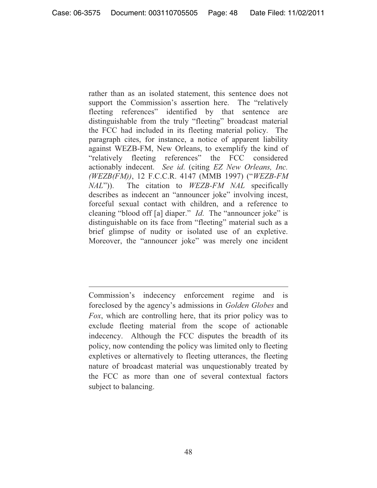rather than as an isolated statement, this sentence does not support the Commission's assertion here. The "relatively fleeting references" identified by that sentence are distinguishable from the truly "fleeting" broadcast material the FCC had included in its fleeting material policy. The paragraph cites, for instance, a notice of apparent liability against WEZB-FM, New Orleans, to exemplify the kind of "relatively fleeting references" the FCC considered actionably indecent. *See id*. (citing *EZ New Orleans, Inc. (WEZB(FM))*, 12 F.C.C.R. 4147 (MMB 1997) ("*WEZB-FM NAL*")). The citation to *WEZB-FM NAL* specifically describes as indecent an "announcer joke" involving incest, forceful sexual contact with children, and a reference to cleaning "blood off [a] diaper." *Id*. The "announcer joke" is distinguishable on its face from "fleeting" material such as a brief glimpse of nudity or isolated use of an expletive. Moreover, the "announcer joke" was merely one incident

Commission's indecency enforcement regime and is foreclosed by the agency's admissions in *Golden Globes* and *Fox*, which are controlling here, that its prior policy was to exclude fleeting material from the scope of actionable indecency. Although the FCC disputes the breadth of its policy, now contending the policy was limited only to fleeting expletives or alternatively to fleeting utterances, the fleeting nature of broadcast material was unquestionably treated by the FCC as more than one of several contextual factors subject to balancing.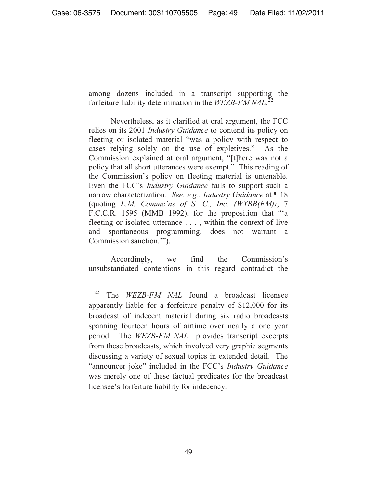among dozens included in a transcript supporting the forfeiture liability determination in the *WEZB-FM NAL*. 22

 Nevertheless, as it clarified at oral argument, the FCC relies on its 2001 *Industry Guidance* to contend its policy on fleeting or isolated material "was a policy with respect to cases relying solely on the use of expletives." As the Commission explained at oral argument, "[t]here was not a policy that all short utterances were exempt." This reading of the Commission's policy on fleeting material is untenable. Even the FCC's *Industry Guidance* fails to support such a narrow characterization. *See*, *e.g.*, *Industry Guidance* at ¶ 18 (quoting *L.M. Commc'ns of S. C., Inc. (WYBB(FM))*, 7 F.C.C.R. 1595 (MMB 1992), for the proposition that "'a fleeting or isolated utterance . . . , within the context of live and spontaneous programming, does not warrant a Commission sanction.'").

Accordingly, we find the Commission's unsubstantiated contentions in this regard contradict the

<sup>22</sup> The *WEZB-FM NAL* found a broadcast licensee apparently liable for a forfeiture penalty of \$12,000 for its broadcast of indecent material during six radio broadcasts spanning fourteen hours of airtime over nearly a one year period. The *WEZB-FM NAL* provides transcript excerpts from these broadcasts, which involved very graphic segments discussing a variety of sexual topics in extended detail. The "announcer joke" included in the FCC's *Industry Guidance*  was merely one of these factual predicates for the broadcast licensee's forfeiture liability for indecency.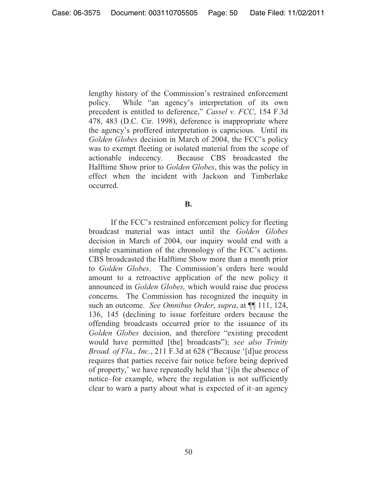lengthy history of the Commission's restrained enforcement policy. While "an agency's interpretation of its own precedent is entitled to deference," *Cassel v. FCC*, 154 F.3d 478, 483 (D.C. Cir. 1998), deference is inappropriate where the agency's proffered interpretation is capricious. Until its *Golden Globes* decision in March of 2004, the FCC's policy was to exempt fleeting or isolated material from the scope of actionable indecency. Because CBS broadcasted the Halftime Show prior to *Golden Globes*, this was the policy in effect when the incident with Jackson and Timberlake occurred.

#### **B.**

If the FCC's restrained enforcement policy for fleeting broadcast material was intact until the *Golden Globes*  decision in March of 2004, our inquiry would end with a simple examination of the chronology of the FCC's actions. CBS broadcasted the Halftime Show more than a month prior to *Golden Globes*. The Commission's orders here would amount to a retroactive application of the new policy it announced in *Golden Globes,* which would raise due process concerns. The Commission has recognized the inequity in such an outcome. *See Omnibus Order*, *supra*, at ¶¶ 111, 124, 136, 145 (declining to issue forfeiture orders because the offending broadcasts occurred prior to the issuance of its *Golden Globes* decision, and therefore "existing precedent would have permitted [the] broadcasts"); *see also Trinity Broad. of Fla., Inc.*, 211 F.3d at 628 ("Because '[d]ue process requires that parties receive fair notice before being deprived of property,' we have repeatedly held that '[i]n the absence of notice–for example, where the regulation is not sufficiently clear to warn a party about what is expected of it–an agency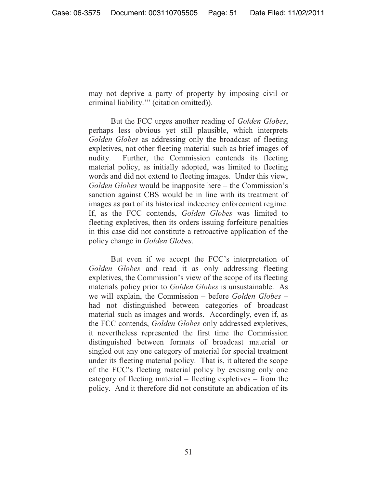may not deprive a party of property by imposing civil or criminal liability.'" (citation omitted)).

 But the FCC urges another reading of *Golden Globes*, perhaps less obvious yet still plausible, which interprets *Golden Globes* as addressing only the broadcast of fleeting expletives, not other fleeting material such as brief images of nudity. Further, the Commission contends its fleeting material policy, as initially adopted, was limited to fleeting words and did not extend to fleeting images. Under this view, *Golden Globes* would be inapposite here – the Commission's sanction against CBS would be in line with its treatment of images as part of its historical indecency enforcement regime. If, as the FCC contends, *Golden Globes* was limited to fleeting expletives, then its orders issuing forfeiture penalties in this case did not constitute a retroactive application of the policy change in *Golden Globes*.

 But even if we accept the FCC's interpretation of *Golden Globes* and read it as only addressing fleeting expletives, the Commission's view of the scope of its fleeting materials policy prior to *Golden Globes* is unsustainable. As we will explain, the Commission – before *Golden Globes* – had not distinguished between categories of broadcast material such as images and words. Accordingly, even if, as the FCC contends, *Golden Globes* only addressed expletives, it nevertheless represented the first time the Commission distinguished between formats of broadcast material or singled out any one category of material for special treatment under its fleeting material policy. That is, it altered the scope of the FCC's fleeting material policy by excising only one category of fleeting material – fleeting expletives – from the policy. And it therefore did not constitute an abdication of its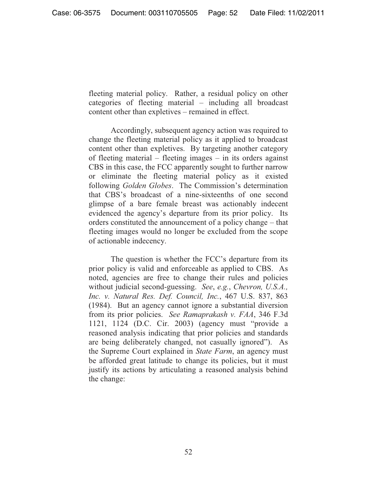fleeting material policy. Rather, a residual policy on other categories of fleeting material – including all broadcast content other than expletives – remained in effect.

 Accordingly, subsequent agency action was required to change the fleeting material policy as it applied to broadcast content other than expletives. By targeting another category of fleeting material – fleeting images – in its orders against CBS in this case, the FCC apparently sought to further narrow or eliminate the fleeting material policy as it existed following *Golden Globes*. The Commission's determination that CBS's broadcast of a nine-sixteenths of one second glimpse of a bare female breast was actionably indecent evidenced the agency's departure from its prior policy. Its orders constituted the announcement of a policy change – that fleeting images would no longer be excluded from the scope of actionable indecency.

 The question is whether the FCC's departure from its prior policy is valid and enforceable as applied to CBS. As noted, agencies are free to change their rules and policies without judicial second-guessing. *See*, *e.g.*, *Chevron, U.S.A., Inc. v. Natural Res. Def. Council, Inc.*, 467 U.S. 837, 863 (1984). But an agency cannot ignore a substantial diversion from its prior policies. *See Ramaprakash v. FAA*, 346 F.3d 1121, 1124 (D.C. Cir. 2003) (agency must "provide a reasoned analysis indicating that prior policies and standards are being deliberately changed, not casually ignored"). As the Supreme Court explained in *State Farm*, an agency must be afforded great latitude to change its policies, but it must justify its actions by articulating a reasoned analysis behind the change: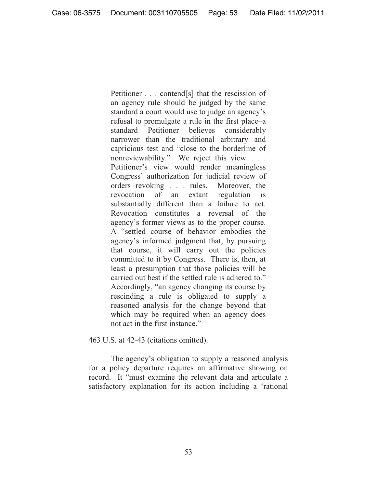Petitioner . . . contend[s] that the rescission of an agency rule should be judged by the same standard a court would use to judge an agency's refusal to promulgate a rule in the first place–a standard Petitioner believes considerably narrower than the traditional arbitrary and capricious test and "close to the borderline of nonreviewability." We reject this view. . . . Petitioner's view would render meaningless Congress' authorization for judicial review of orders revoking . . . rules. Moreover, the revocation of an extant regulation is substantially different than a failure to act. Revocation constitutes a reversal of the agency's former views as to the proper course. A "settled course of behavior embodies the agency's informed judgment that, by pursuing that course, it will carry out the policies committed to it by Congress. There is, then, at least a presumption that those policies will be carried out best if the settled rule is adhered to." Accordingly, "an agency changing its course by rescinding a rule is obligated to supply a reasoned analysis for the change beyond that which may be required when an agency does not act in the first instance."

463 U.S. at 42-43 (citations omitted).

The agency's obligation to supply a reasoned analysis for a policy departure requires an affirmative showing on record. It "must examine the relevant data and articulate a satisfactory explanation for its action including a 'rational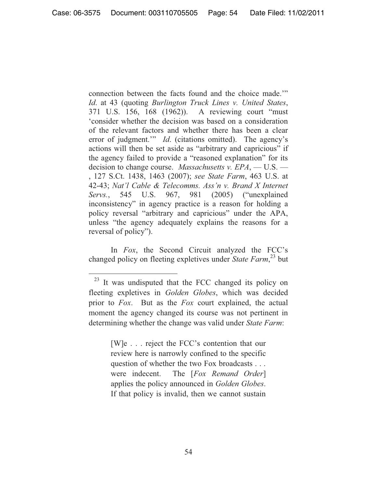connection between the facts found and the choice made.'" *Id*. at 43 (quoting *Burlington Truck Lines v. United States*, 371 U.S. 156, 168 (1962)). A reviewing court "must 'consider whether the decision was based on a consideration of the relevant factors and whether there has been a clear error of judgment."<sup>*Id*.</sup> (citations omitted). The agency's actions will then be set aside as "arbitrary and capricious" if the agency failed to provide a "reasoned explanation" for its decision to change course. *Massachusetts v. EPA*, — U.S. — , 127 S.Ct. 1438, 1463 (2007); *see State Farm*, 463 U.S. at 42-43; *Nat'l Cable & Telecomms. Ass'n v. Brand X Internet Servs.*, 545 U.S. 967, 981 (2005) ("unexplained inconsistency" in agency practice is a reason for holding a policy reversal "arbitrary and capricious" under the APA, unless "the agency adequately explains the reasons for a reversal of policy").

 In *Fox*, the Second Circuit analyzed the FCC's changed policy on fleeting expletives under *State Farm*, 23 but

 $\overline{a}$ 

[W]e . . . reject the FCC's contention that our review here is narrowly confined to the specific question of whether the two Fox broadcasts . . . were indecent. The [*Fox Remand Order*] applies the policy announced in *Golden Globes*. If that policy is invalid, then we cannot sustain

<sup>&</sup>lt;sup>23</sup> It was undisputed that the FCC changed its policy on fleeting expletives in *Golden Globes*, which was decided prior to *Fox*. But as the *Fox* court explained, the actual moment the agency changed its course was not pertinent in determining whether the change was valid under *State Farm*: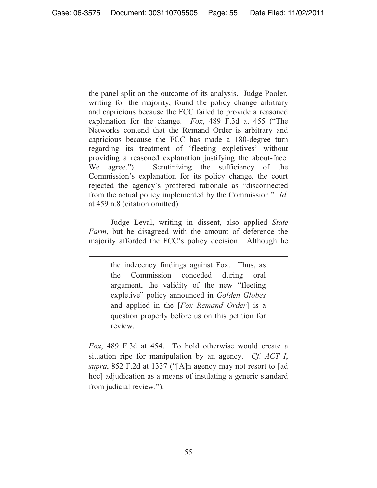the panel split on the outcome of its analysis. Judge Pooler, writing for the majority, found the policy change arbitrary and capricious because the FCC failed to provide a reasoned explanation for the change. *Fox*, 489 F.3d at 455 ("The Networks contend that the Remand Order is arbitrary and capricious because the FCC has made a 180-degree turn regarding its treatment of 'fleeting expletives' without providing a reasoned explanation justifying the about-face. We agree."). Scrutinizing the sufficiency of the Commission's explanation for its policy change, the court rejected the agency's proffered rationale as "disconnected from the actual policy implemented by the Commission." *Id*. at 459 n.8 (citation omitted).

 Judge Leval, writing in dissent, also applied *State Farm*, but he disagreed with the amount of deference the majority afforded the FCC's policy decision. Although he

 $\overline{a}$ 

the indecency findings against Fox. Thus, as the Commission conceded during oral argument, the validity of the new "fleeting expletive" policy announced in *Golden Globes*  and applied in the [*Fox Remand Order*] is a question properly before us on this petition for review.

*Fox*, 489 F.3d at 454. To hold otherwise would create a situation ripe for manipulation by an agency. *Cf*. *ACT I*, *supra*, 852 F.2d at 1337 ("[A]n agency may not resort to [ad hoc] adjudication as a means of insulating a generic standard from judicial review.").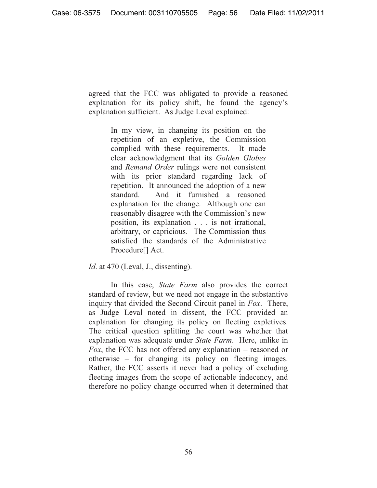agreed that the FCC was obligated to provide a reasoned explanation for its policy shift, he found the agency's explanation sufficient. As Judge Leval explained:

> In my view, in changing its position on the repetition of an expletive, the Commission complied with these requirements. It made clear acknowledgment that its *Golden Globes*  and *Remand Order* rulings were not consistent with its prior standard regarding lack of repetition. It announced the adoption of a new standard. And it furnished a reasoned explanation for the change. Although one can reasonably disagree with the Commission's new position, its explanation . . . is not irrational, arbitrary, or capricious. The Commission thus satisfied the standards of the Administrative Procedure[] Act.

*Id.* at 470 (Leval, J., dissenting).

 In this case, *State Farm* also provides the correct standard of review, but we need not engage in the substantive inquiry that divided the Second Circuit panel in *Fox*. There, as Judge Leval noted in dissent, the FCC provided an explanation for changing its policy on fleeting expletives. The critical question splitting the court was whether that explanation was adequate under *State Farm*. Here, unlike in *Fox*, the FCC has not offered any explanation – reasoned or otherwise – for changing its policy on fleeting images. Rather, the FCC asserts it never had a policy of excluding fleeting images from the scope of actionable indecency, and therefore no policy change occurred when it determined that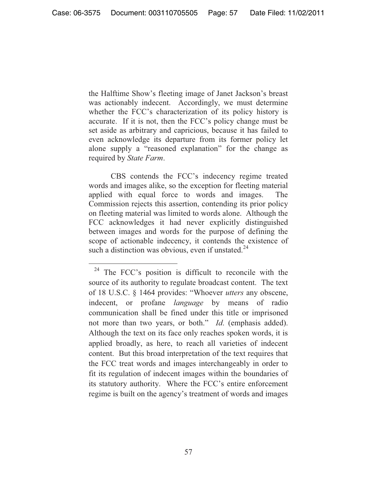the Halftime Show's fleeting image of Janet Jackson's breast was actionably indecent. Accordingly, we must determine whether the FCC's characterization of its policy history is accurate. If it is not, then the FCC's policy change must be set aside as arbitrary and capricious, because it has failed to even acknowledge its departure from its former policy let alone supply a "reasoned explanation" for the change as required by *State Farm*.

CBS contends the FCC's indecency regime treated words and images alike, so the exception for fleeting material applied with equal force to words and images. The Commission rejects this assertion, contending its prior policy on fleeting material was limited to words alone. Although the FCC acknowledges it had never explicitly distinguished between images and words for the purpose of defining the scope of actionable indecency, it contends the existence of such a distinction was obvious, even if unstated. $^{24}$ 

<sup>24</sup> The FCC's position is difficult to reconcile with the source of its authority to regulate broadcast content. The text of 18 U.S.C. § 1464 provides: "Whoever *utters* any obscene, indecent, or profane *language* by means of radio communication shall be fined under this title or imprisoned not more than two years, or both." *Id*. (emphasis added). Although the text on its face only reaches spoken words, it is applied broadly, as here, to reach all varieties of indecent content. But this broad interpretation of the text requires that the FCC treat words and images interchangeably in order to fit its regulation of indecent images within the boundaries of its statutory authority. Where the FCC's entire enforcement regime is built on the agency's treatment of words and images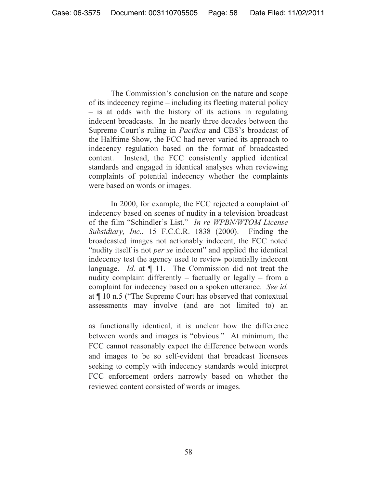The Commission's conclusion on the nature and scope of its indecency regime – including its fleeting material policy – is at odds with the history of its actions in regulating indecent broadcasts. In the nearly three decades between the Supreme Court's ruling in *Pacifica* and CBS's broadcast of the Halftime Show, the FCC had never varied its approach to indecency regulation based on the format of broadcasted content. Instead, the FCC consistently applied identical standards and engaged in identical analyses when reviewing complaints of potential indecency whether the complaints were based on words or images.

 In 2000, for example, the FCC rejected a complaint of indecency based on scenes of nudity in a television broadcast of the film "Schindler's List." *In re WPBN/WTOM License Subsidiary, Inc.*, 15 F.C.C.R. 1838 (2000). Finding the broadcasted images not actionably indecent, the FCC noted "nudity itself is not *per se* indecent" and applied the identical indecency test the agency used to review potentially indecent language. *Id*. at ¶ 11. The Commission did not treat the nudity complaint differently – factually or legally – from a complaint for indecency based on a spoken utterance. *See id.*  at ¶ 10 n.5 ("The Supreme Court has observed that contextual assessments may involve (and are not limited to) an

as functionally identical, it is unclear how the difference between words and images is "obvious." At minimum, the FCC cannot reasonably expect the difference between words and images to be so self-evident that broadcast licensees seeking to comply with indecency standards would interpret FCC enforcement orders narrowly based on whether the reviewed content consisted of words or images.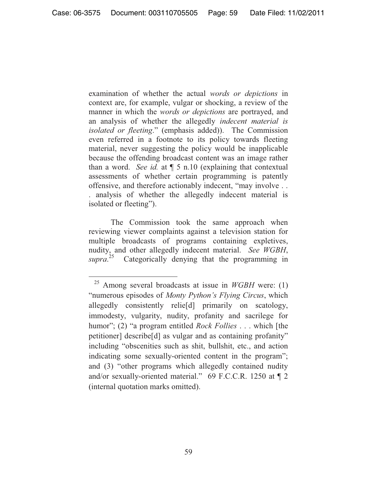examination of whether the actual *words or depictions* in context are, for example, vulgar or shocking, a review of the manner in which the *words or depictions* are portrayed, and an analysis of whether the allegedly *indecent material is isolated or fleeting*." (emphasis added)). The Commission even referred in a footnote to its policy towards fleeting material, never suggesting the policy would be inapplicable because the offending broadcast content was an image rather than a word. *See id.* at ¶ 5 n.10 (explaining that contextual assessments of whether certain programming is patently offensive, and therefore actionably indecent, "may involve . . . analysis of whether the allegedly indecent material is isolated or fleeting").

 The Commission took the same approach when reviewing viewer complaints against a television station for multiple broadcasts of programs containing expletives, nudity, and other allegedly indecent material. *See WGBH*, *supra*. 25 Categorically denying that the programming in

 $\overline{a}$ 25 Among several broadcasts at issue in *WGBH* were: (1) "numerous episodes of *Monty Python's Flying Circus*, which allegedly consistently relie[d] primarily on scatology, immodesty, vulgarity, nudity, profanity and sacrilege for humor"; (2) "a program entitled *Rock Follies* . . . which [the petitioner] describe[d] as vulgar and as containing profanity" including "obscenities such as shit, bullshit, etc., and action indicating some sexually-oriented content in the program"; and (3) "other programs which allegedly contained nudity and/or sexually-oriented material." 69 F.C.C.R. 1250 at ¶ 2 (internal quotation marks omitted).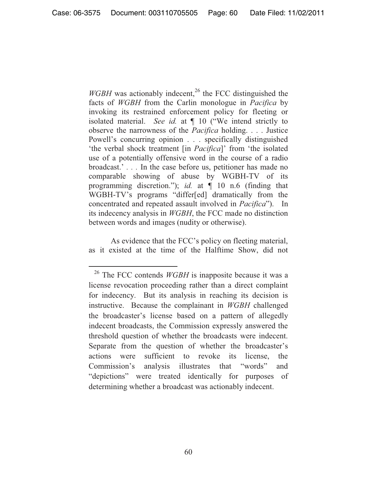$WGBH$  was actionably indecent,<sup>26</sup> the FCC distinguished the facts of *WGBH* from the Carlin monologue in *Pacifica* by invoking its restrained enforcement policy for fleeting or isolated material. *See id.* at ¶ 10 ("We intend strictly to observe the narrowness of the *Pacifica* holding. . . . Justice Powell's concurring opinion . . . specifically distinguished 'the verbal shock treatment [in *Pacifica*]' from 'the isolated use of a potentially offensive word in the course of a radio broadcast.' *. . .* In the case before us, petitioner has made no comparable showing of abuse by WGBH-TV of its programming discretion."); *id.* at ¶ 10 n.6 (finding that WGBH-TV's programs "differ[ed] dramatically from the concentrated and repeated assault involved in *Pacifica*"). In its indecency analysis in *WGBH*, the FCC made no distinction between words and images (nudity or otherwise).

As evidence that the FCC's policy on fleeting material, as it existed at the time of the Halftime Show, did not

 $\overline{a}$ <sup>26</sup> The FCC contends *WGBH* is inapposite because it was a license revocation proceeding rather than a direct complaint for indecency. But its analysis in reaching its decision is instructive. Because the complainant in *WGBH* challenged the broadcaster's license based on a pattern of allegedly indecent broadcasts, the Commission expressly answered the threshold question of whether the broadcasts were indecent. Separate from the question of whether the broadcaster's actions were sufficient to revoke its license, the Commission's analysis illustrates that "words" and "depictions" were treated identically for purposes of determining whether a broadcast was actionably indecent.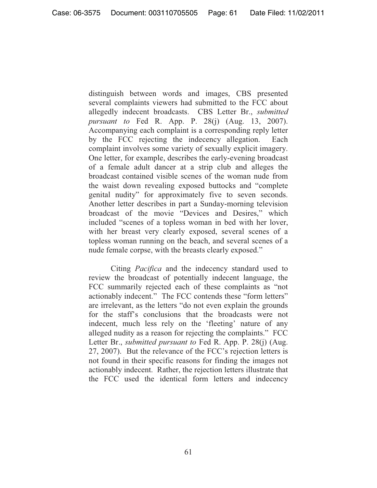distinguish between words and images, CBS presented several complaints viewers had submitted to the FCC about allegedly indecent broadcasts. CBS Letter Br., *submitted pursuant to* Fed R. App. P. 28(j) (Aug. 13, 2007). Accompanying each complaint is a corresponding reply letter by the FCC rejecting the indecency allegation. Each complaint involves some variety of sexually explicit imagery. One letter, for example, describes the early-evening broadcast of a female adult dancer at a strip club and alleges the broadcast contained visible scenes of the woman nude from the waist down revealing exposed buttocks and "complete genital nudity" for approximately five to seven seconds. Another letter describes in part a Sunday-morning television broadcast of the movie "Devices and Desires," which included "scenes of a topless woman in bed with her lover, with her breast very clearly exposed, several scenes of a topless woman running on the beach, and several scenes of a nude female corpse, with the breasts clearly exposed."

 Citing *Pacifica* and the indecency standard used to review the broadcast of potentially indecent language, the FCC summarily rejected each of these complaints as "not actionably indecent." The FCC contends these "form letters" are irrelevant, as the letters "do not even explain the grounds for the staff's conclusions that the broadcasts were not indecent, much less rely on the 'fleeting' nature of any alleged nudity as a reason for rejecting the complaints." FCC Letter Br., *submitted pursuant to* Fed R. App. P. 28(j) (Aug. 27, 2007). But the relevance of the FCC's rejection letters is not found in their specific reasons for finding the images not actionably indecent. Rather, the rejection letters illustrate that the FCC used the identical form letters and indecency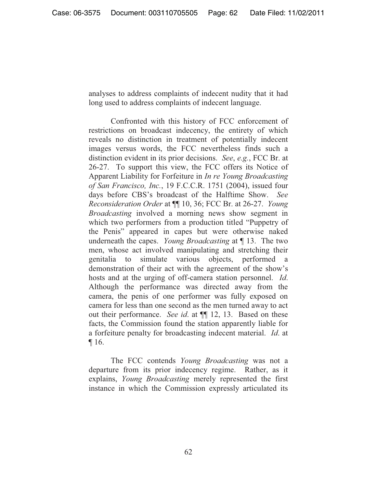analyses to address complaints of indecent nudity that it had long used to address complaints of indecent language.

 Confronted with this history of FCC enforcement of restrictions on broadcast indecency, the entirety of which reveals no distinction in treatment of potentially indecent images versus words, the FCC nevertheless finds such a distinction evident in its prior decisions. *See*, *e.g.*, FCC Br. at 26-27. To support this view, the FCC offers its Notice of Apparent Liability for Forfeiture in *In re Young Broadcasting of San Francisco, Inc.*, 19 F.C.C.R. 1751 (2004), issued four days before CBS's broadcast of the Halftime Show. *See Reconsideration Order* at ¶¶ 10, 36; FCC Br. at 26-27. *Young Broadcasting* involved a morning news show segment in which two performers from a production titled "Puppetry of the Penis" appeared in capes but were otherwise naked underneath the capes. *Young Broadcasting* at ¶ 13. The two men, whose act involved manipulating and stretching their genitalia to simulate various objects, performed a demonstration of their act with the agreement of the show's hosts and at the urging of off-camera station personnel. *Id*. Although the performance was directed away from the camera, the penis of one performer was fully exposed on camera for less than one second as the men turned away to act out their performance. *See id*. at ¶¶ 12, 13. Based on these facts, the Commission found the station apparently liable for a forfeiture penalty for broadcasting indecent material. *Id*. at ¶ 16.

 The FCC contends *Young Broadcasting* was not a departure from its prior indecency regime. Rather, as it explains, *Young Broadcasting* merely represented the first instance in which the Commission expressly articulated its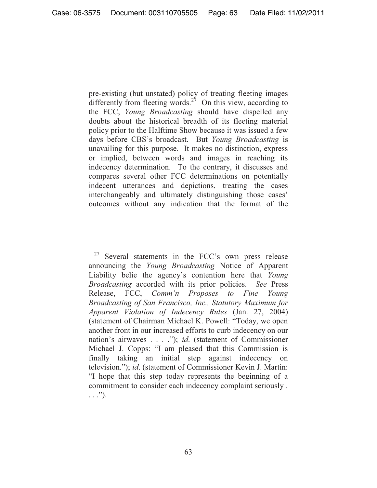pre-existing (but unstated) policy of treating fleeting images differently from fleeting words.<sup>27</sup> On this view, according to the FCC, *Young Broadcasting* should have dispelled any doubts about the historical breadth of its fleeting material policy prior to the Halftime Show because it was issued a few days before CBS's broadcast. But *Young Broadcasting* is unavailing for this purpose. It makes no distinction, express or implied, between words and images in reaching its indecency determination. To the contrary, it discusses and compares several other FCC determinations on potentially indecent utterances and depictions, treating the cases interchangeably and ultimately distinguishing those cases' outcomes without any indication that the format of the

 $27$  Several statements in the FCC's own press release announcing the *Young Broadcasting* Notice of Apparent Liability belie the agency's contention here that *Young Broadcasting* accorded with its prior policies. *See* Press Release, FCC, *Comm'n Proposes to Fine Young Broadcasting of San Francisco, Inc., Statutory Maximum for Apparent Violation of Indecency Rules* (Jan. 27, 2004) (statement of Chairman Michael K. Powell: "Today, we open another front in our increased efforts to curb indecency on our nation's airwaves . . . ."); *id*. (statement of Commissioner Michael J. Copps: "I am pleased that this Commission is finally taking an initial step against indecency on television."); *id*. (statement of Commissioner Kevin J. Martin: "I hope that this step today represents the beginning of a commitment to consider each indecency complaint seriously .  $\ldots$ .").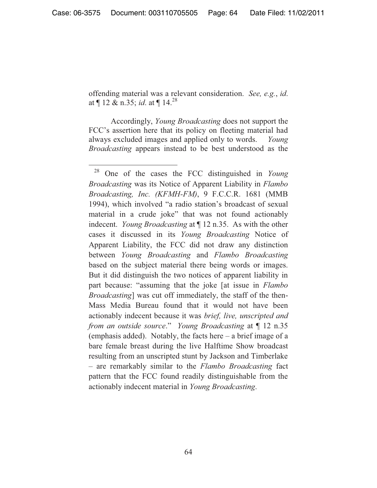offending material was a relevant consideration. *See, e.g.*, *id*. at ¶ 12 & n.35; *id*. at ¶ 14.<sup>28</sup>

 Accordingly, *Young Broadcasting* does not support the FCC's assertion here that its policy on fleeting material had always excluded images and applied only to words. *Young Broadcasting* appears instead to be best understood as the

<sup>28</sup> One of the cases the FCC distinguished in *Young Broadcasting* was its Notice of Apparent Liability in *Flambo Broadcasting, Inc. (KFMH-FM)*, 9 F.C.C.R. 1681 (MMB 1994), which involved "a radio station's broadcast of sexual material in a crude joke" that was not found actionably indecent. *Young Broadcasting* at ¶ 12 n.35. As with the other cases it discussed in its *Young Broadcasting* Notice of Apparent Liability, the FCC did not draw any distinction between *Young Broadcasting* and *Flambo Broadcasting*  based on the subject material there being words or images. But it did distinguish the two notices of apparent liability in part because: "assuming that the joke [at issue in *Flambo Broadcasting*] was cut off immediately, the staff of the then-Mass Media Bureau found that it would not have been actionably indecent because it was *brief, live, unscripted and from an outside source*." *Young Broadcasting* at ¶ 12 n.35 (emphasis added). Notably, the facts here – a brief image of a bare female breast during the live Halftime Show broadcast resulting from an unscripted stunt by Jackson and Timberlake – are remarkably similar to the *Flambo Broadcasting* fact pattern that the FCC found readily distinguishable from the actionably indecent material in *Young Broadcasting*.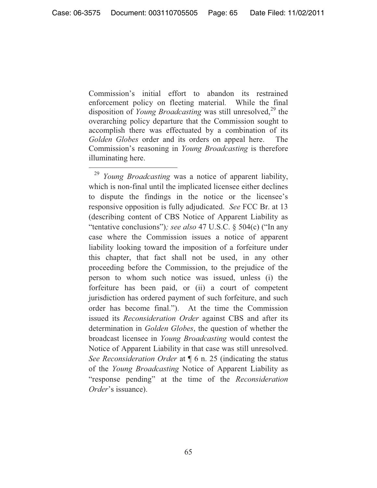Commission's initial effort to abandon its restrained enforcement policy on fleeting material*.* While the final disposition of *Young Broadcasting* was still unresolved,<sup>29</sup> the overarching policy departure that the Commission sought to accomplish there was effectuated by a combination of its *Golden Globes* order and its orders on appeal here. The Commission's reasoning in *Young Broadcasting* is therefore illuminating here.

 $\overline{a}$ <sup>29</sup> *Young Broadcasting* was a notice of apparent liability, which is non-final until the implicated licensee either declines to dispute the findings in the notice or the licensee's responsive opposition is fully adjudicated. *See* FCC Br. at 13 (describing content of CBS Notice of Apparent Liability as "tentative conclusions")*; see also* 47 U.S.C. § 504(c) ("In any case where the Commission issues a notice of apparent liability looking toward the imposition of a forfeiture under this chapter, that fact shall not be used, in any other proceeding before the Commission, to the prejudice of the person to whom such notice was issued, unless (i) the forfeiture has been paid, or (ii) a court of competent jurisdiction has ordered payment of such forfeiture, and such order has become final."). At the time the Commission issued its *Reconsideration Order* against CBS and after its determination in *Golden Globes*, the question of whether the broadcast licensee in *Young Broadcasting* would contest the Notice of Apparent Liability in that case was still unresolved. *See Reconsideration Order* at ¶ 6 n. 25 (indicating the status of the *Young Broadcasting* Notice of Apparent Liability as "response pending" at the time of the *Reconsideration Order*'s issuance).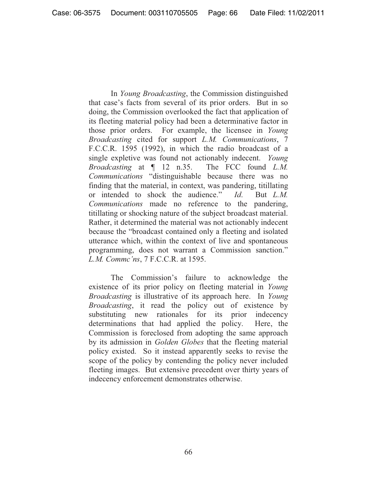In *Young Broadcasting*, the Commission distinguished that case's facts from several of its prior orders. But in so doing, the Commission overlooked the fact that application of its fleeting material policy had been a determinative factor in those prior orders. For example, the licensee in *Young Broadcasting* cited for support *L.M. Communications*, 7 F.C.C.R. 1595 (1992), in which the radio broadcast of a single expletive was found not actionably indecent. *Young Broadcasting* at ¶ 12 n.35. The FCC found *L.M. Communications* "distinguishable because there was no finding that the material, in context, was pandering, titillating or intended to shock the audience." *Id*. But *L.M. Communications* made no reference to the pandering, titillating or shocking nature of the subject broadcast material. Rather, it determined the material was not actionably indecent because the "broadcast contained only a fleeting and isolated utterance which, within the context of live and spontaneous programming, does not warrant a Commission sanction." *L.M. Commc'ns*, 7 F.C.C.R. at 1595.

The Commission's failure to acknowledge the existence of its prior policy on fleeting material in *Young Broadcasting* is illustrative of its approach here. In *Young Broadcasting*, it read the policy out of existence by substituting new rationales for its prior indecency determinations that had applied the policy. Here, the Commission is foreclosed from adopting the same approach by its admission in *Golden Globes* that the fleeting material policy existed. So it instead apparently seeks to revise the scope of the policy by contending the policy never included fleeting images. But extensive precedent over thirty years of indecency enforcement demonstrates otherwise.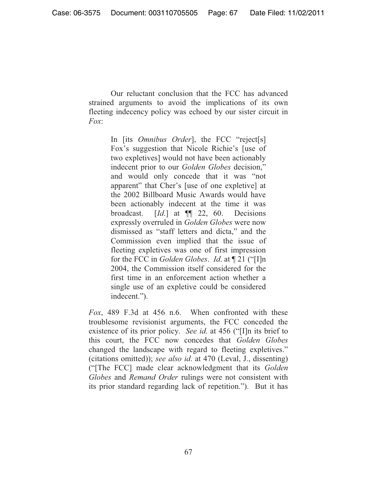Our reluctant conclusion that the FCC has advanced strained arguments to avoid the implications of its own fleeting indecency policy was echoed by our sister circuit in *Fox*:

> In [its *Omnibus Order*], the FCC "reject[s] Fox's suggestion that Nicole Richie's [use of two expletives] would not have been actionably indecent prior to our *Golden Globes* decision," and would only concede that it was "not apparent" that Cher's [use of one expletive] at the 2002 Billboard Music Awards would have been actionably indecent at the time it was broadcast. [*Id*.] at ¶¶ 22, 60. Decisions expressly overruled in *Golden Globes* were now dismissed as "staff letters and dicta," and the Commission even implied that the issue of fleeting expletives was one of first impression for the FCC in *Golden Globes*. *Id*. at ¶ 21 ("[I]n 2004, the Commission itself considered for the first time in an enforcement action whether a single use of an expletive could be considered indecent.").

*Fox*, 489 F.3d at 456 n.6. When confronted with these troublesome revisionist arguments, the FCC conceded the existence of its prior policy. *See id*. at 456 ("[I]n its brief to this court, the FCC now concedes that *Golden Globes*  changed the landscape with regard to fleeting expletives." (citations omitted)); *see also id*. at 470 (Leval, J., dissenting) ("[The FCC] made clear acknowledgment that its *Golden Globes* and *Remand Order* rulings were not consistent with its prior standard regarding lack of repetition."). But it has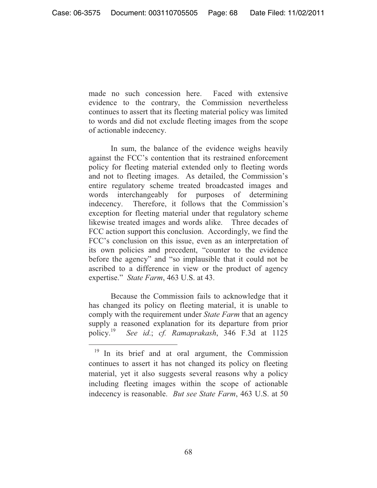made no such concession here. Faced with extensive evidence to the contrary, the Commission nevertheless continues to assert that its fleeting material policy was limited to words and did not exclude fleeting images from the scope of actionable indecency.

 In sum, the balance of the evidence weighs heavily against the FCC's contention that its restrained enforcement policy for fleeting material extended only to fleeting words and not to fleeting images. As detailed, the Commission's entire regulatory scheme treated broadcasted images and words interchangeably for purposes of determining indecency. Therefore, it follows that the Commission's exception for fleeting material under that regulatory scheme likewise treated images and words alike. Three decades of FCC action support this conclusion. Accordingly, we find the FCC's conclusion on this issue, even as an interpretation of its own policies and precedent, "counter to the evidence before the agency" and "so implausible that it could not be ascribed to a difference in view or the product of agency expertise." *State Farm*, 463 U.S. at 43.

 Because the Commission fails to acknowledge that it has changed its policy on fleeting material, it is unable to comply with the requirement under *State Farm* that an agency supply a reasoned explanation for its departure from prior policy.19 *See id*.; *cf. Ramaprakash*, 346 F.3d at 1125

<sup>&</sup>lt;sup>19</sup> In its brief and at oral argument, the Commission continues to assert it has not changed its policy on fleeting material, yet it also suggests several reasons why a policy including fleeting images within the scope of actionable indecency is reasonable. *But see State Farm*, 463 U.S. at 50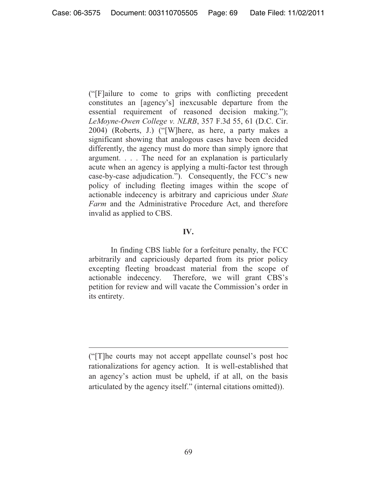("[F]ailure to come to grips with conflicting precedent constitutes an [agency's] inexcusable departure from the essential requirement of reasoned decision making."); *LeMoyne-Owen College v. NLRB*, 357 F.3d 55, 61 (D.C. Cir. 2004) (Roberts, J.) ("[W]here, as here, a party makes a significant showing that analogous cases have been decided differently, the agency must do more than simply ignore that argument. . . . The need for an explanation is particularly acute when an agency is applying a multi-factor test through case-by-case adjudication."). Consequently, the FCC's new policy of including fleeting images within the scope of actionable indecency is arbitrary and capricious under *State Farm* and the Administrative Procedure Act, and therefore invalid as applied to CBS.

# **IV.**

In finding CBS liable for a forfeiture penalty, the FCC arbitrarily and capriciously departed from its prior policy excepting fleeting broadcast material from the scope of actionable indecency. Therefore, we will grant CBS's petition for review and will vacate the Commission's order in its entirety.

<sup>(&</sup>quot;[T]he courts may not accept appellate counsel's post hoc rationalizations for agency action. It is well-established that an agency's action must be upheld, if at all, on the basis articulated by the agency itself." (internal citations omitted)).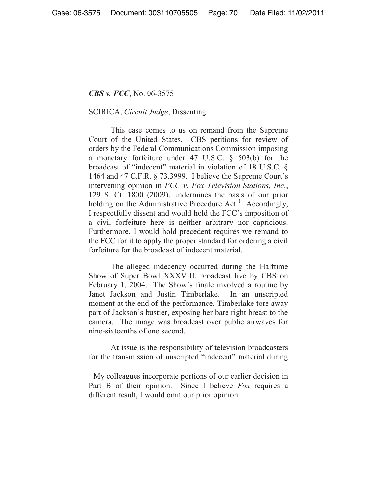## *CBS v. FCC*, No. 06-3575

 $\overline{a}$ 

### SCIRICA, *Circuit Judge*, Dissenting

 This case comes to us on remand from the Supreme Court of the United States. CBS petitions for review of orders by the Federal Communications Commission imposing a monetary forfeiture under 47 U.S.C. § 503(b) for the broadcast of "indecent" material in violation of 18 U.S.C. § 1464 and 47 C.F.R. § 73.3999. I believe the Supreme Court's intervening opinion in *FCC v. Fox Television Stations, Inc.*, 129 S. Ct. 1800 (2009), undermines the basis of our prior holding on the Administrative Procedure  $Act.$ <sup>1</sup> Accordingly, I respectfully dissent and would hold the FCC's imposition of a civil forfeiture here is neither arbitrary nor capricious. Furthermore, I would hold precedent requires we remand to the FCC for it to apply the proper standard for ordering a civil forfeiture for the broadcast of indecent material.

The alleged indecency occurred during the Halftime Show of Super Bowl XXXVIII, broadcast live by CBS on February 1, 2004. The Show's finale involved a routine by Janet Jackson and Justin Timberlake. In an unscripted moment at the end of the performance, Timberlake tore away part of Jackson's bustier, exposing her bare right breast to the camera. The image was broadcast over public airwaves for nine-sixteenths of one second.

 At issue is the responsibility of television broadcasters for the transmission of unscripted "indecent" material during

<sup>&</sup>lt;sup>1</sup> My colleagues incorporate portions of our earlier decision in Part B of their opinion. Since I believe *Fox* requires a different result, I would omit our prior opinion.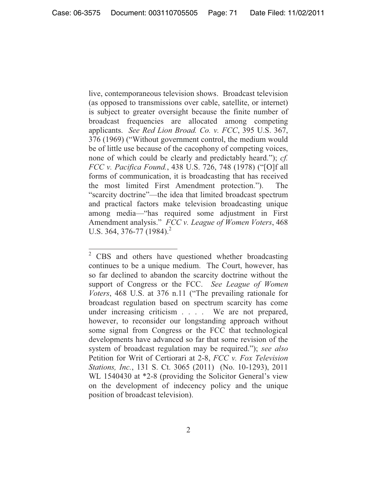live, contemporaneous television shows. Broadcast television (as opposed to transmissions over cable, satellite, or internet) is subject to greater oversight because the finite number of broadcast frequencies are allocated among competing applicants. *See Red Lion Broad. Co. v. FCC*, 395 U.S. 367, 376 (1969) ("Without government control, the medium would be of little use because of the cacophony of competing voices, none of which could be clearly and predictably heard."); *cf. FCC v. Pacifica Found.*, 438 U.S. 726, 748 (1978) ("[O]f all forms of communication, it is broadcasting that has received the most limited First Amendment protection."). The "scarcity doctrine"—the idea that limited broadcast spectrum and practical factors make television broadcasting unique among media—"has required some adjustment in First Amendment analysis." *FCC v. League of Women Voters*, 468 U.S. 364, 376-77 (1984).<sup>2</sup>

<sup>&</sup>lt;sup>2</sup> CBS and others have questioned whether broadcasting continues to be a unique medium. The Court, however, has so far declined to abandon the scarcity doctrine without the support of Congress or the FCC. *See League of Women Voters*, 468 U.S. at 376 n.11 ("The prevailing rationale for broadcast regulation based on spectrum scarcity has come under increasing criticism . . . . We are not prepared, however, to reconsider our longstanding approach without some signal from Congress or the FCC that technological developments have advanced so far that some revision of the system of broadcast regulation may be required."); *see also* Petition for Writ of Certiorari at 2-8, *FCC v. Fox Television Stations, Inc.*, 131 S. Ct. 3065 (2011) (No. 10-1293), 2011 WL 1540430 at  $*2-8$  (providing the Solicitor General's view on the development of indecency policy and the unique position of broadcast television).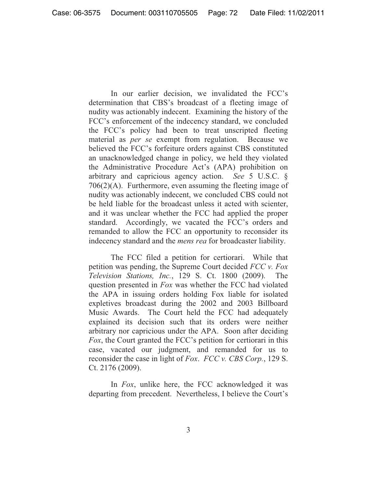In our earlier decision, we invalidated the FCC's determination that CBS's broadcast of a fleeting image of nudity was actionably indecent. Examining the history of the FCC's enforcement of the indecency standard, we concluded the FCC's policy had been to treat unscripted fleeting material as *per se* exempt from regulation. Because we believed the FCC's forfeiture orders against CBS constituted an unacknowledged change in policy, we held they violated the Administrative Procedure Act's (APA) prohibition on arbitrary and capricious agency action. *See* 5 U.S.C. § 706(2)(A).Furthermore, even assuming the fleeting image of nudity was actionably indecent, we concluded CBS could not be held liable for the broadcast unless it acted with scienter, and it was unclear whether the FCC had applied the proper standard. Accordingly, we vacated the FCC's orders and remanded to allow the FCC an opportunity to reconsider its indecency standard and the *mens rea* for broadcaster liability.

 The FCC filed a petition for certiorari. While that petition was pending, the Supreme Court decided *FCC v. Fox Television Stations, Inc.*, 129 S. Ct. 1800 (2009). The question presented in *Fox* was whether the FCC had violated the APA in issuing orders holding Fox liable for isolated expletives broadcast during the 2002 and 2003 Billboard Music Awards. The Court held the FCC had adequately explained its decision such that its orders were neither arbitrary nor capricious under the APA. Soon after deciding *Fox*, the Court granted the FCC's petition for certiorari in this case, vacated our judgment, and remanded for us to reconsider the case in light of *Fox*. *FCC v. CBS Corp.*, 129 S. Ct. 2176 (2009).

 In *Fox*, unlike here, the FCC acknowledged it was departing from precedent. Nevertheless, I believe the Court's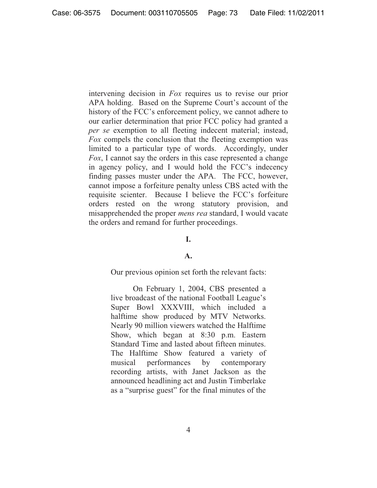intervening decision in *Fox* requires us to revise our prior APA holding. Based on the Supreme Court's account of the history of the FCC's enforcement policy, we cannot adhere to our earlier determination that prior FCC policy had granted a *per se* exemption to all fleeting indecent material; instead, *Fox* compels the conclusion that the fleeting exemption was limited to a particular type of words. Accordingly, under *Fox*, I cannot say the orders in this case represented a change in agency policy, and I would hold the FCC's indecency finding passes muster under the APA. The FCC, however, cannot impose a forfeiture penalty unless CBS acted with the requisite scienter. Because I believe the FCC's forfeiture orders rested on the wrong statutory provision, and misapprehended the proper *mens rea* standard, I would vacate the orders and remand for further proceedings.

## **I.**

### **A.**

### Our previous opinion set forth the relevant facts:

 On February 1, 2004, CBS presented a live broadcast of the national Football League's Super Bowl XXXVIII, which included a halftime show produced by MTV Networks. Nearly 90 million viewers watched the Halftime Show, which began at 8:30 p.m. Eastern Standard Time and lasted about fifteen minutes. The Halftime Show featured a variety of musical performances by contemporary recording artists, with Janet Jackson as the announced headlining act and Justin Timberlake as a "surprise guest" for the final minutes of the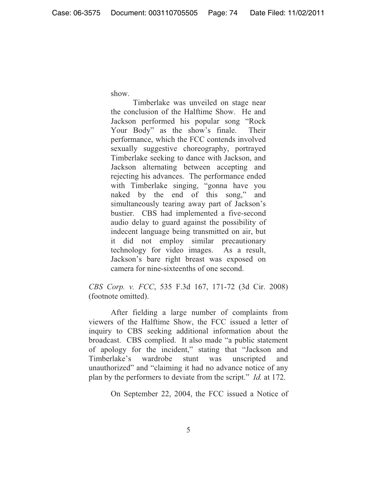show.

 Timberlake was unveiled on stage near the conclusion of the Halftime Show. He and Jackson performed his popular song "Rock Your Body" as the show's finale. Their performance, which the FCC contends involved sexually suggestive choreography, portrayed Timberlake seeking to dance with Jackson, and Jackson alternating between accepting and rejecting his advances. The performance ended with Timberlake singing, "gonna have you naked by the end of this song," and simultaneously tearing away part of Jackson's bustier. CBS had implemented a five-second audio delay to guard against the possibility of indecent language being transmitted on air, but it did not employ similar precautionary technology for video images. As a result, Jackson's bare right breast was exposed on camera for nine-sixteenths of one second.

*CBS Corp. v. FCC*, 535 F.3d 167, 171-72 (3d Cir. 2008) (footnote omitted).

 After fielding a large number of complaints from viewers of the Halftime Show, the FCC issued a letter of inquiry to CBS seeking additional information about the broadcast. CBS complied. It also made "a public statement of apology for the incident," stating that "Jackson and Timberlake's wardrobe stunt was unscripted and unauthorized" and "claiming it had no advance notice of any plan by the performers to deviate from the script." *Id.* at 172.

On September 22, 2004, the FCC issued a Notice of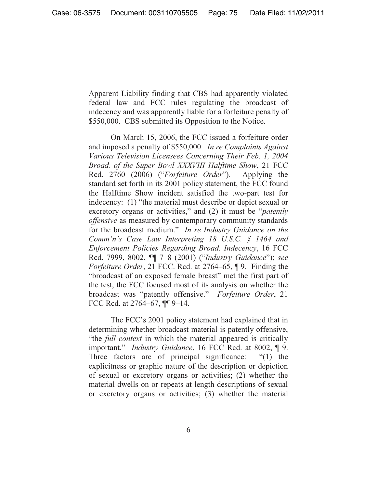Apparent Liability finding that CBS had apparently violated federal law and FCC rules regulating the broadcast of indecency and was apparently liable for a forfeiture penalty of \$550,000. CBS submitted its Opposition to the Notice.

 On March 15, 2006, the FCC issued a forfeiture order and imposed a penalty of \$550,000. *In re Complaints Against Various Television Licensees Concerning Their Feb. 1, 2004 Broad. of the Super Bowl XXXVIII Halftime Show*, 21 FCC Rcd. 2760 (2006) ("*Forfeiture Order*"). Applying the standard set forth in its 2001 policy statement, the FCC found the Halftime Show incident satisfied the two-part test for indecency: (1) "the material must describe or depict sexual or excretory organs or activities," and (2) it must be "*patently offensive* as measured by contemporary community standards for the broadcast medium." *In re Industry Guidance on the Comm'n's Case Law Interpreting 18 U.S.C. § 1464 and Enforcement Policies Regarding Broad. Indecency*, 16 FCC Rcd. 7999, 8002, ¶¶ 7–8 (2001) ("*Industry Guidance*"); *see Forfeiture Order*, 21 FCC. Rcd. at 2764–65, ¶ 9. Finding the "broadcast of an exposed female breast" met the first part of the test, the FCC focused most of its analysis on whether the broadcast was "patently offensive." *Forfeiture Order*, 21 FCC Rcd. at 2764–67, ¶¶ 9–14.

 The FCC's 2001 policy statement had explained that in determining whether broadcast material is patently offensive, "the *full context* in which the material appeared is critically important." *Industry Guidance*, 16 FCC Rcd. at 8002, ¶ 9. Three factors are of principal significance: "(1) the explicitness or graphic nature of the description or depiction of sexual or excretory organs or activities; (2) whether the material dwells on or repeats at length descriptions of sexual or excretory organs or activities; (3) whether the material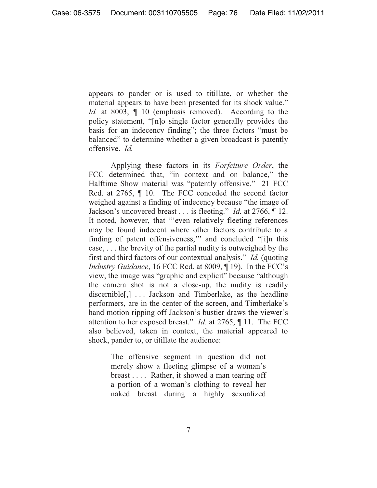appears to pander or is used to titillate, or whether the material appears to have been presented for its shock value." *Id.* at 8003,  $\parallel$  10 (emphasis removed). According to the policy statement, "[n]o single factor generally provides the basis for an indecency finding"; the three factors "must be balanced" to determine whether a given broadcast is patently offensive. *Id.* 

Applying these factors in its *Forfeiture Order*, the FCC determined that, "in context and on balance," the Halftime Show material was "patently offensive." 21 FCC Rcd. at 2765,  $\P$  10. The FCC conceded the second factor weighed against a finding of indecency because "the image of Jackson's uncovered breast . . . is fleeting." *Id.* at 2766, ¶ 12. It noted, however, that "'even relatively fleeting references may be found indecent where other factors contribute to a finding of patent offensiveness,'" and concluded "[i]n this case, . . . the brevity of the partial nudity is outweighed by the first and third factors of our contextual analysis." *Id.* (quoting *Industry Guidance*, 16 FCC Rcd. at 8009, ¶ 19). In the FCC's view, the image was "graphic and explicit" because "although the camera shot is not a close-up, the nudity is readily discernible $\left[\right]$ , ... Jackson and Timberlake, as the headline performers, are in the center of the screen, and Timberlake's hand motion ripping off Jackson's bustier draws the viewer's attention to her exposed breast." *Id.* at 2765, ¶ 11. The FCC also believed, taken in context, the material appeared to shock, pander to, or titillate the audience:

> The offensive segment in question did not merely show a fleeting glimpse of a woman's breast . . . . Rather, it showed a man tearing off a portion of a woman's clothing to reveal her naked breast during a highly sexualized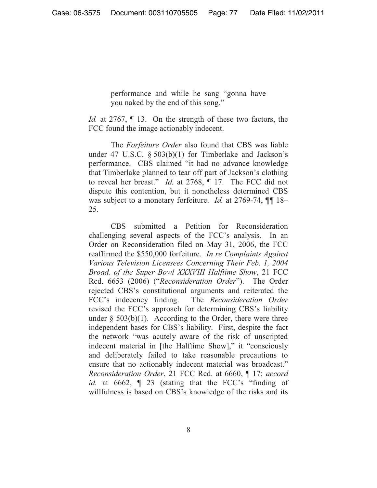performance and while he sang "gonna have you naked by the end of this song."

*Id.* at 2767,  $\P$  13. On the strength of these two factors, the FCC found the image actionably indecent.

 The *Forfeiture Order* also found that CBS was liable under 47 U.S.C. § 503(b)(1) for Timberlake and Jackson's performance. CBS claimed "it had no advance knowledge that Timberlake planned to tear off part of Jackson's clothing to reveal her breast." *Id.* at 2768, ¶ 17. The FCC did not dispute this contention, but it nonetheless determined CBS was subject to a monetary forfeiture. *Id.* at 2769-74, ¶*¶* 18– 25.

 CBS submitted a Petition for Reconsideration challenging several aspects of the FCC's analysis. In an Order on Reconsideration filed on May 31, 2006, the FCC reaffirmed the \$550,000 forfeiture. *In re Complaints Against Various Television Licensees Concerning Their Feb. 1, 2004 Broad. of the Super Bowl XXXVIII Halftime Show*, 21 FCC Rcd. 6653 (2006) ("*Reconsideration Order*"). The Order rejected CBS's constitutional arguments and reiterated the FCC's indecency finding. The *Reconsideration Order*  revised the FCC's approach for determining CBS's liability under  $\S$  503(b)(1). According to the Order, there were three independent bases for CBS's liability. First, despite the fact the network "was acutely aware of the risk of unscripted indecent material in [the Halftime Show]," it "consciously and deliberately failed to take reasonable precautions to ensure that no actionably indecent material was broadcast." *Reconsideration Order*, 21 FCC Rcd. at 6660, ¶ 17; *accord id.* at 6662, ¶ 23 (stating that the FCC's "finding of willfulness is based on CBS's knowledge of the risks and its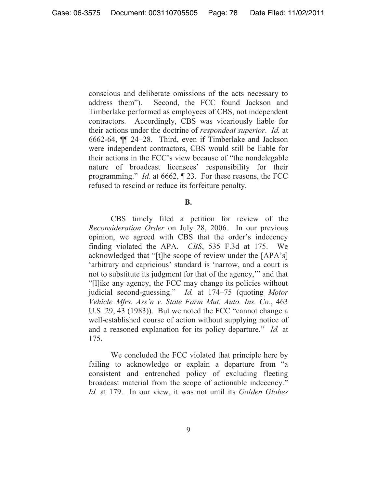conscious and deliberate omissions of the acts necessary to address them"). Second, the FCC found Jackson and Timberlake performed as employees of CBS, not independent contractors. Accordingly, CBS was vicariously liable for their actions under the doctrine of *respondeat superior*. *Id.* at 6662-64, ¶¶ 24–28. Third, even if Timberlake and Jackson were independent contractors, CBS would still be liable for their actions in the FCC's view because of "the nondelegable nature of broadcast licensees' responsibility for their programming." *Id.* at 6662, ¶ 23. For these reasons, the FCC refused to rescind or reduce its forfeiture penalty.

**B.**

 CBS timely filed a petition for review of the *Reconsideration Order* on July 28, 2006. In our previous opinion, we agreed with CBS that the order's indecency finding violated the APA. *CBS*, 535 F.3d at 175. We acknowledged that "[t]he scope of review under the [APA's] 'arbitrary and capricious' standard is 'narrow, and a court is not to substitute its judgment for that of the agency,'" and that "[l]ike any agency, the FCC may change its policies without judicial second-guessing." *Id.* at 174–75 (quoting *Motor Vehicle Mfrs. Ass'n v. State Farm Mut. Auto. Ins. Co.*, 463 U.S. 29, 43 (1983)). But we noted the FCC "cannot change a well-established course of action without supplying notice of and a reasoned explanation for its policy departure." *Id.* at 175.

 We concluded the FCC violated that principle here by failing to acknowledge or explain a departure from "a consistent and entrenched policy of excluding fleeting broadcast material from the scope of actionable indecency." *Id.* at 179. In our view, it was not until its *Golden Globes*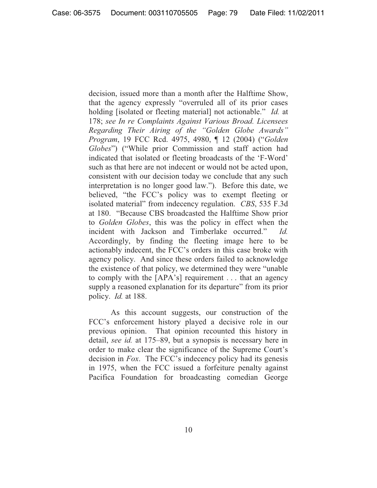decision, issued more than a month after the Halftime Show, that the agency expressly "overruled all of its prior cases holding [isolated or fleeting material] not actionable." *Id.* at 178; *see In re Complaints Against Various Broad. Licensees Regarding Their Airing of the "Golden Globe Awards" Program*, 19 FCC Rcd. 4975, 4980, ¶ 12 (2004) ("*Golden Globes*") ("While prior Commission and staff action had indicated that isolated or fleeting broadcasts of the 'F-Word' such as that here are not indecent or would not be acted upon, consistent with our decision today we conclude that any such interpretation is no longer good law."). Before this date, we believed, "the FCC's policy was to exempt fleeting or isolated material" from indecency regulation. *CBS*, 535 F.3d at 180. "Because CBS broadcasted the Halftime Show prior to *Golden Globes*, this was the policy in effect when the incident with Jackson and Timberlake occurred." *Id.*  Accordingly, by finding the fleeting image here to be actionably indecent, the FCC's orders in this case broke with agency policy. And since these orders failed to acknowledge the existence of that policy, we determined they were "unable to comply with the [APA's] requirement . . . that an agency supply a reasoned explanation for its departure" from its prior policy. *Id.* at 188.

 As this account suggests, our construction of the FCC's enforcement history played a decisive role in our previous opinion. That opinion recounted this history in detail, *see id.* at 175–89, but a synopsis is necessary here in order to make clear the significance of the Supreme Court's decision in *Fox*. The FCC's indecency policy had its genesis in 1975, when the FCC issued a forfeiture penalty against Pacifica Foundation for broadcasting comedian George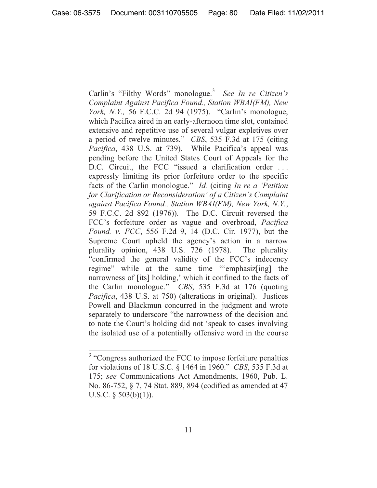Carlin's "Filthy Words" monologue.<sup>3</sup> *See In re Citizen's Complaint Against Pacifica Found., Station WBAI(FM), New York, N.Y.,* 56 F.C.C. 2d 94 (1975). "Carlin's monologue, which Pacifica aired in an early-afternoon time slot, contained extensive and repetitive use of several vulgar expletives over a period of twelve minutes." *CBS*, 535 F.3d at 175 (citing *Pacifica*, 438 U.S. at 739). While Pacifica's appeal was pending before the United States Court of Appeals for the D.C. Circuit, the FCC "issued a clarification order ... expressly limiting its prior forfeiture order to the specific facts of the Carlin monologue." *Id.* (citing *In re a 'Petition for Clarification or Reconsideration' of a Citizen's Complaint against Pacifica Found., Station WBAI(FM), New York, N.Y.*, 59 F.C.C. 2d 892 (1976)). The D.C. Circuit reversed the FCC's forfeiture order as vague and overbroad, *Pacifica Found. v. FCC*, 556 F.2d 9, 14 (D.C. Cir. 1977), but the Supreme Court upheld the agency's action in a narrow plurality opinion, 438 U.S. 726 (1978). The plurality "confirmed the general validity of the FCC's indecency regime" while at the same time "'emphasiz[ing] the narrowness of [its] holding,' which it confined to the facts of the Carlin monologue." *CBS*, 535 F.3d at 176 (quoting *Pacifica*, 438 U.S. at 750) (alterations in original). Justices Powell and Blackmun concurred in the judgment and wrote separately to underscore "the narrowness of the decision and to note the Court's holding did not 'speak to cases involving the isolated use of a potentially offensive word in the course

 $3$  "Congress authorized the FCC to impose for feiture penalties for violations of 18 U.S.C. § 1464 in 1960." *CBS*, 535 F.3d at 175; *see* Communications Act Amendments, 1960, Pub. L. No. 86-752, § 7, 74 Stat. 889, 894 (codified as amended at 47 U.S.C.  $\S$  503(b)(1)).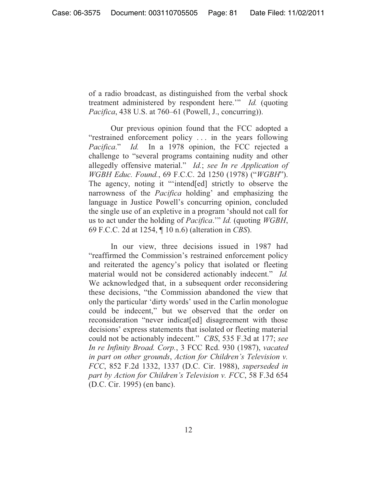of a radio broadcast, as distinguished from the verbal shock treatment administered by respondent here.'" *Id.* (quoting *Pacifica*, 438 U.S. at 760–61 (Powell, J., concurring)).

Our previous opinion found that the FCC adopted a "restrained enforcement policy . . . in the years following *Pacifica*." *Id.* In a 1978 opinion, the FCC rejected a challenge to "several programs containing nudity and other allegedly offensive material." *Id.*; *see In re Application of WGBH Educ. Found.*, 69 F.C.C. 2d 1250 (1978) ("*WGBH*"). The agency, noting it "'intend[ed] strictly to observe the narrowness of the *Pacifica* holding' and emphasizing the language in Justice Powell's concurring opinion, concluded the single use of an expletive in a program 'should not call for us to act under the holding of *Pacifica*.'" *Id.* (quoting *WGBH*, 69 F.C.C. 2d at 1254, ¶ 10 n.6) (alteration in *CBS*).

 In our view, three decisions issued in 1987 had "reaffirmed the Commission's restrained enforcement policy and reiterated the agency's policy that isolated or fleeting material would not be considered actionably indecent." *Id.* We acknowledged that, in a subsequent order reconsidering these decisions, "the Commission abandoned the view that only the particular 'dirty words' used in the Carlin monologue could be indecent," but we observed that the order on reconsideration "never indicat[ed] disagreement with those decisions' express statements that isolated or fleeting material could not be actionably indecent." *CBS*, 535 F.3d at 177; *see In re Infinity Broad. Corp.*, 3 FCC Rcd. 930 (1987), *vacated in part on other grounds*, *Action for Children's Television v. FCC*, 852 F.2d 1332, 1337 (D.C. Cir. 1988), *superseded in part by Action for Children's Television v. FCC*, 58 F.3d 654 (D.C. Cir. 1995) (en banc).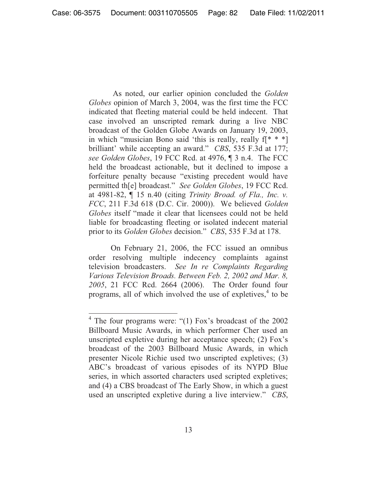As noted, our earlier opinion concluded the *Golden Globes* opinion of March 3, 2004, was the first time the FCC indicated that fleeting material could be held indecent. That case involved an unscripted remark during a live NBC broadcast of the Golden Globe Awards on January 19, 2003, in which "musician Bono said 'this is really, really  $f^* * *$ ] brilliant' while accepting an award." *CBS*, 535 F.3d at 177; *see Golden Globes*, 19 FCC Rcd. at 4976, ¶ 3 n.4. The FCC held the broadcast actionable, but it declined to impose a forfeiture penalty because "existing precedent would have permitted th[e] broadcast." *See Golden Globes*, 19 FCC Rcd. at 4981-82, ¶ 15 n.40 (citing *Trinity Broad. of Fla., Inc. v. FCC*, 211 F.3d 618 (D.C. Cir. 2000)). We believed *Golden Globes* itself "made it clear that licensees could not be held liable for broadcasting fleeting or isolated indecent material prior to its *Golden Globes* decision." *CBS*, 535 F.3d at 178.

 On February 21, 2006, the FCC issued an omnibus order resolving multiple indecency complaints against television broadcasters. *See In re Complaints Regarding Various Television Broads. Between Feb. 2, 2002 and Mar. 8, 2005*, 21 FCC Rcd. 2664 (2006). The Order found four programs, all of which involved the use of expletives, $4$  to be

 $\overline{a}$  $4$  The four programs were: "(1) Fox's broadcast of the 2002 Billboard Music Awards, in which performer Cher used an unscripted expletive during her acceptance speech; (2) Fox's broadcast of the 2003 Billboard Music Awards, in which presenter Nicole Richie used two unscripted expletives; (3) ABC's broadcast of various episodes of its NYPD Blue series, in which assorted characters used scripted expletives; and (4) a CBS broadcast of The Early Show, in which a guest used an unscripted expletive during a live interview." *CBS*,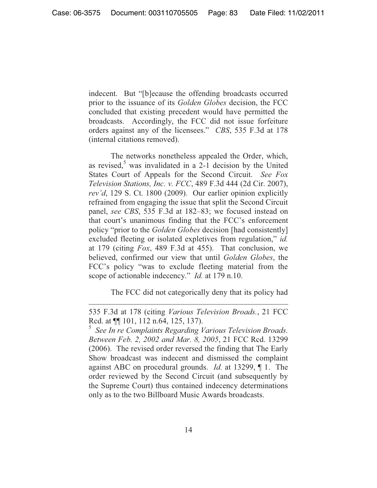indecent. But "[b]ecause the offending broadcasts occurred prior to the issuance of its *Golden Globes* decision, the FCC concluded that existing precedent would have permitted the broadcasts. Accordingly, the FCC did not issue forfeiture orders against any of the licensees." *CBS*, 535 F.3d at 178 (internal citations removed).

 The networks nonetheless appealed the Order, which, as revised, $5$  was invalidated in a 2-1 decision by the United States Court of Appeals for the Second Circuit. *See Fox Television Stations, Inc. v. FCC*, 489 F.3d 444 (2d Cir. 2007), *rev'd*, 129 S. Ct. 1800 (2009). Our earlier opinion explicitly refrained from engaging the issue that split the Second Circuit panel, *see CBS*, 535 F.3d at 182–83; we focused instead on that court's unanimous finding that the FCC's enforcement policy "prior to the *Golden Globes* decision [had consistently] excluded fleeting or isolated expletives from regulation," *id.* at 179 (citing *Fox*, 489 F.3d at 455). That conclusion, we believed, confirmed our view that until *Golden Globes*, the FCC's policy "was to exclude fleeting material from the scope of actionable indecency." *Id.* at 179 n.10.

The FCC did not categorically deny that its policy had

<sup>535</sup> F.3d at 178 (citing *Various Television Broads.*, 21 FCC Rcd. at  $\P$ [101, 112 n.64, 125, 137).

<sup>5</sup> *See In re Complaints Regarding Various Television Broads. Between Feb. 2, 2002 and Mar. 8, 2005*, 21 FCC Rcd. 13299 (2006). The revised order reversed the finding that The Early Show broadcast was indecent and dismissed the complaint against ABC on procedural grounds. *Id.* at 13299, ¶ 1. The order reviewed by the Second Circuit (and subsequently by the Supreme Court) thus contained indecency determinations only as to the two Billboard Music Awards broadcasts.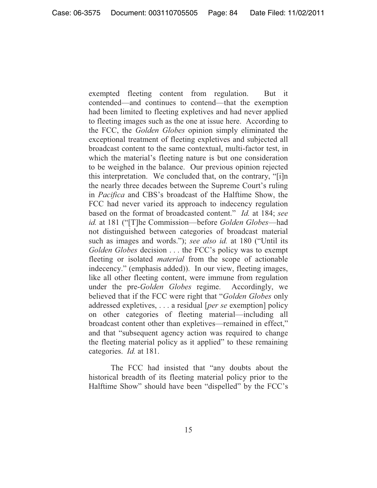exempted fleeting content from regulation. But it contended—and continues to contend—that the exemption had been limited to fleeting expletives and had never applied to fleeting images such as the one at issue here. According to the FCC, the *Golden Globes* opinion simply eliminated the exceptional treatment of fleeting expletives and subjected all broadcast content to the same contextual, multi-factor test, in which the material's fleeting nature is but one consideration to be weighed in the balance. Our previous opinion rejected this interpretation. We concluded that, on the contrary, "[i]n the nearly three decades between the Supreme Court's ruling in *Pacifica* and CBS's broadcast of the Halftime Show, the FCC had never varied its approach to indecency regulation based on the format of broadcasted content." *Id.* at 184; *see id.* at 181 ("[T]he Commission—before *Golden Globes*—had not distinguished between categories of broadcast material such as images and words."); *see also id.* at 180 ("Until its *Golden Globes* decision . . . the FCC's policy was to exempt fleeting or isolated *material* from the scope of actionable indecency." (emphasis added)). In our view, fleeting images, like all other fleeting content, were immune from regulation under the pre-*Golden Globes* regime. Accordingly, we believed that if the FCC were right that "*Golden Globes* only addressed expletives, . . . a residual [*per se* exemption] policy on other categories of fleeting material—including all broadcast content other than expletives—remained in effect," and that "subsequent agency action was required to change the fleeting material policy as it applied" to these remaining categories. *Id.* at 181.

The FCC had insisted that "any doubts about the historical breadth of its fleeting material policy prior to the Halftime Show" should have been "dispelled" by the FCC's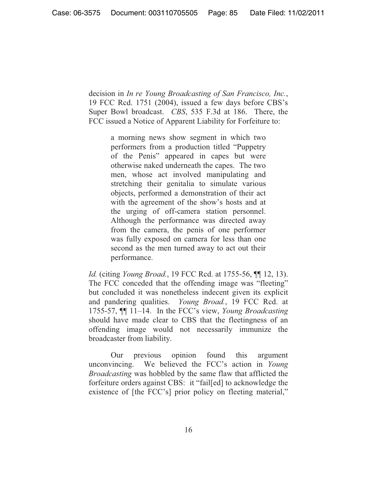decision in *In re Young Broadcasting of San Francisco, Inc.*, 19 FCC Rcd. 1751 (2004), issued a few days before CBS's Super Bowl broadcast. *CBS*, 535 F.3d at 186. There, the FCC issued a Notice of Apparent Liability for Forfeiture to:

> a morning news show segment in which two performers from a production titled "Puppetry of the Penis" appeared in capes but were otherwise naked underneath the capes. The two men, whose act involved manipulating and stretching their genitalia to simulate various objects, performed a demonstration of their act with the agreement of the show's hosts and at the urging of off-camera station personnel. Although the performance was directed away from the camera, the penis of one performer was fully exposed on camera for less than one second as the men turned away to act out their performance.

*Id.* (citing *Young Broad.*, 19 FCC Rcd. at 1755-56, ¶¶ 12, 13). The FCC conceded that the offending image was "fleeting" but concluded it was nonetheless indecent given its explicit and pandering qualities. *Young Broad.*, 19 FCC Rcd. at 1755-57, ¶¶ 11–14. In the FCC's view, *Young Broadcasting*  should have made clear to CBS that the fleetingness of an offending image would not necessarily immunize the broadcaster from liability.

 Our previous opinion found this argument unconvincing. We believed the FCC's action in *Young Broadcasting* was hobbled by the same flaw that afflicted the forfeiture orders against CBS: it "fail[ed] to acknowledge the existence of [the FCC's] prior policy on fleeting material,"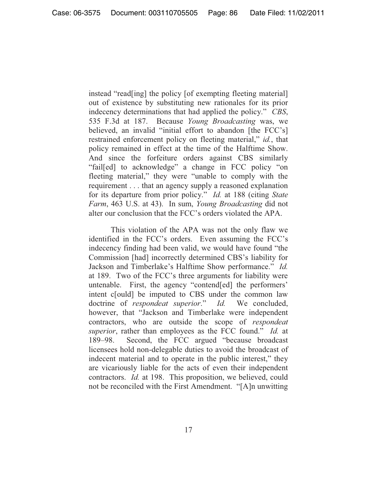instead "read[ing] the policy [of exempting fleeting material] out of existence by substituting new rationales for its prior indecency determinations that had applied the policy." *CBS*, 535 F.3d at 187. Because *Young Broadcasting* was, we believed, an invalid "initial effort to abandon [the FCC's] restrained enforcement policy on fleeting material," *id.*, that policy remained in effect at the time of the Halftime Show. And since the forfeiture orders against CBS similarly "fail[ed] to acknowledge" a change in FCC policy "on fleeting material," they were "unable to comply with the requirement . . . that an agency supply a reasoned explanation for its departure from prior policy." *Id.* at 188 (citing *State Farm*, 463 U.S. at 43). In sum, *Young Broadcasting* did not alter our conclusion that the FCC's orders violated the APA.

 This violation of the APA was not the only flaw we identified in the FCC's orders. Even assuming the FCC's indecency finding had been valid, we would have found "the Commission [had] incorrectly determined CBS's liability for Jackson and Timberlake's Halftime Show performance." *Id.*  at 189. Two of the FCC's three arguments for liability were untenable. First, the agency "contend[ed] the performers' intent c[ould] be imputed to CBS under the common law doctrine of *respondeat superior*." *Id.* We concluded, however, that "Jackson and Timberlake were independent contractors, who are outside the scope of *respondeat superior*, rather than employees as the FCC found." *Id.* at 189–98.Second, the FCC argued "because broadcast licensees hold non-delegable duties to avoid the broadcast of indecent material and to operate in the public interest," they are vicariously liable for the acts of even their independent contractors. *Id.* at 198. This proposition, we believed, could not be reconciled with the First Amendment. "[A]n unwitting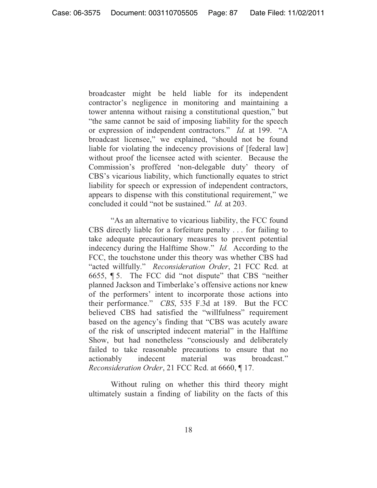broadcaster might be held liable for its independent contractor's negligence in monitoring and maintaining a tower antenna without raising a constitutional question," but "the same cannot be said of imposing liability for the speech or expression of independent contractors." *Id.* at 199. "A broadcast licensee," we explained, "should not be found liable for violating the indecency provisions of [federal law] without proof the licensee acted with scienter. Because the Commission's proffered 'non-delegable duty' theory of CBS's vicarious liability, which functionally equates to strict liability for speech or expression of independent contractors, appears to dispense with this constitutional requirement," we concluded it could "not be sustained." *Id.* at 203.

"As an alternative to vicarious liability, the FCC found CBS directly liable for a forfeiture penalty . . . for failing to take adequate precautionary measures to prevent potential indecency during the Halftime Show." *Id.* According to the FCC, the touchstone under this theory was whether CBS had "acted willfully." *Reconsideration Order*, 21 FCC Rcd. at 6655, ¶ 5. The FCC did "not dispute" that CBS "neither planned Jackson and Timberlake's offensive actions nor knew of the performers' intent to incorporate those actions into their performance." *CBS*, 535 F.3d at 189. But the FCC believed CBS had satisfied the "willfulness" requirement based on the agency's finding that "CBS was acutely aware of the risk of unscripted indecent material" in the Halftime Show, but had nonetheless "consciously and deliberately failed to take reasonable precautions to ensure that no actionably indecent material was broadcast." *Reconsideration Order*, 21 FCC Rcd. at 6660, ¶ 17.

 Without ruling on whether this third theory might ultimately sustain a finding of liability on the facts of this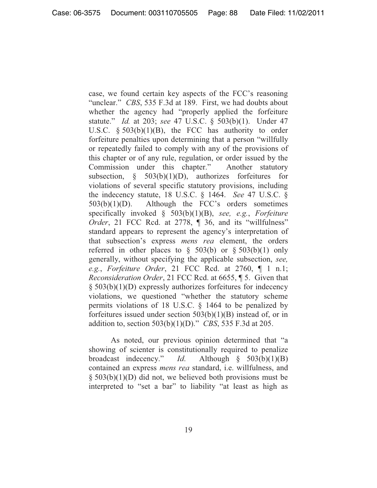case, we found certain key aspects of the FCC's reasoning "unclear." *CBS*, 535 F.3d at 189. First, we had doubts about whether the agency had "properly applied the forfeiture statute." *Id.* at 203; *see* 47 U.S.C. § 503(b)(1). Under 47 U.S.C.  $\S$  503(b)(1)(B), the FCC has authority to order forfeiture penalties upon determining that a person "willfully or repeatedly failed to comply with any of the provisions of this chapter or of any rule, regulation, or order issued by the Commission under this chapter." Another statutory subsection,  $\S$  503(b)(1)(D), authorizes for feitures for violations of several specific statutory provisions, including the indecency statute, 18 U.S.C. § 1464. *See* 47 U.S.C. § 503(b)(1)(D). Although the FCC's orders sometimes specifically invoked § 503(b)(1)(B), *see, e.g.*, *Forfeiture Order*, 21 FCC Rcd. at 2778, ¶ 36, and its "willfulness" standard appears to represent the agency's interpretation of that subsection's express *mens rea* element, the orders referred in other places to  $\S$  503(b) or  $\S$  503(b)(1) only generally, without specifying the applicable subsection, *see, e.g.*, *Forfeiture Order*, 21 FCC Rcd. at 2760, ¶ 1 n.1; *Reconsideration Order*, 21 FCC Rcd. at 6655, ¶ 5. Given that § 503(b)(1)(D) expressly authorizes forfeitures for indecency violations, we questioned "whether the statutory scheme permits violations of 18 U.S.C. § 1464 to be penalized by forfeitures issued under section  $503(b)(1)(B)$  instead of, or in addition to, section 503(b)(1)(D)." *CBS*, 535 F.3d at 205.

As noted, our previous opinion determined that "a showing of scienter is constitutionally required to penalize broadcast indecency." *Id*. Although § 503(b)(1)(B) contained an express *mens rea* standard, i.e. willfulness, and  $\S$  503(b)(1)(D) did not, we believed both provisions must be interpreted to "set a bar" to liability "at least as high as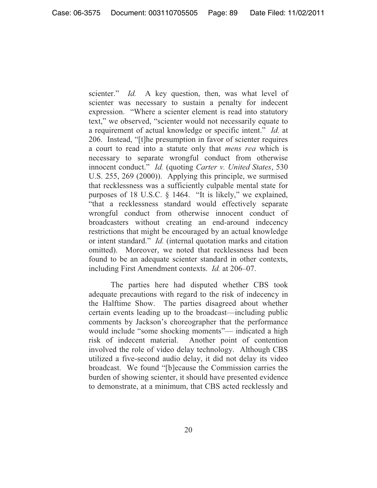scienter." *Id.* A key question, then, was what level of scienter was necessary to sustain a penalty for indecent expression. "Where a scienter element is read into statutory text," we observed, "scienter would not necessarily equate to a requirement of actual knowledge or specific intent." *Id.* at 206. Instead, "[t]he presumption in favor of scienter requires a court to read into a statute only that *mens rea* which is necessary to separate wrongful conduct from otherwise innocent conduct." *Id.* (quoting *Carter v. United States*, 530 U.S. 255, 269 (2000)). Applying this principle, we surmised that recklessness was a sufficiently culpable mental state for purposes of 18 U.S.C. § 1464. "It is likely," we explained, "that a recklessness standard would effectively separate wrongful conduct from otherwise innocent conduct of broadcasters without creating an end-around indecency restrictions that might be encouraged by an actual knowledge or intent standard." *Id.* (internal quotation marks and citation omitted). Moreover, we noted that recklessness had been found to be an adequate scienter standard in other contexts, including First Amendment contexts. *Id.* at 206–07.

 The parties here had disputed whether CBS took adequate precautions with regard to the risk of indecency in the Halftime Show. The parties disagreed about whether certain events leading up to the broadcast—including public comments by Jackson's choreographer that the performance would include "some shocking moments"— indicated a high risk of indecent material. Another point of contention involved the role of video delay technology. Although CBS utilized a five-second audio delay, it did not delay its video broadcast. We found "[b]ecause the Commission carries the burden of showing scienter, it should have presented evidence to demonstrate, at a minimum, that CBS acted recklessly and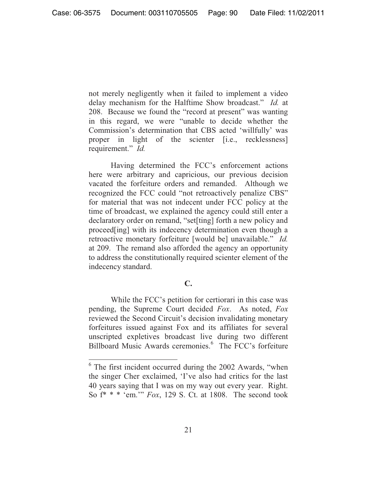not merely negligently when it failed to implement a video delay mechanism for the Halftime Show broadcast." *Id.* at 208. Because we found the "record at present" was wanting in this regard, we were "unable to decide whether the Commission's determination that CBS acted 'willfully' was proper in light of the scienter [i.e., recklessness] requirement." *Id.*

 Having determined the FCC's enforcement actions here were arbitrary and capricious, our previous decision vacated the forfeiture orders and remanded. Although we recognized the FCC could "not retroactively penalize CBS" for material that was not indecent under FCC policy at the time of broadcast, we explained the agency could still enter a declaratory order on remand, "set[ting] forth a new policy and proceed[ing] with its indecency determination even though a retroactive monetary forfeiture [would be] unavailable." *Id.*  at 209. The remand also afforded the agency an opportunity to address the constitutionally required scienter element of the indecency standard.

## **C.**

While the FCC's petition for certiorari in this case was pending, the Supreme Court decided *Fox*. As noted, *Fox*  reviewed the Second Circuit's decision invalidating monetary forfeitures issued against Fox and its affiliates for several unscripted expletives broadcast live during two different Billboard Music Awards ceremonies.<sup>6</sup> The FCC's forfeiture

 $6$  The first incident occurred during the 2002 Awards, "when the singer Cher exclaimed, 'I've also had critics for the last 40 years saying that I was on my way out every year. Right. So f\* \* \* 'em.'" *Fox*, 129 S. Ct. at 1808. The second took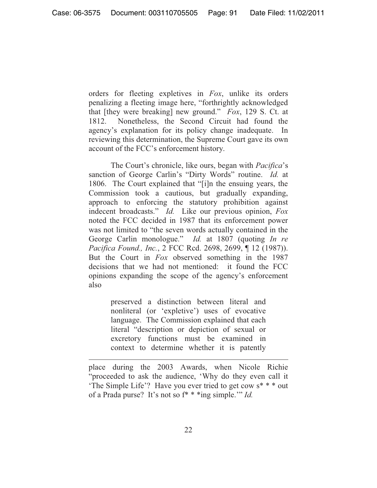orders for fleeting expletives in *Fox*, unlike its orders penalizing a fleeting image here, "forthrightly acknowledged that [they were breaking] new ground." *Fox*, 129 S. Ct. at 1812. Nonetheless, the Second Circuit had found the agency's explanation for its policy change inadequate. In reviewing this determination, the Supreme Court gave its own account of the FCC's enforcement history.

The Court's chronicle, like ours, began with *Pacifica*'s sanction of George Carlin's "Dirty Words" routine. *Id.* at 1806. The Court explained that "[i]n the ensuing years, the Commission took a cautious, but gradually expanding, approach to enforcing the statutory prohibition against indecent broadcasts." *Id.* Like our previous opinion, *Fox*  noted the FCC decided in 1987 that its enforcement power was not limited to "the seven words actually contained in the George Carlin monologue." *Id.* at 1807 (quoting *In re Pacifica Found., Inc.*, 2 FCC Rcd. 2698, 2699, ¶ 12 (1987)). But the Court in *Fox* observed something in the 1987 decisions that we had not mentioned: it found the FCC opinions expanding the scope of the agency's enforcement also

> preserved a distinction between literal and nonliteral (or 'expletive') uses of evocative language. The Commission explained that each literal "description or depiction of sexual or excretory functions must be examined in context to determine whether it is patently

place during the 2003 Awards, when Nicole Richie "proceeded to ask the audience, 'Why do they even call it 'The Simple Life'? Have you ever tried to get cow s\* \* \* out of a Prada purse? It's not so f\* \* \*ing simple.'" *Id.*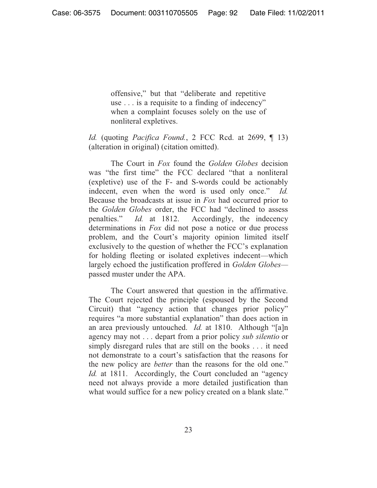offensive," but that "deliberate and repetitive use . . . is a requisite to a finding of indecency" when a complaint focuses solely on the use of nonliteral expletives.

# *Id.* (quoting *Pacifica Found.*, 2 FCC Rcd. at 2699, ¶ 13) (alteration in original) (citation omitted).

 The Court in *Fox* found the *Golden Globes* decision was "the first time" the FCC declared "that a nonliteral (expletive) use of the F- and S-words could be actionably indecent, even when the word is used only once." *Id.*  Because the broadcasts at issue in *Fox* had occurred prior to the *Golden Globes* order, the FCC had "declined to assess penalties." *Id.* at 1812. Accordingly, the indecency determinations in *Fox* did not pose a notice or due process problem, and the Court's majority opinion limited itself exclusively to the question of whether the FCC's explanation for holding fleeting or isolated expletives indecent—which largely echoed the justification proffered in *Golden Globes* passed muster under the APA.

 The Court answered that question in the affirmative. The Court rejected the principle (espoused by the Second Circuit) that "agency action that changes prior policy" requires "a more substantial explanation" than does action in an area previously untouched. *Id.* at 1810. Although "[a]n agency may not . . . depart from a prior policy *sub silentio* or simply disregard rules that are still on the books . . . it need not demonstrate to a court's satisfaction that the reasons for the new policy are *better* than the reasons for the old one." *Id.* at 1811. Accordingly, the Court concluded an "agency" need not always provide a more detailed justification than what would suffice for a new policy created on a blank slate."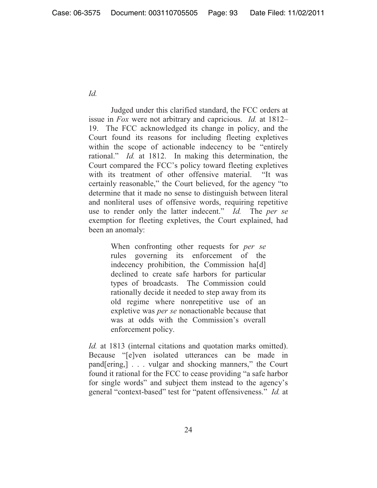*Id.*

Judged under this clarified standard, the FCC orders at issue in *Fox* were not arbitrary and capricious. *Id.* at 1812– 19. The FCC acknowledged its change in policy, and the Court found its reasons for including fleeting expletives within the scope of actionable indecency to be "entirely rational." *Id.* at 1812. In making this determination, the Court compared the FCC's policy toward fleeting expletives with its treatment of other offensive material. "It was certainly reasonable," the Court believed, for the agency "to determine that it made no sense to distinguish between literal and nonliteral uses of offensive words, requiring repetitive use to render only the latter indecent." *Id.* The *per se* exemption for fleeting expletives, the Court explained, had been an anomaly:

> When confronting other requests for *per se*  rules governing its enforcement of the indecency prohibition, the Commission ha[d] declined to create safe harbors for particular types of broadcasts. The Commission could rationally decide it needed to step away from its old regime where nonrepetitive use of an expletive was *per se* nonactionable because that was at odds with the Commission's overall enforcement policy.

*Id.* at 1813 (internal citations and quotation marks omitted). Because "[e]ven isolated utterances can be made in pand[ering,] . . . vulgar and shocking manners," the Court found it rational for the FCC to cease providing "a safe harbor for single words" and subject them instead to the agency's general "context-based" test for "patent offensiveness." *Id.* at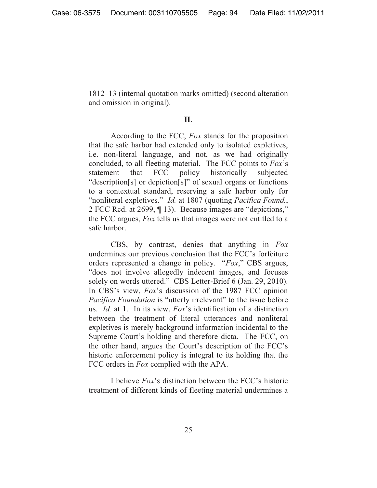1812–13 (internal quotation marks omitted) (second alteration and omission in original).

## **II.**

 According to the FCC, *Fox* stands for the proposition that the safe harbor had extended only to isolated expletives, i.e. non-literal language, and not, as we had originally concluded, to all fleeting material. The FCC points to *Fox*'s statement that FCC policy historically subjected "description[s] or depiction[s]" of sexual organs or functions to a contextual standard, reserving a safe harbor only for "nonliteral expletives." *Id.* at 1807 (quoting *Pacifica Found.*, 2 FCC Rcd. at 2699, ¶ 13). Because images are "depictions," the FCC argues, *Fox* tells us that images were not entitled to a safe harbor.

 CBS, by contrast, denies that anything in *Fox*  undermines our previous conclusion that the FCC's forfeiture orders represented a change in policy. "*Fox*," CBS argues, "does not involve allegedly indecent images, and focuses solely on words uttered." CBS Letter-Brief 6 (Jan. 29, 2010). In CBS's view, *Fox*'s discussion of the 1987 FCC opinion *Pacifica Foundation* is "utterly irrelevant" to the issue before us. *Id.* at 1. In its view, *Fox*'s identification of a distinction between the treatment of literal utterances and nonliteral expletives is merely background information incidental to the Supreme Court's holding and therefore dicta. The FCC, on the other hand, argues the Court's description of the FCC's historic enforcement policy is integral to its holding that the FCC orders in *Fox* complied with the APA.

I believe *Fox*'s distinction between the FCC's historic treatment of different kinds of fleeting material undermines a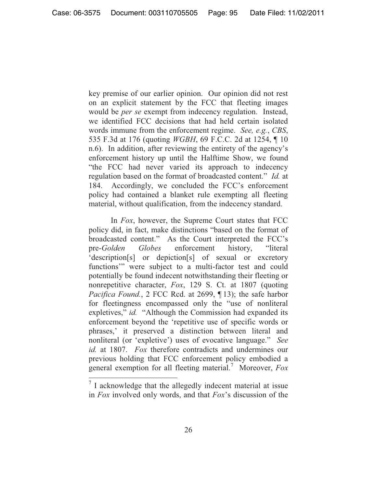key premise of our earlier opinion. Our opinion did not rest on an explicit statement by the FCC that fleeting images would be *per se* exempt from indecency regulation. Instead, we identified FCC decisions that had held certain isolated words immune from the enforcement regime. *See, e.g.*, *CBS*, 535 F.3d at 176 (quoting *WGBH*, 69 F.C.C. 2d at 1254, ¶ 10 n.6). In addition, after reviewing the entirety of the agency's enforcement history up until the Halftime Show, we found "the FCC had never varied its approach to indecency regulation based on the format of broadcasted content." *Id.* at 184. Accordingly, we concluded the FCC's enforcement policy had contained a blanket rule exempting all fleeting material, without qualification, from the indecency standard.

In *Fox*, however, the Supreme Court states that FCC policy did, in fact, make distinctions "based on the format of broadcasted content." As the Court interpreted the FCC's pre-*Golden Globes* enforcement history, "literal 'description[s] or depiction[s] of sexual or excretory functions'" were subject to a multi-factor test and could potentially be found indecent notwithstanding their fleeting or nonrepetitive character, *Fox*, 129 S. Ct. at 1807 (quoting *Pacifica Found.*, 2 FCC Rcd. at 2699, ¶ 13); the safe harbor for fleetingness encompassed only the "use of nonliteral expletives," *id.* "Although the Commission had expanded its enforcement beyond the 'repetitive use of specific words or phrases,' it preserved a distinction between literal and nonliteral (or 'expletive') uses of evocative language." *See id.* at 1807. *Fox* therefore contradicts and undermines our previous holding that FCC enforcement policy embodied a general exemption for all fleeting material.<sup>7</sup> Moreover, *Fox* 

 $7$  I acknowledge that the allegedly indecent material at issue in *Fox* involved only words, and that *Fox*'s discussion of the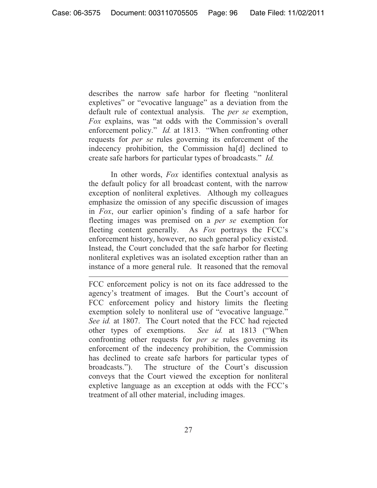describes the narrow safe harbor for fleeting "nonliteral expletives" or "evocative language" as a deviation from the default rule of contextual analysis. The *per se* exemption, *Fox* explains, was "at odds with the Commission's overall enforcement policy." *Id.* at 1813. "When confronting other requests for *per se* rules governing its enforcement of the indecency prohibition, the Commission ha[d] declined to create safe harbors for particular types of broadcasts." *Id.* 

In other words, *Fox* identifies contextual analysis as the default policy for all broadcast content, with the narrow exception of nonliteral expletives. Although my colleagues emphasize the omission of any specific discussion of images in *Fox*, our earlier opinion's finding of a safe harbor for fleeting images was premised on a *per se* exemption for fleeting content generally. As *Fox* portrays the FCC's enforcement history, however, no such general policy existed. Instead, the Court concluded that the safe harbor for fleeting nonliteral expletives was an isolated exception rather than an instance of a more general rule. It reasoned that the removal

 $\overline{a}$ 

FCC enforcement policy is not on its face addressed to the agency's treatment of images. But the Court's account of FCC enforcement policy and history limits the fleeting exemption solely to nonliteral use of "evocative language." *See id.* at 1807. The Court noted that the FCC had rejected other types of exemptions. *See id.* at 1813 ("When confronting other requests for *per se* rules governing its enforcement of the indecency prohibition, the Commission has declined to create safe harbors for particular types of broadcasts."). The structure of the Court's discussion conveys that the Court viewed the exception for nonliteral expletive language as an exception at odds with the FCC's treatment of all other material, including images.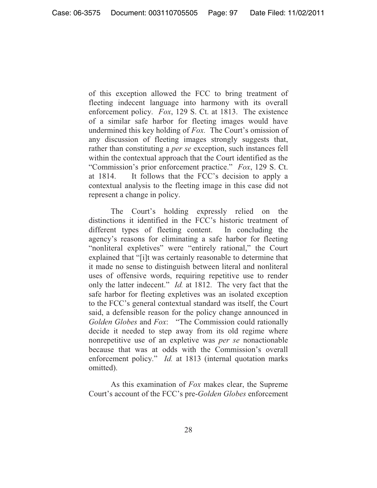of this exception allowed the FCC to bring treatment of fleeting indecent language into harmony with its overall enforcement policy. *Fox*, 129 S. Ct. at 1813. The existence of a similar safe harbor for fleeting images would have undermined this key holding of *Fox.* The Court's omission of any discussion of fleeting images strongly suggests that, rather than constituting a *per se* exception, such instances fell within the contextual approach that the Court identified as the "Commission's prior enforcement practice." *Fox*, 129 S. Ct. at 1814. It follows that the FCC's decision to apply a contextual analysis to the fleeting image in this case did not represent a change in policy.

The Court's holding expressly relied on the distinctions it identified in the FCC's historic treatment of different types of fleeting content. In concluding the agency's reasons for eliminating a safe harbor for fleeting "nonliteral expletives" were "entirely rational," the Court explained that "[i]t was certainly reasonable to determine that it made no sense to distinguish between literal and nonliteral uses of offensive words, requiring repetitive use to render only the latter indecent." *Id.* at 1812. The very fact that the safe harbor for fleeting expletives was an isolated exception to the FCC's general contextual standard was itself, the Court said, a defensible reason for the policy change announced in *Golden Globes* and *Fox*: "The Commission could rationally decide it needed to step away from its old regime where nonrepetitive use of an expletive was *per se* nonactionable because that was at odds with the Commission's overall enforcement policy." *Id.* at 1813 (internal quotation marks omitted).

As this examination of *Fox* makes clear, the Supreme Court's account of the FCC's pre-*Golden Globes* enforcement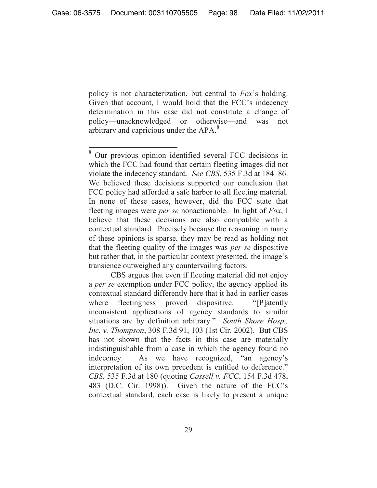policy is not characterization, but central to *Fox*'s holding. Given that account, I would hold that the FCC's indecency determination in this case did not constitute a change of policy—unacknowledged or otherwise—and was not arbitrary and capricious under the  $APA<sup>8</sup>$ .

 8 Our previous opinion identified several FCC decisions in which the FCC had found that certain fleeting images did not violate the indecency standard. *See CBS*, 535 F.3d at 184–86. We believed these decisions supported our conclusion that FCC policy had afforded a safe harbor to all fleeting material. In none of these cases, however, did the FCC state that fleeting images were *per se* nonactionable. In light of *Fox*, I believe that these decisions are also compatible with a contextual standard. Precisely because the reasoning in many of these opinions is sparse, they may be read as holding not that the fleeting quality of the images was *per se* dispositive but rather that, in the particular context presented, the image's transience outweighed any countervailing factors.

CBS argues that even if fleeting material did not enjoy a *per se* exemption under FCC policy, the agency applied its contextual standard differently here that it had in earlier cases where fleetingness proved dispositive. "[P]atently inconsistent applications of agency standards to similar situations are by definition arbitrary." *South Shore Hosp., Inc. v. Thompson*, 308 F.3d 91, 103 (1st Cir. 2002). But CBS has not shown that the facts in this case are materially indistinguishable from a case in which the agency found no indecency. As we have recognized, "an agency's interpretation of its own precedent is entitled to deference." *CBS*, 535 F.3d at 180 (quoting *Cassell v. FCC*, 154 F.3d 478, 483 (D.C. Cir. 1998)). Given the nature of the FCC's contextual standard, each case is likely to present a unique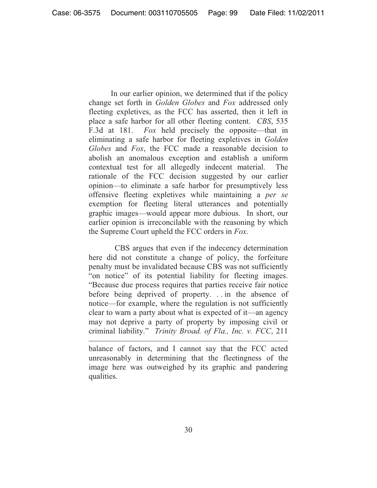In our earlier opinion, we determined that if the policy change set forth in *Golden Globes* and *Fox* addressed only fleeting expletives, as the FCC has asserted, then it left in place a safe harbor for all other fleeting content. *CBS*, 535 F.3d at 181. *Fox* held precisely the opposite—that in eliminating a safe harbor for fleeting expletives in *Golden Globes* and *Fox*, the FCC made a reasonable decision to abolish an anomalous exception and establish a uniform contextual test for all allegedly indecent material. The rationale of the FCC decision suggested by our earlier opinion—to eliminate a safe harbor for presumptively less offensive fleeting expletives while maintaining a *per se*  exemption for fleeting literal utterances and potentially graphic images—would appear more dubious. In short, our earlier opinion is irreconcilable with the reasoning by which the Supreme Court upheld the FCC orders in *Fox*.

 CBS argues that even if the indecency determination here did not constitute a change of policy, the forfeiture penalty must be invalidated because CBS was not sufficiently "on notice" of its potential liability for fleeting images. "Because due process requires that parties receive fair notice before being deprived of property. . . in the absence of notice—for example, where the regulation is not sufficiently clear to warn a party about what is expected of it—an agency may not deprive a party of property by imposing civil or criminal liability." *Trinity Broad. of Fla., Inc. v. FCC*, 211

balance of factors, and I cannot say that the FCC acted unreasonably in determining that the fleetingness of the image here was outweighed by its graphic and pandering qualities.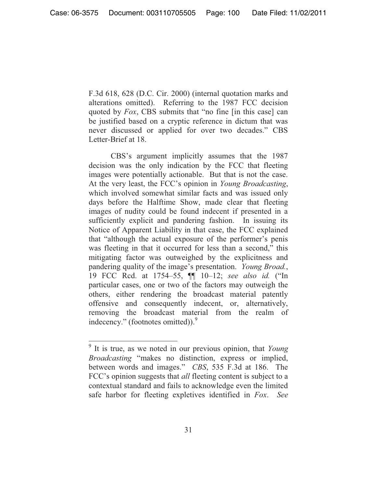F.3d 618, 628 (D.C. Cir. 2000) (internal quotation marks and alterations omitted). Referring to the 1987 FCC decision quoted by *Fox*, CBS submits that "no fine [in this case] can be justified based on a cryptic reference in dictum that was never discussed or applied for over two decades." CBS Letter-Brief at 18.

CBS's argument implicitly assumes that the 1987 decision was the only indication by the FCC that fleeting images were potentially actionable. But that is not the case. At the very least, the FCC's opinion in *Young Broadcasting*, which involved somewhat similar facts and was issued only days before the Halftime Show, made clear that fleeting images of nudity could be found indecent if presented in a sufficiently explicit and pandering fashion. In issuing its Notice of Apparent Liability in that case, the FCC explained that "although the actual exposure of the performer's penis was fleeting in that it occurred for less than a second," this mitigating factor was outweighed by the explicitness and pandering quality of the image's presentation. *Young Broad.*, 19 FCC Rcd. at 1754–55, ¶¶ 10–12; *see also id.* ("In particular cases, one or two of the factors may outweigh the others, either rendering the broadcast material patently offensive and consequently indecent, or, alternatively, removing the broadcast material from the realm of indecency." (footnotes omitted)).<sup>9</sup>

 9 It is true, as we noted in our previous opinion, that *Young Broadcasting* "makes no distinction, express or implied, between words and images." *CBS*, 535 F.3d at 186. The FCC's opinion suggests that *all* fleeting content is subject to a contextual standard and fails to acknowledge even the limited safe harbor for fleeting expletives identified in *Fox*. *See*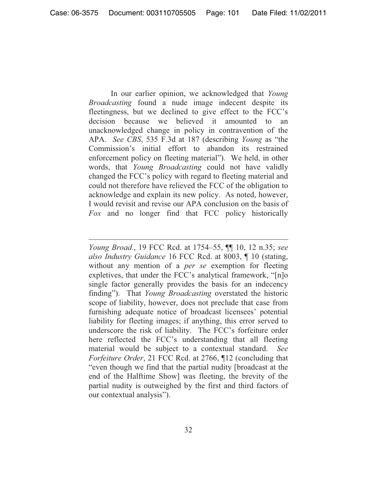In our earlier opinion, we acknowledged that *Young Broadcasting* found a nude image indecent despite its fleetingness, but we declined to give effect to the FCC's decision because we believed it amounted to an unacknowledged change in policy in contravention of the APA. *See CBS*, 535 F.3d at 187 (describing *Young* as "the Commission's initial effort to abandon its restrained enforcement policy on fleeting material"). We held, in other words, that *Young Broadcasting* could not have validly changed the FCC's policy with regard to fleeting material and could not therefore have relieved the FCC of the obligation to acknowledge and explain its new policy. As noted, however, I would revisit and revise our APA conclusion on the basis of *Fox* and no longer find that FCC policy historically

*Young Broad.*, 19 FCC Rcd. at 1754–55, ¶¶ 10, 12 n.35; *see also Industry Guidance* 16 FCC Rcd. at 8003, ¶ 10 (stating, without any mention of a *per se* exemption for fleeting expletives, that under the FCC's analytical framework, "[n]o single factor generally provides the basis for an indecency finding"). That *Young Broadcasting* overstated the historic scope of liability, however, does not preclude that case from furnishing adequate notice of broadcast licensees' potential liability for fleeting images; if anything, this error served to underscore the risk of liability. The FCC's forfeiture order here reflected the FCC's understanding that all fleeting material would be subject to a contextual standard. *See Forfeiture Order*, 21 FCC Rcd. at 2766, ¶12 (concluding that "even though we find that the partial nudity [broadcast at the end of the Halftime Show] was fleeting, the brevity of the partial nudity is outweighed by the first and third factors of our contextual analysis").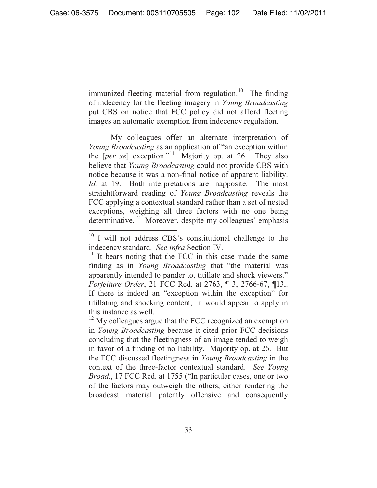immunized fleeting material from regulation.<sup>10</sup> The finding of indecency for the fleeting imagery in *Young Broadcasting*  put CBS on notice that FCC policy did not afford fleeting images an automatic exemption from indecency regulation.

My colleagues offer an alternate interpretation of *Young Broadcasting* as an application of "an exception within the [*per se*] exception."11 Majority op. at 26. They also believe that *Young Broadcasting* could not provide CBS with notice because it was a non-final notice of apparent liability. *Id.* at 19. Both interpretations are inapposite. The most straightforward reading of *Young Broadcasting* reveals the FCC applying a contextual standard rather than a set of nested exceptions, weighing all three factors with no one being determinative.<sup>12</sup> Moreover, despite my colleagues' emphasis

 $10$  I will not address CBS's constitutional challenge to the indecency standard. *See infra* Section IV.

 $11$  It bears noting that the FCC in this case made the same finding as in *Young Broadcasting* that "the material was apparently intended to pander to, titillate and shock viewers." *Forfeiture Order*, 21 FCC Rcd. at 2763, ¶ 3, 2766-67, ¶13,. If there is indeed an "exception within the exception" for titillating and shocking content, it would appear to apply in this instance as well.

 $12$  My colleagues argue that the FCC recognized an exemption in *Young Broadcasting* because it cited prior FCC decisions concluding that the fleetingness of an image tended to weigh in favor of a finding of no liability. Majority op. at 26. But the FCC discussed fleetingness in *Young Broadcasting* in the context of the three-factor contextual standard. *See Young Broad.*, 17 FCC Rcd. at 1755 ("In particular cases, one or two of the factors may outweigh the others, either rendering the broadcast material patently offensive and consequently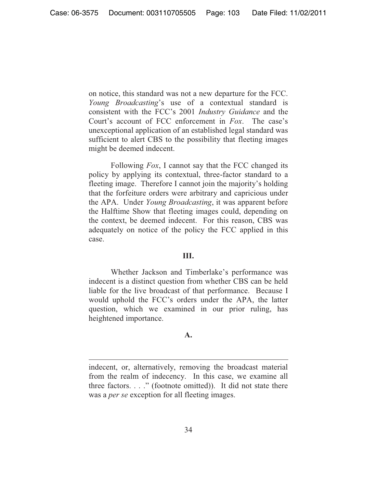on notice, this standard was not a new departure for the FCC. *Young Broadcasting*'s use of a contextual standard is consistent with the FCC's 2001 *Industry Guidance* and the Court's account of FCC enforcement in *Fox*. The case's unexceptional application of an established legal standard was sufficient to alert CBS to the possibility that fleeting images might be deemed indecent.

Following *Fox*, I cannot say that the FCC changed its policy by applying its contextual, three-factor standard to a fleeting image. Therefore I cannot join the majority's holding that the forfeiture orders were arbitrary and capricious under the APA. Under *Young Broadcasting*, it was apparent before the Halftime Show that fleeting images could, depending on the context, be deemed indecent. For this reason, CBS was adequately on notice of the policy the FCC applied in this case.

#### **III.**

 Whether Jackson and Timberlake's performance was indecent is a distinct question from whether CBS can be held liable for the live broadcast of that performance. Because I would uphold the FCC's orders under the APA, the latter question, which we examined in our prior ruling, has heightened importance.

#### **A.**

indecent, or, alternatively, removing the broadcast material from the realm of indecency. In this case, we examine all three factors. . . ." (footnote omitted)). It did not state there was a *per se* exception for all fleeting images.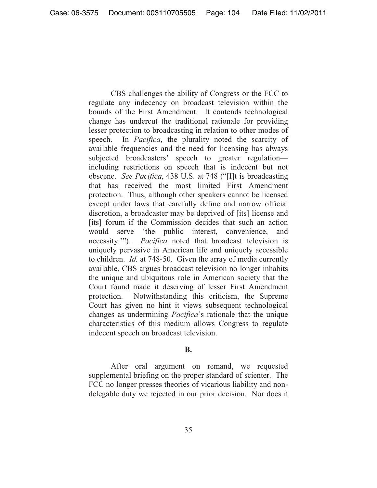CBS challenges the ability of Congress or the FCC to regulate any indecency on broadcast television within the bounds of the First Amendment. It contends technological change has undercut the traditional rationale for providing lesser protection to broadcasting in relation to other modes of speech. In *Pacifica*, the plurality noted the scarcity of available frequencies and the need for licensing has always subjected broadcasters' speech to greater regulation including restrictions on speech that is indecent but not obscene. *See Pacifica*, 438 U.S. at 748 ("[I]t is broadcasting that has received the most limited First Amendment protection. Thus, although other speakers cannot be licensed except under laws that carefully define and narrow official discretion, a broadcaster may be deprived of [its] license and [its] forum if the Commission decides that such an action would serve 'the public interest, convenience, and necessity.'"). *Pacifica* noted that broadcast television is uniquely pervasive in American life and uniquely accessible to children. *Id.* at 748-50. Given the array of media currently available, CBS argues broadcast television no longer inhabits the unique and ubiquitous role in American society that the Court found made it deserving of lesser First Amendment protection. Notwithstanding this criticism, the Supreme Court has given no hint it views subsequent technological changes as undermining *Pacifica*'s rationale that the unique characteristics of this medium allows Congress to regulate indecent speech on broadcast television.

### **B.**

After oral argument on remand, we requested supplemental briefing on the proper standard of scienter. The FCC no longer presses theories of vicarious liability and nondelegable duty we rejected in our prior decision. Nor does it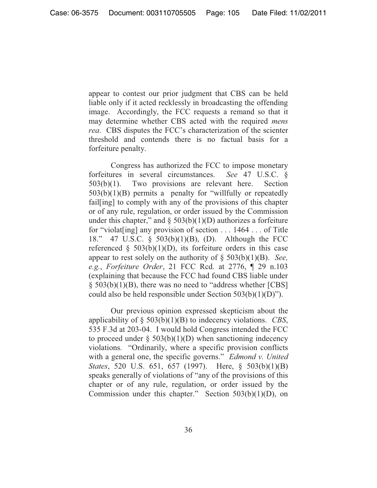appear to contest our prior judgment that CBS can be held liable only if it acted recklessly in broadcasting the offending image. Accordingly, the FCC requests a remand so that it may determine whether CBS acted with the required *mens rea*. CBS disputes the FCC's characterization of the scienter threshold and contends there is no factual basis for a forfeiture penalty.

Congress has authorized the FCC to impose monetary forfeitures in several circumstances. *See* 47 U.S.C. § 503(b)(1). Two provisions are relevant here. Section  $503(b)(1)(B)$  permits a penalty for "willfully or repeatedly fail[ing] to comply with any of the provisions of this chapter or of any rule, regulation, or order issued by the Commission under this chapter," and  $\S$  503(b)(1)(D) authorizes a forfeiture for "violat[ing] any provision of section . . . 1464 . . . of Title 18." 47 U.S.C. § 503(b)(1)(B), (D). Although the FCC referenced  $\S$  503(b)(1)(D), its forfeiture orders in this case appear to rest solely on the authority of § 503(b)(1)(B). *See, e.g.*, *Forfeiture Order*, 21 FCC Rcd. at 2776, ¶ 29 n.103 (explaining that because the FCC had found CBS liable under § 503(b)(1)(B), there was no need to "address whether [CBS] could also be held responsible under Section 503(b)(1)(D)").

Our previous opinion expressed skepticism about the applicability of § 503(b)(1)(B) to indecency violations. *CBS*, 535 F.3d at 203-04. I would hold Congress intended the FCC to proceed under  $\S$  503(b)(1)(D) when sanctioning indecency violations. "Ordinarily, where a specific provision conflicts with a general one, the specific governs." *Edmond v. United States*, 520 U.S. 651, 657 (1997). Here, § 503(b)(1)(B) speaks generally of violations of "any of the provisions of this chapter or of any rule, regulation, or order issued by the Commission under this chapter." Section 503(b)(1)(D), on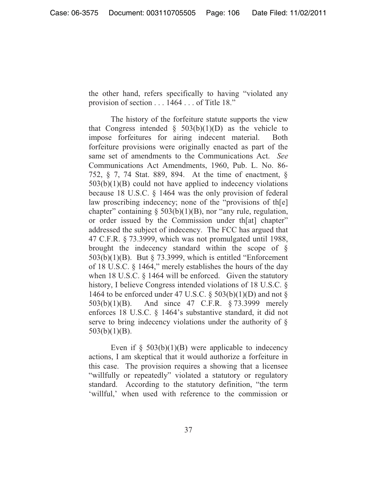the other hand, refers specifically to having "violated any provision of section . . . 1464 . . . of Title 18."

The history of the forfeiture statute supports the view that Congress intended  $\S$  503(b)(1)(D) as the vehicle to impose forfeitures for airing indecent material. Both forfeiture provisions were originally enacted as part of the same set of amendments to the Communications Act. *See*  Communications Act Amendments, 1960, Pub. L. No. 86- 752, § 7, 74 Stat. 889, 894. At the time of enactment, §  $503(b)(1)(B)$  could not have applied to indecency violations because 18 U.S.C. § 1464 was the only provision of federal law proscribing indecency; none of the "provisions of th[e] chapter" containing  $\S$  503(b)(1)(B), nor "any rule, regulation, or order issued by the Commission under th[at] chapter" addressed the subject of indecency. The FCC has argued that 47 C.F.R. § 73.3999, which was not promulgated until 1988, brought the indecency standard within the scope of § 503(b)(1)(B). But § 73.3999, which is entitled "Enforcement of 18 U.S.C. § 1464," merely establishes the hours of the day when 18 U.S.C. § 1464 will be enforced. Given the statutory history, I believe Congress intended violations of 18 U.S.C. § 1464 to be enforced under 47 U.S.C.  $\S$  503(b)(1)(D) and not  $\S$ 503(b)(1)(B). And since 47 C.F.R. § 73.3999 merely enforces 18 U.S.C. § 1464's substantive standard, it did not serve to bring indecency violations under the authority of § 503(b)(1)(B).

Even if  $\S$  503(b)(1)(B) were applicable to indecency actions, I am skeptical that it would authorize a forfeiture in this case. The provision requires a showing that a licensee "willfully or repeatedly" violated a statutory or regulatory standard. According to the statutory definition, "the term 'willful,' when used with reference to the commission or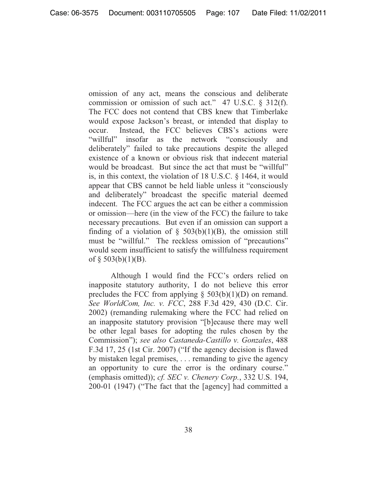omission of any act, means the conscious and deliberate commission or omission of such act." 47 U.S.C. § 312(f). The FCC does not contend that CBS knew that Timberlake would expose Jackson's breast, or intended that display to occur. Instead, the FCC believes CBS's actions were "willful" insofar as the network "consciously and deliberately" failed to take precautions despite the alleged existence of a known or obvious risk that indecent material would be broadcast. But since the act that must be "willful" is, in this context, the violation of 18 U.S.C. § 1464, it would appear that CBS cannot be held liable unless it "consciously and deliberately" broadcast the specific material deemed indecent. The FCC argues the act can be either a commission or omission—here (in the view of the FCC) the failure to take necessary precautions. But even if an omission can support a finding of a violation of  $\S$  503(b)(1)(B), the omission still must be "willful." The reckless omission of "precautions" would seem insufficient to satisfy the willfulness requirement of  $\S$  503(b)(1)(B).

Although I would find the FCC's orders relied on inapposite statutory authority, I do not believe this error precludes the FCC from applying  $\S$  503(b)(1)(D) on remand. *See WorldCom, Inc. v. FCC*, 288 F.3d 429, 430 (D.C. Cir. 2002) (remanding rulemaking where the FCC had relied on an inapposite statutory provision "[b]ecause there may well be other legal bases for adopting the rules chosen by the Commission"); *see also Castaneda-Castillo v. Gonzales*, 488 F.3d 17, 25 (1st Cir. 2007) ("If the agency decision is flawed by mistaken legal premises, . . . remanding to give the agency an opportunity to cure the error is the ordinary course." (emphasis omitted)); *cf. SEC v. Chenery Corp.*, 332 U.S. 194, 200-01 (1947) ("The fact that the [agency] had committed a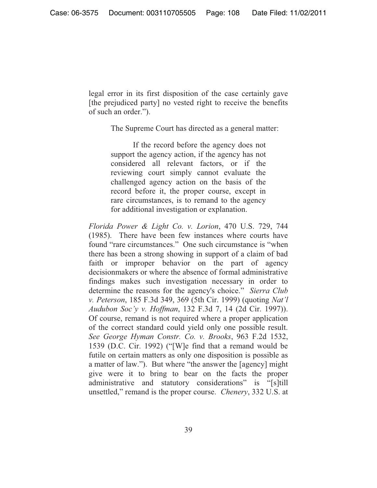legal error in its first disposition of the case certainly gave [the prejudiced party] no vested right to receive the benefits of such an order.").

The Supreme Court has directed as a general matter:

If the record before the agency does not support the agency action, if the agency has not considered all relevant factors, or if the reviewing court simply cannot evaluate the challenged agency action on the basis of the record before it, the proper course, except in rare circumstances, is to remand to the agency for additional investigation or explanation.

*Florida Power & Light Co. v. Lorion*, 470 U.S. 729, 744 (1985). There have been few instances where courts have found "rare circumstances." One such circumstance is "when there has been a strong showing in support of a claim of bad faith or improper behavior on the part of agency decisionmakers or where the absence of formal administrative findings makes such investigation necessary in order to determine the reasons for the agency's choice." *Sierra Club v. Peterson*, 185 F.3d 349, 369 (5th Cir. 1999) (quoting *Nat'l Audubon Soc'y v. Hoffman*, 132 F.3d 7, 14 (2d Cir. 1997)). Of course, remand is not required where a proper application of the correct standard could yield only one possible result. *See George Hyman Constr. Co. v. Brooks*, 963 F.2d 1532, 1539 (D.C. Cir. 1992) ("[W]e find that a remand would be futile on certain matters as only one disposition is possible as a matter of law."). But where "the answer the [agency] might give were it to bring to bear on the facts the proper administrative and statutory considerations" is "[s]till unsettled," remand is the proper course. *Chenery*, 332 U.S. at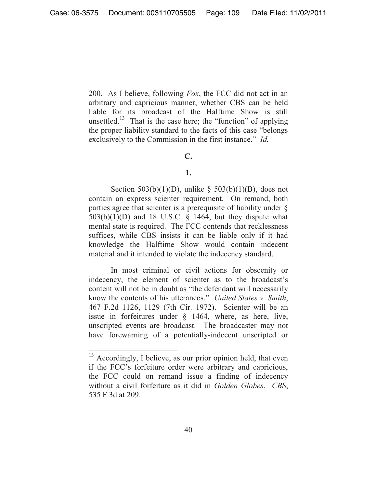200. As I believe, following *Fox*, the FCC did not act in an arbitrary and capricious manner, whether CBS can be held liable for its broadcast of the Halftime Show is still unsettled.<sup>13</sup> That is the case here; the "function" of applying the proper liability standard to the facts of this case "belongs exclusively to the Commission in the first instance." *Id.*

# **C.**

## **1.**

Section 503(b)(1)(D), unlike  $\S$  503(b)(1)(B), does not contain an express scienter requirement. On remand, both parties agree that scienter is a prerequisite of liability under §  $503(b)(1)(D)$  and 18 U.S.C. § 1464, but they dispute what mental state is required. The FCC contends that recklessness suffices, while CBS insists it can be liable only if it had knowledge the Halftime Show would contain indecent material and it intended to violate the indecency standard.

In most criminal or civil actions for obscenity or indecency, the element of scienter as to the broadcast's content will not be in doubt as "the defendant will necessarily know the contents of his utterances." *United States v. Smith*, 467 F.2d 1126, 1129 (7th Cir. 1972). Scienter will be an issue in forfeitures under § 1464, where, as here, live, unscripted events are broadcast. The broadcaster may not have forewarning of a potentially-indecent unscripted or

<sup>&</sup>lt;sup>13</sup> Accordingly, I believe, as our prior opinion held, that even if the FCC's forfeiture order were arbitrary and capricious, the FCC could on remand issue a finding of indecency without a civil forfeiture as it did in *Golden Globes*. *CBS*, 535 F.3d at 209.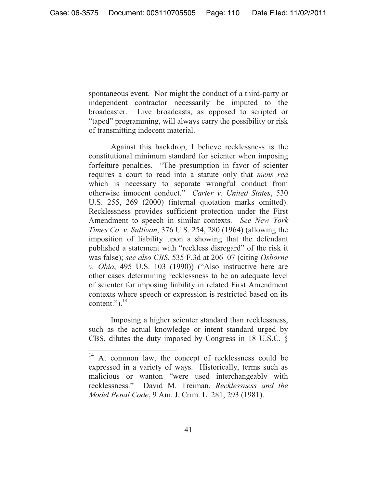spontaneous event. Nor might the conduct of a third-party or independent contractor necessarily be imputed to the broadcaster. Live broadcasts, as opposed to scripted or "taped" programming, will always carry the possibility or risk of transmitting indecent material.

Against this backdrop, I believe recklessness is the constitutional minimum standard for scienter when imposing forfeiture penalties. "The presumption in favor of scienter requires a court to read into a statute only that *mens rea* which is necessary to separate wrongful conduct from otherwise innocent conduct." *Carter v. United States*, 530 U.S. 255, 269 (2000) (internal quotation marks omitted). Recklessness provides sufficient protection under the First Amendment to speech in similar contexts. *See New York Times Co. v. Sullivan*, 376 U.S. 254, 280 (1964) (allowing the imposition of liability upon a showing that the defendant published a statement with "reckless disregard" of the risk it was false); *see also CBS*, 535 F.3d at 206–07 (citing *Osborne v. Ohio*, 495 U.S. 103 (1990)) ("Also instructive here are other cases determining recklessness to be an adequate level of scienter for imposing liability in related First Amendment contexts where speech or expression is restricted based on its content."). $^{14}$ 

Imposing a higher scienter standard than recklessness, such as the actual knowledge or intent standard urged by CBS, dilutes the duty imposed by Congress in 18 U.S.C. §

<sup>&</sup>lt;sup>14</sup> At common law, the concept of recklessness could be expressed in a variety of ways. Historically, terms such as malicious or wanton "were used interchangeably with recklessness." David M. Treiman, *Recklessness and the Model Penal Code*, 9 Am. J. Crim. L. 281, 293 (1981).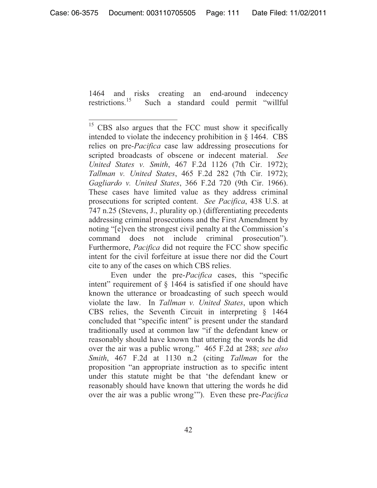1464 and risks creating an end-around indecency restrictions.<sup>15</sup> Such a standard could permit "willful Such a standard could permit "willful

 $\overline{a}$ 

Even under the pre-*Pacifica* cases, this "specific intent" requirement of § 1464 is satisfied if one should have known the utterance or broadcasting of such speech would violate the law. In *Tallman v. United States*, upon which CBS relies, the Seventh Circuit in interpreting  $\S$  1464 concluded that "specific intent" is present under the standard traditionally used at common law "if the defendant knew or reasonably should have known that uttering the words he did over the air was a public wrong." 465 F.2d at 288; *see also Smith*, 467 F.2d at 1130 n.2 (citing *Tallman* for the proposition "an appropriate instruction as to specific intent under this statute might be that 'the defendant knew or reasonably should have known that uttering the words he did over the air was a public wrong'"). Even these pre-*Pacifica*

<sup>&</sup>lt;sup>15</sup> CBS also argues that the FCC must show it specifically intended to violate the indecency prohibition in § 1464. CBS relies on pre-*Pacifica* case law addressing prosecutions for scripted broadcasts of obscene or indecent material. *See United States v. Smith*, 467 F.2d 1126 (7th Cir. 1972); *Tallman v. United States*, 465 F.2d 282 (7th Cir. 1972); *Gagliardo v. United States*, 366 F.2d 720 (9th Cir. 1966). These cases have limited value as they address criminal prosecutions for scripted content. *See Pacifica*, 438 U.S. at 747 n.25 (Stevens, J., plurality op.) (differentiating precedents addressing criminal prosecutions and the First Amendment by noting "[e]ven the strongest civil penalty at the Commission's command does not include criminal prosecution"). Furthermore, *Pacifica* did not require the FCC show specific intent for the civil forfeiture at issue there nor did the Court cite to any of the cases on which CBS relies.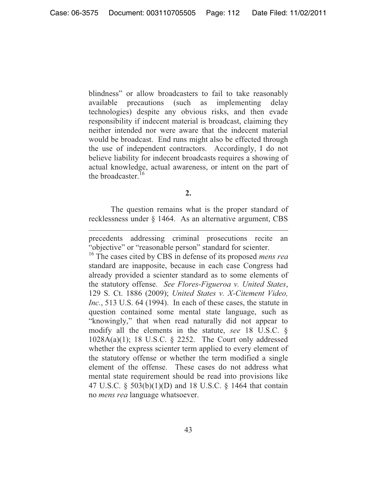blindness" or allow broadcasters to fail to take reasonably available precautions (such as implementing delay technologies) despite any obvious risks, and then evade responsibility if indecent material is broadcast, claiming they neither intended nor were aware that the indecent material would be broadcast. End runs might also be effected through the use of independent contractors. Accordingly, I do not believe liability for indecent broadcasts requires a showing of actual knowledge, actual awareness, or intent on the part of the broadcaster. $16$ 

**2.** 

The question remains what is the proper standard of recklessness under § 1464. As an alternative argument, CBS

precedents addressing criminal prosecutions recite an "objective" or "reasonable person" standard for scienter.

 $\overline{a}$ 

16 The cases cited by CBS in defense of its proposed *mens rea*  standard are inapposite, because in each case Congress had already provided a scienter standard as to some elements of the statutory offense. *See Flores-Figueroa v. United States*, 129 S. Ct. 1886 (2009); *United States v. X-Citement Video, Inc.*, 513 U.S. 64 (1994). In each of these cases, the statute in question contained some mental state language, such as "knowingly," that when read naturally did not appear to modify all the elements in the statute, *see* 18 U.S.C. § 1028A(a)(1); 18 U.S.C. § 2252. The Court only addressed whether the express scienter term applied to every element of the statutory offense or whether the term modified a single element of the offense. These cases do not address what mental state requirement should be read into provisions like 47 U.S.C. § 503(b)(1)(D) and 18 U.S.C. § 1464 that contain no *mens rea* language whatsoever.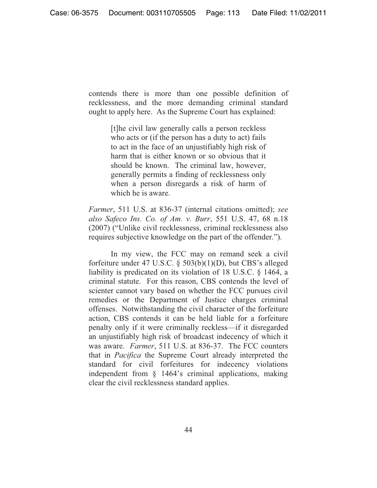contends there is more than one possible definition of recklessness, and the more demanding criminal standard ought to apply here. As the Supreme Court has explained:

> [t]he civil law generally calls a person reckless who acts or (if the person has a duty to act) fails to act in the face of an unjustifiably high risk of harm that is either known or so obvious that it should be known. The criminal law, however, generally permits a finding of recklessness only when a person disregards a risk of harm of which he is aware.

*Farmer*, 511 U.S. at 836-37 (internal citations omitted); *see also Safeco Ins. Co. of Am. v. Burr*, 551 U.S. 47, 68 n.18 (2007) ("Unlike civil recklessness, criminal recklessness also requires subjective knowledge on the part of the offender.").

In my view, the FCC may on remand seek a civil forfeiture under 47 U.S.C. § 503(b)(1)(D), but CBS's alleged liability is predicated on its violation of 18 U.S.C. § 1464, a criminal statute. For this reason, CBS contends the level of scienter cannot vary based on whether the FCC pursues civil remedies or the Department of Justice charges criminal offenses. Notwithstanding the civil character of the forfeiture action, CBS contends it can be held liable for a forfeiture penalty only if it were criminally reckless—if it disregarded an unjustifiably high risk of broadcast indecency of which it was aware. *Farmer*, 511 U.S. at 836-37. The FCC counters that in *Pacifica* the Supreme Court already interpreted the standard for civil forfeitures for indecency violations independent from § 1464's criminal applications, making clear the civil recklessness standard applies.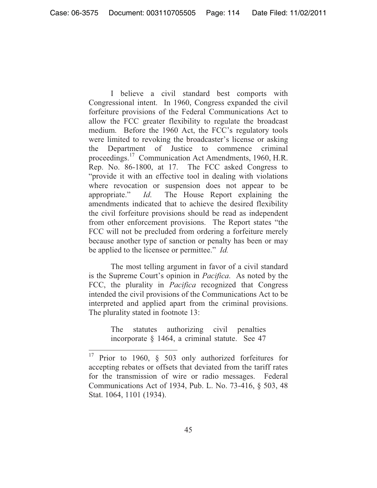I believe a civil standard best comports with Congressional intent. In 1960, Congress expanded the civil forfeiture provisions of the Federal Communications Act to allow the FCC greater flexibility to regulate the broadcast medium. Before the 1960 Act, the FCC's regulatory tools were limited to revoking the broadcaster's license or asking the Department of Justice to commence criminal proceedings.17 Communication Act Amendments, 1960, H.R. Rep. No. 86-1800, at 17. The FCC asked Congress to "provide it with an effective tool in dealing with violations where revocation or suspension does not appear to be appropriate." *Id*. The House Report explaining the amendments indicated that to achieve the desired flexibility the civil forfeiture provisions should be read as independent from other enforcement provisions. The Report states "the FCC will not be precluded from ordering a forfeiture merely because another type of sanction or penalty has been or may be applied to the licensee or permittee." *Id.*

The most telling argument in favor of a civil standard is the Supreme Court's opinion in *Pacifica*. As noted by the FCC, the plurality in *Pacifica* recognized that Congress intended the civil provisions of the Communications Act to be interpreted and applied apart from the criminal provisions. The plurality stated in footnote 13:

> The statutes authorizing civil penalties incorporate § 1464, a criminal statute. See 47

<sup>17</sup> Prior to 1960, § 503 only authorized forfeitures for accepting rebates or offsets that deviated from the tariff rates for the transmission of wire or radio messages. Federal Communications Act of 1934, Pub. L. No. 73-416, § 503, 48 Stat. 1064, 1101 (1934).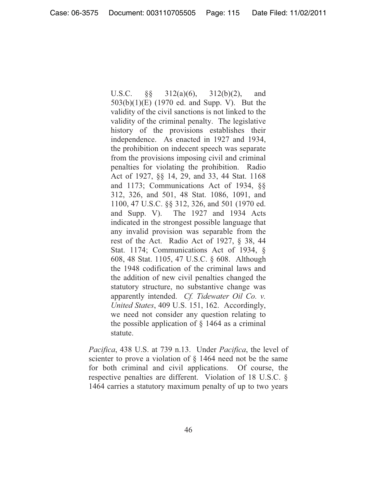U.S.C. §§ 312(a)(6), 312(b)(2), and 503(b)(1)(E) (1970 ed. and Supp. V). But the validity of the civil sanctions is not linked to the validity of the criminal penalty. The legislative history of the provisions establishes their independence. As enacted in 1927 and 1934, the prohibition on indecent speech was separate from the provisions imposing civil and criminal penalties for violating the prohibition. Radio Act of 1927, §§ 14, 29, and 33, 44 Stat. 1168 and 1173; Communications Act of 1934, §§ 312, 326, and 501, 48 Stat. 1086, 1091, and 1100, 47 U.S.C. §§ 312, 326, and 501 (1970 ed. and Supp. V). The 1927 and 1934 Acts indicated in the strongest possible language that any invalid provision was separable from the rest of the Act. Radio Act of 1927, § 38, 44 Stat. 1174; Communications Act of 1934, § 608, 48 Stat. 1105, 47 U.S.C. § 608. Although the 1948 codification of the criminal laws and the addition of new civil penalties changed the statutory structure, no substantive change was apparently intended. *Cf. Tidewater Oil Co. v. United States*, 409 U.S. 151, 162. Accordingly, we need not consider any question relating to the possible application of  $\S$  1464 as a criminal statute.

*Pacifica*, 438 U.S. at 739 n.13. Under *Pacifica*, the level of scienter to prove a violation of § 1464 need not be the same for both criminal and civil applications. Of course, the respective penalties are different. Violation of 18 U.S.C. § 1464 carries a statutory maximum penalty of up to two years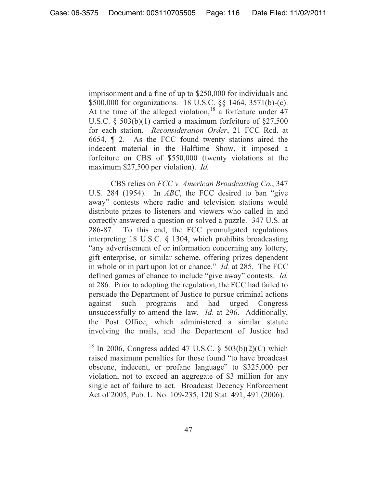imprisonment and a fine of up to \$250,000 for individuals and \$500,000 for organizations. 18 U.S.C. §§ 1464, 3571(b)-(c). At the time of the alleged violation,  $18$  a forfeiture under 47 U.S.C. § 503(b)(1) carried a maximum forfeiture of §27,500 for each station. *Reconsideration Order*, 21 FCC Rcd. at 6654, ¶ 2. As the FCC found twenty stations aired the indecent material in the Halftime Show, it imposed a forfeiture on CBS of \$550,000 (twenty violations at the maximum \$27,500 per violation). *Id.*

CBS relies on *FCC v. American Broadcasting Co.*, 347 U.S. 284 (1954). In *ABC*, the FCC desired to ban "give away" contests where radio and television stations would distribute prizes to listeners and viewers who called in and correctly answered a question or solved a puzzle. 347 U.S. at 286-87. To this end, the FCC promulgated regulations interpreting 18 U.S.C. § 1304, which prohibits broadcasting "any advertisement of or information concerning any lottery, gift enterprise, or similar scheme, offering prizes dependent in whole or in part upon lot or chance." *Id.* at 285. The FCC defined games of chance to include "give away" contests. *Id.* at 286. Prior to adopting the regulation, the FCC had failed to persuade the Department of Justice to pursue criminal actions against such programs and had urged Congress unsuccessfully to amend the law. *Id.* at 296. Additionally, the Post Office, which administered a similar statute involving the mails, and the Department of Justice had

<sup>&</sup>lt;sup>18</sup> In 2006, Congress added 47 U.S.C. § 503(b)(2)(C) which raised maximum penalties for those found "to have broadcast obscene, indecent, or profane language" to \$325,000 per violation, not to exceed an aggregate of \$3 million for any single act of failure to act. Broadcast Decency Enforcement Act of 2005, Pub. L. No. 109-235, 120 Stat. 491, 491 (2006).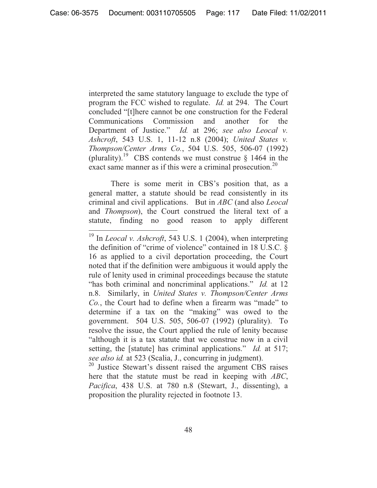interpreted the same statutory language to exclude the type of program the FCC wished to regulate. *Id.* at 294. The Court concluded "[t]here cannot be one construction for the Federal Communications Commission and another for the Department of Justice." *Id.* at 296; *see also Leocal v. Ashcroft*, 543 U.S. 1, 11-12 n.8 (2004); *United States v. Thompson/Center Arms Co.*, 504 U.S. 505, 506-07 (1992) (plurality).<sup>19</sup> CBS contends we must construe  $\S$  1464 in the exact same manner as if this were a criminal prosecution.<sup>20</sup>

There is some merit in CBS's position that, as a general matter, a statute should be read consistently in its criminal and civil applications. But in *ABC* (and also *Leocal* and *Thompson*), the Court construed the literal text of a statute, finding no good reason to apply different

 $\overline{a}$ 

<sup>20</sup> Justice Stewart's dissent raised the argument CBS raises here that the statute must be read in keeping with *ABC*, *Pacifica*, 438 U.S. at 780 n.8 (Stewart, J., dissenting), a proposition the plurality rejected in footnote 13.

<sup>19</sup> In *Leocal v. Ashcroft*, 543 U.S. 1 (2004), when interpreting the definition of "crime of violence" contained in 18 U.S.C. § 16 as applied to a civil deportation proceeding, the Court noted that if the definition were ambiguous it would apply the rule of lenity used in criminal proceedings because the statute "has both criminal and noncriminal applications." *Id.* at 12 n.8. Similarly, in *United States v. Thompson/Center Arms Co.*, the Court had to define when a firearm was "made" to determine if a tax on the "making" was owed to the government. 504 U.S. 505, 506-07 (1992) (plurality). To resolve the issue, the Court applied the rule of lenity because "although it is a tax statute that we construe now in a civil setting, the [statute] has criminal applications." *Id.* at 517; *see also id.* at 523 (Scalia, J., concurring in judgment).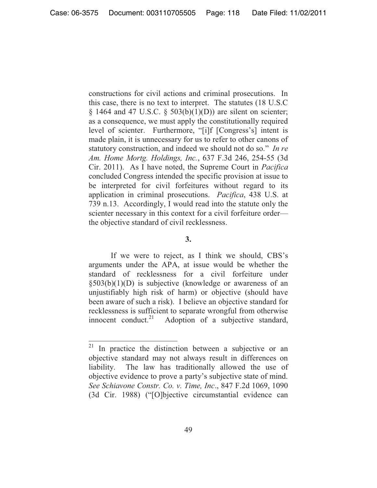constructions for civil actions and criminal prosecutions. In this case, there is no text to interpret. The statutes (18 U.S.C  $\S$  1464 and 47 U.S.C.  $\S$  503(b)(1)(D)) are silent on scienter; as a consequence, we must apply the constitutionally required level of scienter. Furthermore, "[i]f [Congress's] intent is made plain, it is unnecessary for us to refer to other canons of statutory construction, and indeed we should not do so." *In re Am. Home Mortg. Holdings, Inc.*, 637 F.3d 246, 254-55 (3d Cir. 2011). As I have noted, the Supreme Court in *Pacifica* concluded Congress intended the specific provision at issue to be interpreted for civil forfeitures without regard to its application in criminal prosecutions. *Pacifica*, 438 U.S. at 739 n.13. Accordingly, I would read into the statute only the scienter necessary in this context for a civil forfeiture order the objective standard of civil recklessness.

## **3.**

If we were to reject, as I think we should, CBS's arguments under the APA, at issue would be whether the standard of recklessness for a civil forfeiture under  $\S503(b)(1)(D)$  is subjective (knowledge or awareness of an unjustifiably high risk of harm) or objective (should have been aware of such a risk). I believe an objective standard for recklessness is sufficient to separate wrongful from otherwise<br>innocent conduct.<sup>21</sup> Adoption of a subjective standard. Adoption of a subjective standard,

 $21\,$ In practice the distinction between a subjective or an objective standard may not always result in differences on liability. The law has traditionally allowed the use of objective evidence to prove a party's subjective state of mind. *See Schiavone Constr. Co. v. Time, Inc*., 847 F.2d 1069, 1090 (3d Cir. 1988) ("[O]bjective circumstantial evidence can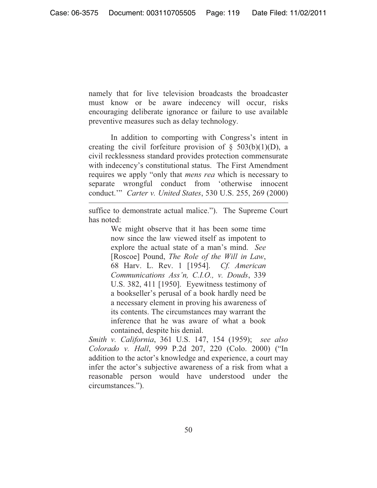namely that for live television broadcasts the broadcaster must know or be aware indecency will occur, risks encouraging deliberate ignorance or failure to use available preventive measures such as delay technology.

In addition to comporting with Congress's intent in creating the civil forfeiture provision of  $\S$  503(b)(1)(D), a civil recklessness standard provides protection commensurate with indecency's constitutional status. The First Amendment requires we apply "only that *mens rea* which is necessary to separate wrongful conduct from 'otherwise innocent conduct.'" *Carter v. United States*, 530 U.S. 255, 269 (2000)

suffice to demonstrate actual malice."). The Supreme Court has noted:

 $\overline{a}$ 

We might observe that it has been some time now since the law viewed itself as impotent to explore the actual state of a man's mind. *See* [Roscoe] Pound, *The Role of the Will in Law*, 68 Harv. L. Rev. 1 [1954]. *Cf. American Communications Ass'n, C.I.O., v. Douds*, 339 U.S. 382, 411 [1950]. Eyewitness testimony of a bookseller's perusal of a book hardly need be a necessary element in proving his awareness of its contents. The circumstances may warrant the inference that he was aware of what a book contained, despite his denial.

*Smith v. California*, 361 U.S. 147, 154 (1959); *see also Colorado v. Hall*, 999 P.2d 207, 220 (Colo. 2000) ("In addition to the actor's knowledge and experience, a court may infer the actor's subjective awareness of a risk from what a reasonable person would have understood under the circumstances.").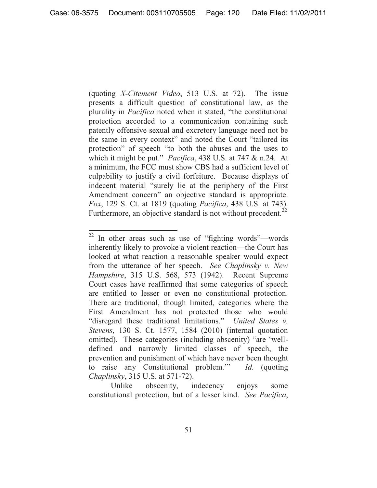(quoting *X-Citement Video*, 513 U.S. at 72). The issue presents a difficult question of constitutional law, as the plurality in *Pacifica* noted when it stated, "the constitutional protection accorded to a communication containing such patently offensive sexual and excretory language need not be the same in every context" and noted the Court "tailored its protection" of speech "to both the abuses and the uses to which it might be put." *Pacifica*, 438 U.S. at 747 & n.24. At a minimum, the FCC must show CBS had a sufficient level of culpability to justify a civil forfeiture. Because displays of indecent material "surely lie at the periphery of the First Amendment concern" an objective standard is appropriate. *Fox*, 129 S. Ct. at 1819 (quoting *Pacifica*, 438 U.S. at 743). Furthermore, an objective standard is not without precedent.<sup>22</sup>

 $\overline{a}$ 

Unlike obscenity, indecency enjoys some constitutional protection, but of a lesser kind. *See Pacifica*,

 $22$  In other areas such as use of "fighting words"—words inherently likely to provoke a violent reaction—the Court has looked at what reaction a reasonable speaker would expect from the utterance of her speech. *See Chaplinsky v. New Hampshire*, 315 U.S. 568, 573 (1942). Recent Supreme Court cases have reaffirmed that some categories of speech are entitled to lesser or even no constitutional protection. There are traditional, though limited, categories where the First Amendment has not protected those who would "disregard these traditional limitations." *United States v. Stevens*, 130 S. Ct. 1577, 1584 (2010) (internal quotation omitted). These categories (including obscenity) "are 'welldefined and narrowly limited classes of speech, the prevention and punishment of which have never been thought to raise any Constitutional problem.'" *Id.* (quoting *Chaplinsky*, 315 U.S. at 571-72).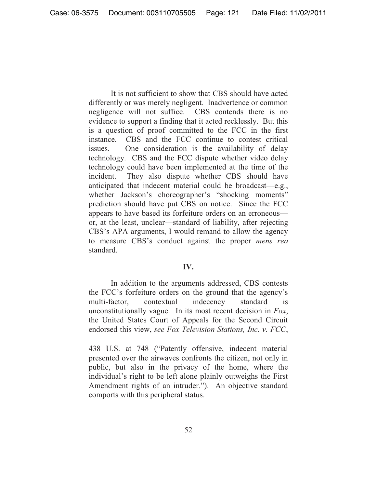It is not sufficient to show that CBS should have acted differently or was merely negligent. Inadvertence or common negligence will not suffice. CBS contends there is no evidence to support a finding that it acted recklessly. But this is a question of proof committed to the FCC in the first instance. CBS and the FCC continue to contest critical issues. One consideration is the availability of delay technology. CBS and the FCC dispute whether video delay technology could have been implemented at the time of the incident. They also dispute whether CBS should have anticipated that indecent material could be broadcast—e.g., whether Jackson's choreographer's "shocking moments" prediction should have put CBS on notice.Since the FCC appears to have based its forfeiture orders on an erroneous or, at the least, unclear—standard of liability, after rejecting CBS's APA arguments, I would remand to allow the agency to measure CBS's conduct against the proper *mens rea*  standard.

## **IV.**

In addition to the arguments addressed, CBS contests the FCC's forfeiture orders on the ground that the agency's multi-factor, contextual indecency standard is unconstitutionally vague. In its most recent decision in *Fox*, the United States Court of Appeals for the Second Circuit endorsed this view, *see Fox Television Stations, Inc. v. FCC*,

<sup>438</sup> U.S. at 748 ("Patently offensive, indecent material presented over the airwaves confronts the citizen, not only in public, but also in the privacy of the home, where the individual's right to be left alone plainly outweighs the First Amendment rights of an intruder."). An objective standard comports with this peripheral status.